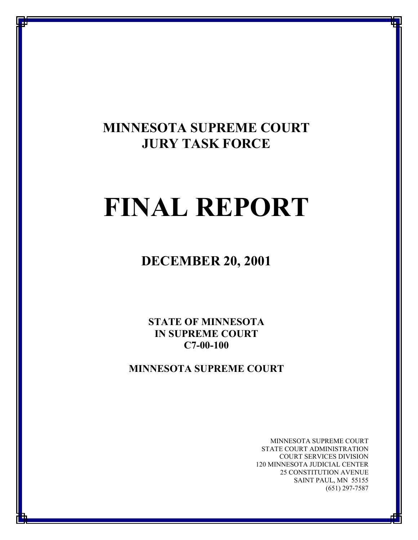# **MINNESOTA SUPREME COURT JURY TASK FORCE**

# **FINAL REPORT**

**DECEMBER 20, 2001** 

**STATE OF MINNESOTA IN SUPREME COURT C7-00-100** 

**MINNESOTA SUPREME COURT**

MINNESOTA SUPREME COURT STATE COURT ADMINISTRATION COURT SERVICES DIVISION 120 MINNESOTA JUDICIAL CENTER 25 CONSTITUTION AVENUE SAINT PAUL, MN 55155 (651) 297-7587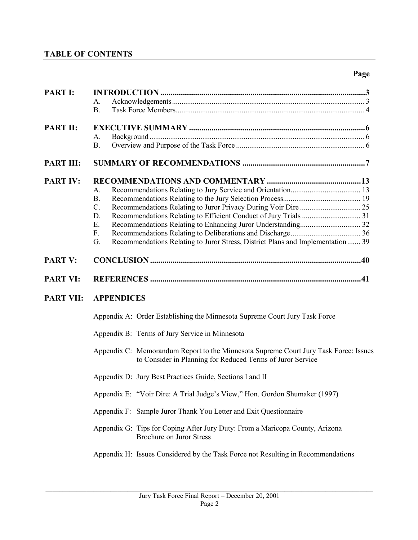# **TABLE OF CONTENTS**

# **Page**

| <b>PART I:</b>   | Α.                                                                                                                                                 |  |
|------------------|----------------------------------------------------------------------------------------------------------------------------------------------------|--|
|                  | <b>B.</b>                                                                                                                                          |  |
| <b>PART II:</b>  |                                                                                                                                                    |  |
|                  | А.<br><b>B.</b>                                                                                                                                    |  |
| <b>PART III:</b> |                                                                                                                                                    |  |
| <b>PART IV:</b>  |                                                                                                                                                    |  |
|                  | A.                                                                                                                                                 |  |
|                  | <b>B.</b>                                                                                                                                          |  |
|                  | $C$ .                                                                                                                                              |  |
|                  | D.                                                                                                                                                 |  |
|                  | E.                                                                                                                                                 |  |
|                  | F.<br>G.                                                                                                                                           |  |
|                  | Recommendations Relating to Juror Stress, District Plans and Implementation 39                                                                     |  |
| <b>PART V:</b>   |                                                                                                                                                    |  |
| <b>PART VI:</b>  |                                                                                                                                                    |  |
| <b>PART VII:</b> | <b>APPENDICES</b>                                                                                                                                  |  |
|                  | Appendix A: Order Establishing the Minnesota Supreme Court Jury Task Force                                                                         |  |
|                  | Appendix B: Terms of Jury Service in Minnesota                                                                                                     |  |
|                  | Appendix C: Memorandum Report to the Minnesota Supreme Court Jury Task Force: Issues<br>to Consider in Planning for Reduced Terms of Juror Service |  |
|                  | Appendix D: Jury Best Practices Guide, Sections I and II                                                                                           |  |
|                  | Appendix E: "Voir Dire: A Trial Judge's View," Hon. Gordon Shumaker (1997)                                                                         |  |
|                  | Appendix F: Sample Juror Thank You Letter and Exit Questionnaire                                                                                   |  |
|                  | Appendix G: Tips for Coping After Jury Duty: From a Maricopa County, Arizona<br><b>Brochure on Juror Stress</b>                                    |  |
|                  | Appendix H: Issues Considered by the Task Force not Resulting in Recommendations                                                                   |  |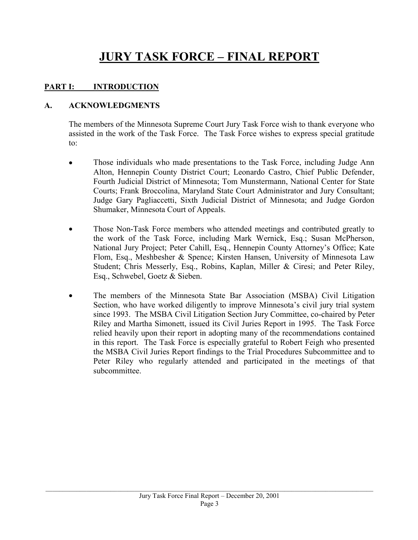# **JURY TASK FORCE – FINAL REPORT**

# **PART I: INTRODUCTION**

# **A. ACKNOWLEDGMENTS**

The members of the Minnesota Supreme Court Jury Task Force wish to thank everyone who assisted in the work of the Task Force. The Task Force wishes to express special gratitude to:

- Those individuals who made presentations to the Task Force, including Judge Ann Alton, Hennepin County District Court; Leonardo Castro, Chief Public Defender, Fourth Judicial District of Minnesota; Tom Munstermann, National Center for State Courts; Frank Broccolina, Maryland State Court Administrator and Jury Consultant; Judge Gary Pagliaccetti, Sixth Judicial District of Minnesota; and Judge Gordon Shumaker, Minnesota Court of Appeals.
- Those Non-Task Force members who attended meetings and contributed greatly to the work of the Task Force, including Mark Wernick, Esq.; Susan McPherson, National Jury Project; Peter Cahill, Esq., Hennepin County Attorney's Office; Kate Flom, Esq., Meshbesher & Spence; Kirsten Hansen, University of Minnesota Law Student; Chris Messerly, Esq., Robins, Kaplan, Miller & Ciresi; and Peter Riley, Esq., Schwebel, Goetz & Sieben.
- The members of the Minnesota State Bar Association (MSBA) Civil Litigation Section, who have worked diligently to improve Minnesota's civil jury trial system since 1993. The MSBA Civil Litigation Section Jury Committee, co-chaired by Peter Riley and Martha Simonett, issued its Civil Juries Report in 1995. The Task Force relied heavily upon their report in adopting many of the recommendations contained in this report. The Task Force is especially grateful to Robert Feigh who presented the MSBA Civil Juries Report findings to the Trial Procedures Subcommittee and to Peter Riley who regularly attended and participated in the meetings of that subcommittee.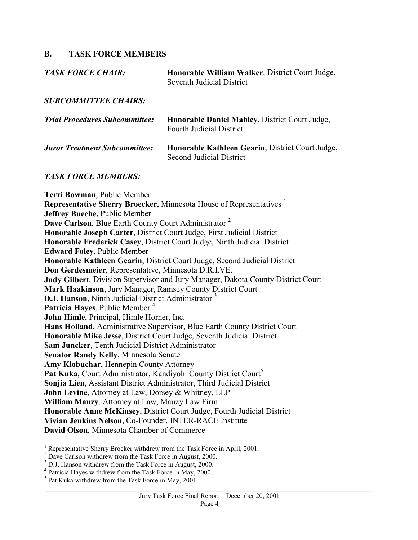#### **B. TASK FORCE MEMBERS**

| TASK FORCE CHAIR: | Honorable William Walker, District Court Judge, |
|-------------------|-------------------------------------------------|
|                   | Seventh Judicial District                       |
|                   |                                                 |

*SUBCOMMITTEE CHAIRS:* 

| <b>Trial Procedures Subcommittee:</b> | <b>Honorable Daniel Mabley, District Court Judge,</b><br><b>Fourth Judicial District</b> |
|---------------------------------------|------------------------------------------------------------------------------------------|
| <b>Juror Treatment Subcommittee:</b>  | Honorable Kathleen Gearin, District Court Judge,<br>Second Judicial District             |

#### *TASK FORCE MEMBERS:*

**Terri Bowman**, Public Member **Representative Sherry Broecker**, Minnesota House of Representatives <sup>1</sup> **Jeffrey Bueche**, Public Member **Dave Carlson**, Blue Earth County Court Administrator <sup>2</sup> **Honorable Joseph Carter**, District Court Judge, First Judicial District **Honorable Frederick Casey**, District Court Judge, Ninth Judicial District **Edward Foley**, Public Member **Honorable Kathleen Gearin**, District Court Judge, Second Judicial District **Don Gerdesmeier**, Representative, Minnesota D.R.I.VE. **Judy Gilbert**, Division Supervisor and Jury Manager, Dakota County District Court **Mark Haakinson**, Jury Manager, Ramsey County District Court **D.J. Hanson**, Ninth Judicial District Administrator<sup>3</sup> **Patricia Hayes**, Public Member <sup>4</sup> **John Himle**, Principal, Himle Horner, Inc. **Hans Holland**, Administrative Supervisor, Blue Earth County District Court **Honorable Mike Jesse**, District Court Judge, Seventh Judicial District **Sam Juncker**, Tenth Judicial District Administrator **Senator Randy Kelly**, Minnesota Senate **Amy Klobuchar**, Hennepin County Attorney **Pat Kuka**, Court Administrator, Kandiyohi County District Court<sup>5</sup> **Sonjia Lien**, Assistant District Administrator, Third Judicial District **John Levine**, Attorney at Law, Dorsey & Whitney, LLP **William Mauzy**, Attorney at Law, Mauzy Law Firm **Honorable Anne McKinsey**, District Court Judge, Fourth Judicial District **Vivian Jenkins Nelson**, Co-Founder, INTER-RACE Institute **David Olson**, Minnesota Chamber of Commerce 1

<sup>&</sup>lt;sup>1</sup> Representative Sherry Broeker withdrew from the Task Force in April, 2001.

 $2^{2}$  Dave Carlson withdrew from the Task Force in August, 2000.

<sup>&</sup>lt;sup>3</sup> D.J. Hanson withdrew from the Task Force in August, 2000.

<sup>4</sup> Patricia Hayes withdrew from the Task Force in May, 2000.

<sup>&</sup>lt;sup>5</sup> Pat Kuka withdrew from the Task Force in May, 2001.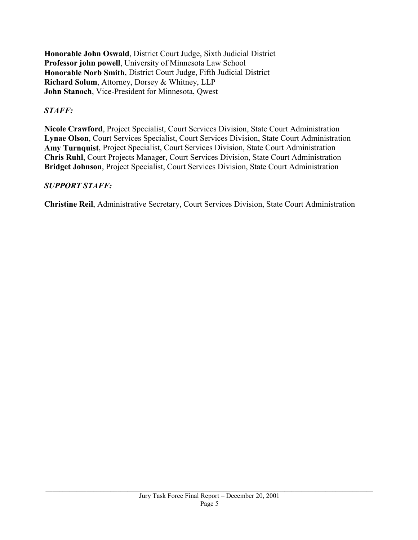**Honorable John Oswald**, District Court Judge, Sixth Judicial District **Professor john powell**, University of Minnesota Law School **Honorable Norb Smith**, District Court Judge, Fifth Judicial District **Richard Solum**, Attorney, Dorsey & Whitney, LLP **John Stanoch**, Vice-President for Minnesota, Qwest

# *STAFF:*

**Nicole Crawford**, Project Specialist, Court Services Division, State Court Administration **Lynae Olson**, Court Services Specialist, Court Services Division, State Court Administration **Amy Turnquist**, Project Specialist, Court Services Division, State Court Administration **Chris Ruhl**, Court Projects Manager, Court Services Division, State Court Administration **Bridget Johnson**, Project Specialist, Court Services Division, State Court Administration

# *SUPPORT STAFF:*

**Christine Reil**, Administrative Secretary, Court Services Division, State Court Administration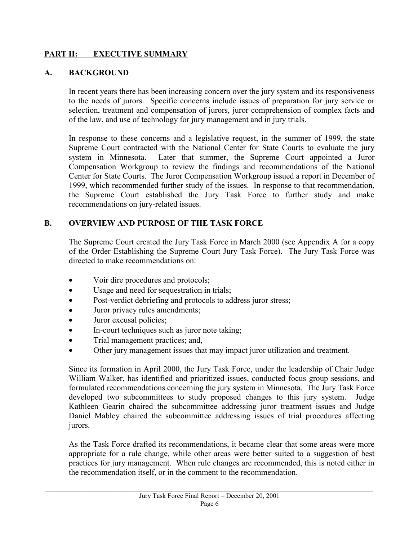# **PART II: EXECUTIVE SUMMARY**

#### **A. BACKGROUND**

In recent years there has been increasing concern over the jury system and its responsiveness to the needs of jurors. Specific concerns include issues of preparation for jury service or selection, treatment and compensation of jurors, juror comprehension of complex facts and of the law, and use of technology for jury management and in jury trials.

In response to these concerns and a legislative request, in the summer of 1999, the state Supreme Court contracted with the National Center for State Courts to evaluate the jury system in Minnesota. Later that summer, the Supreme Court appointed a Juror Compensation Workgroup to review the findings and recommendations of the National Center for State Courts. The Juror Compensation Workgroup issued a report in December of 1999, which recommended further study of the issues. In response to that recommendation, the Supreme Court established the Jury Task Force to further study and make recommendations on jury-related issues.

# **B. OVERVIEW AND PURPOSE OF THE TASK FORCE**

The Supreme Court created the Jury Task Force in March 2000 (see Appendix A for a copy of the Order Establishing the Supreme Court Jury Task Force). The Jury Task Force was directed to make recommendations on:

- Voir dire procedures and protocols;
- Usage and need for sequestration in trials;
- Post-verdict debriefing and protocols to address juror stress;
- Juror privacy rules amendments;
- Juror excusal policies;
- In-court techniques such as juror note taking;
- Trial management practices; and,
- Other jury management issues that may impact juror utilization and treatment.

Since its formation in April 2000, the Jury Task Force, under the leadership of Chair Judge William Walker, has identified and prioritized issues, conducted focus group sessions, and formulated recommendations concerning the jury system in Minnesota. The Jury Task Force developed two subcommittees to study proposed changes to this jury system. Judge Kathleen Gearin chaired the subcommittee addressing juror treatment issues and Judge Daniel Mabley chaired the subcommittee addressing issues of trial procedures affecting jurors.

As the Task Force drafted its recommendations, it became clear that some areas were more appropriate for a rule change, while other areas were better suited to a suggestion of best practices for jury management. When rule changes are recommended, this is noted either in the recommendation itself, or in the comment to the recommendation.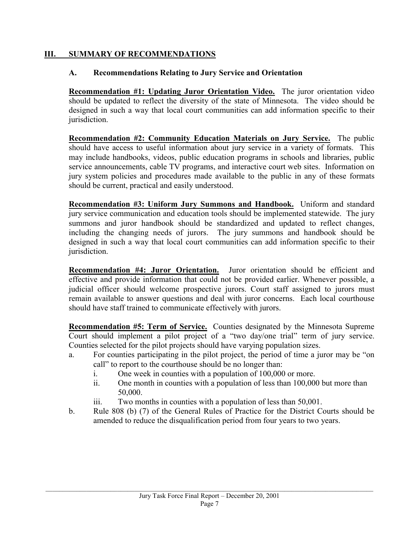# **III. SUMMARY OF RECOMMENDATIONS**

# **A. Recommendations Relating to Jury Service and Orientation**

**Recommendation #1: Updating Juror Orientation Video.** The juror orientation video should be updated to reflect the diversity of the state of Minnesota. The video should be designed in such a way that local court communities can add information specific to their jurisdiction.

**Recommendation #2: Community Education Materials on Jury Service.** The public should have access to useful information about jury service in a variety of formats. This may include handbooks, videos, public education programs in schools and libraries, public service announcements, cable TV programs, and interactive court web sites. Information on jury system policies and procedures made available to the public in any of these formats should be current, practical and easily understood.

**Recommendation #3: Uniform Jury Summons and Handbook.** Uniform and standard jury service communication and education tools should be implemented statewide. The jury summons and juror handbook should be standardized and updated to reflect changes, including the changing needs of jurors. The jury summons and handbook should be designed in such a way that local court communities can add information specific to their jurisdiction.

**Recommendation #4: Juror Orientation.** Juror orientation should be efficient and effective and provide information that could not be provided earlier. Whenever possible, a judicial officer should welcome prospective jurors. Court staff assigned to jurors must remain available to answer questions and deal with juror concerns. Each local courthouse should have staff trained to communicate effectively with jurors.

**Recommendation #5: Term of Service.** Counties designated by the Minnesota Supreme Court should implement a pilot project of a "two day/one trial" term of jury service. Counties selected for the pilot projects should have varying population sizes.

- a. For counties participating in the pilot project, the period of time a juror may be "on call" to report to the courthouse should be no longer than:
	- i. One week in counties with a population of 100,000 or more.
	- ii. One month in counties with a population of less than 100,000 but more than 50,000.
	- iii. Two months in counties with a population of less than 50,001.
- b. Rule 808 (b) (7) of the General Rules of Practice for the District Courts should be amended to reduce the disqualification period from four years to two years.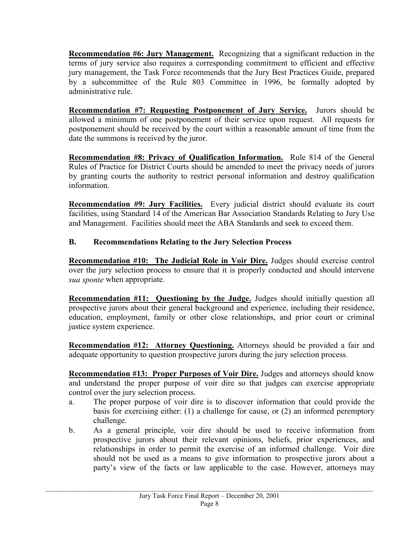**Recommendation #6: Jury Management.** Recognizing that a significant reduction in the terms of jury service also requires a corresponding commitment to efficient and effective jury management, the Task Force recommends that the Jury Best Practices Guide, prepared by a subcommittee of the Rule 803 Committee in 1996, be formally adopted by administrative rule.

**Recommendation #7: Requesting Postponement of Jury Service.** Jurors should be allowed a minimum of one postponement of their service upon request. All requests for postponement should be received by the court within a reasonable amount of time from the date the summons is received by the juror.

**Recommendation #8: Privacy of Qualification Information.** Rule 814 of the General Rules of Practice for District Courts should be amended to meet the privacy needs of jurors by granting courts the authority to restrict personal information and destroy qualification information.

**Recommendation #9: Jury Facilities.** Every judicial district should evaluate its court facilities, using Standard 14 of the American Bar Association Standards Relating to Jury Use and Management. Facilities should meet the ABA Standards and seek to exceed them.

# **B. Recommendations Relating to the Jury Selection Process**

**Recommendation #10: The Judicial Role in Voir Dire.** Judges should exercise control over the jury selection process to ensure that it is properly conducted and should intervene *sua sponte* when appropriate.

**Recommendation #11: Questioning by the Judge.** Judges should initially question all prospective jurors about their general background and experience, including their residence, education, employment, family or other close relationships, and prior court or criminal justice system experience.

**Recommendation #12: Attorney Questioning.** Attorneys should be provided a fair and adequate opportunity to question prospective jurors during the jury selection process.

**Recommendation #13: Proper Purposes of Voir Dire.** Judges and attorneys should know and understand the proper purpose of voir dire so that judges can exercise appropriate control over the jury selection process.

- a. The proper purpose of voir dire is to discover information that could provide the basis for exercising either: (1) a challenge for cause, or (2) an informed peremptory challenge.
- b. As a general principle, voir dire should be used to receive information from prospective jurors about their relevant opinions, beliefs, prior experiences, and relationships in order to permit the exercise of an informed challenge. Voir dire should not be used as a means to give information to prospective jurors about a party's view of the facts or law applicable to the case. However, attorneys may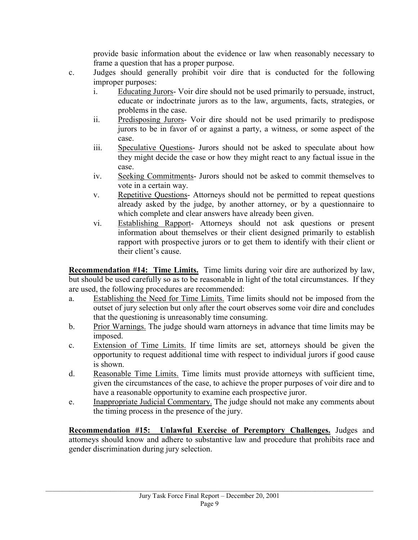provide basic information about the evidence or law when reasonably necessary to frame a question that has a proper purpose.

- c. Judges should generally prohibit voir dire that is conducted for the following improper purposes:
	- i. Educating Jurors- Voir dire should not be used primarily to persuade, instruct, educate or indoctrinate jurors as to the law, arguments, facts, strategies, or problems in the case.
	- ii. Predisposing Jurors- Voir dire should not be used primarily to predispose jurors to be in favor of or against a party, a witness, or some aspect of the case.
	- iii. Speculative Questions- Jurors should not be asked to speculate about how they might decide the case or how they might react to any factual issue in the case.
	- iv. Seeking Commitments- Jurors should not be asked to commit themselves to vote in a certain way.
	- v. Repetitive Questions- Attorneys should not be permitted to repeat questions already asked by the judge, by another attorney, or by a questionnaire to which complete and clear answers have already been given.
	- vi. Establishing Rapport- Attorneys should not ask questions or present information about themselves or their client designed primarily to establish rapport with prospective jurors or to get them to identify with their client or their client's cause.

**Recommendation #14: Time Limits.** Time limits during voir dire are authorized by law, but should be used carefully so as to be reasonable in light of the total circumstances. If they are used, the following procedures are recommended:

- a. Establishing the Need for Time Limits. Time limits should not be imposed from the outset of jury selection but only after the court observes some voir dire and concludes that the questioning is unreasonably time consuming.
- b. Prior Warnings. The judge should warn attorneys in advance that time limits may be imposed.
- c. Extension of Time Limits. If time limits are set, attorneys should be given the opportunity to request additional time with respect to individual jurors if good cause is shown.
- d. Reasonable Time Limits. Time limits must provide attorneys with sufficient time, given the circumstances of the case, to achieve the proper purposes of voir dire and to have a reasonable opportunity to examine each prospective juror.
- e. Inappropriate Judicial Commentary. The judge should not make any comments about the timing process in the presence of the jury.

**Recommendation #15: Unlawful Exercise of Peremptory Challenges.** Judges and attorneys should know and adhere to substantive law and procedure that prohibits race and gender discrimination during jury selection.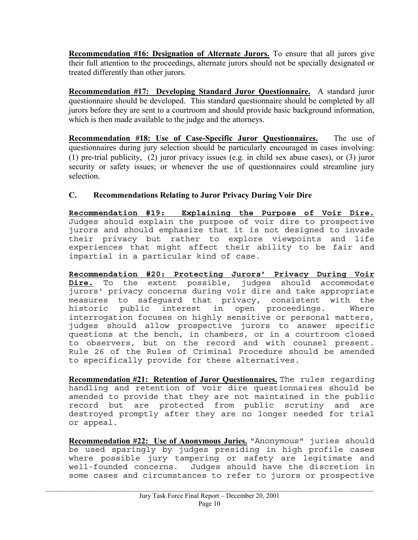**Recommendation #16: Designation of Alternate Jurors.** To ensure that all jurors give their full attention to the proceedings, alternate jurors should not be specially designated or treated differently than other jurors.

**Recommendation #17: Developing Standard Juror Questionnaire.** A standard juror questionnaire should be developed. This standard questionnaire should be completed by all jurors before they are sent to a courtroom and should provide basic background information, which is then made available to the judge and the attorneys.

**Recommendation #18: Use of Case-Specific Juror Questionnaires.** The use of questionnaires during jury selection should be particularly encouraged in cases involving: (1) pre-trial publicity, (2) juror privacy issues (e.g. in child sex abuse cases), or (3) juror security or safety issues; or whenever the use of questionnaires could streamline jury selection.

# **C. Recommendations Relating to Juror Privacy During Voir Dire**

**Recommendation #19: Explaining the Purpose of Voir Dire.** Judges should explain the purpose of voir dire to prospective jurors and should emphasize that it is not designed to invade their privacy but rather to explore viewpoints and life experiences that might affect their ability to be fair and impartial in a particular kind of case.

**Recommendation #20: Protecting Jurors' Privacy During Voir Dire.** To the extent possible, judges should accommodate jurors' privacy concerns during voir dire and take appropriate measures to safeguard that privacy, consistent with the historic public interest in open proceedings. Where interrogation focuses on highly sensitive or personal matters, judges should allow prospective jurors to answer specific questions at the bench, in chambers, or in a courtroom closed to observers, but on the record and with counsel present. Rule 26 of the Rules of Criminal Procedure should be amended to specifically provide for these alternatives.

**Recommendation #21: Retention of Juror Questionnaires.** The rules regarding handling and retention of voir dire questionnaires should be amended to provide that they are not maintained in the public record but are protected from public scrutiny and are destroyed promptly after they are no longer needed for trial or appeal.

**Recommendation #22: Use of Anonymous Juries.** "Anonymous" juries should be used sparingly by judges presiding in high profile cases where possible jury tampering or safety are legitimate and well-founded concerns. Judges should have the discretion in some cases and circumstances to refer to jurors or prospective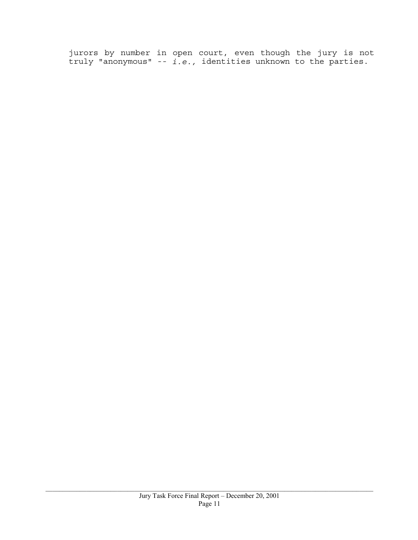jurors by number in open court, even though the jury is not truly "anonymous" -- *i.e.,* identities unknown to the parties.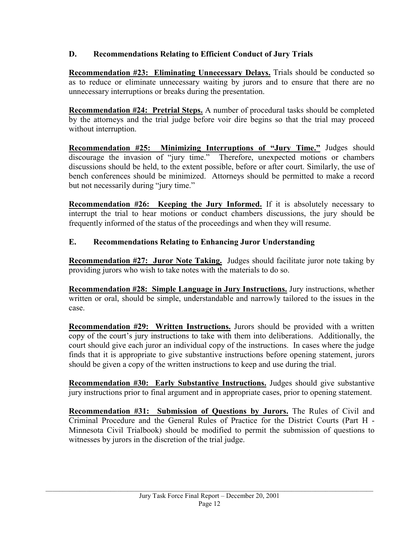# **D. Recommendations Relating to Efficient Conduct of Jury Trials**

**Recommendation #23: Eliminating Unnecessary Delays.** Trials should be conducted so as to reduce or eliminate unnecessary waiting by jurors and to ensure that there are no unnecessary interruptions or breaks during the presentation.

**Recommendation #24: Pretrial Steps.** A number of procedural tasks should be completed by the attorneys and the trial judge before voir dire begins so that the trial may proceed without interruption.

**Recommendation #25: Minimizing Interruptions of "Jury Time."** Judges should discourage the invasion of "jury time." Therefore, unexpected motions or chambers discussions should be held, to the extent possible, before or after court. Similarly, the use of bench conferences should be minimized. Attorneys should be permitted to make a record but not necessarily during "jury time."

**Recommendation #26:** Keeping the Jury Informed. If it is absolutely necessary to interrupt the trial to hear motions or conduct chambers discussions, the jury should be frequently informed of the status of the proceedings and when they will resume.

# **E. Recommendations Relating to Enhancing Juror Understanding**

**Recommendation #27: Juror Note Taking.** Judges should facilitate juror note taking by providing jurors who wish to take notes with the materials to do so.

**Recommendation #28: Simple Language in Jury Instructions.** Jury instructions, whether written or oral, should be simple, understandable and narrowly tailored to the issues in the case.

**Recommendation #29: Written Instructions.** Jurors should be provided with a written copy of the court's jury instructions to take with them into deliberations. Additionally, the court should give each juror an individual copy of the instructions. In cases where the judge finds that it is appropriate to give substantive instructions before opening statement, jurors should be given a copy of the written instructions to keep and use during the trial.

**Recommendation #30: Early Substantive Instructions.** Judges should give substantive jury instructions prior to final argument and in appropriate cases, prior to opening statement.

**Recommendation #31: Submission of Questions by Jurors.** The Rules of Civil and Criminal Procedure and the General Rules of Practice for the District Courts (Part H - Minnesota Civil Trialbook) should be modified to permit the submission of questions to witnesses by jurors in the discretion of the trial judge.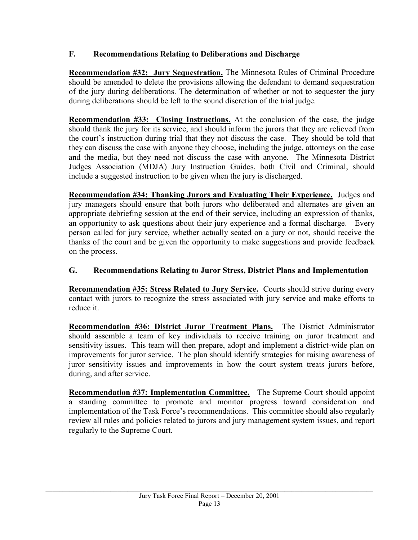# **F. Recommendations Relating to Deliberations and Discharge**

**Recommendation #32: Jury Sequestration.** The Minnesota Rules of Criminal Procedure should be amended to delete the provisions allowing the defendant to demand sequestration of the jury during deliberations. The determination of whether or not to sequester the jury during deliberations should be left to the sound discretion of the trial judge.

**Recommendation #33: Closing Instructions.** At the conclusion of the case, the judge should thank the jury for its service, and should inform the jurors that they are relieved from the court's instruction during trial that they not discuss the case. They should be told that they can discuss the case with anyone they choose, including the judge, attorneys on the case and the media, but they need not discuss the case with anyone. The Minnesota District Judges Association (MDJA) Jury Instruction Guides, both Civil and Criminal, should include a suggested instruction to be given when the jury is discharged.

**Recommendation #34: Thanking Jurors and Evaluating Their Experience.** Judges and jury managers should ensure that both jurors who deliberated and alternates are given an appropriate debriefing session at the end of their service, including an expression of thanks, an opportunity to ask questions about their jury experience and a formal discharge. Every person called for jury service, whether actually seated on a jury or not, should receive the thanks of the court and be given the opportunity to make suggestions and provide feedback on the process.

# **G. Recommendations Relating to Juror Stress, District Plans and Implementation**

**Recommendation #35: Stress Related to Jury Service.** Courts should strive during every contact with jurors to recognize the stress associated with jury service and make efforts to reduce it.

**Recommendation #36: District Juror Treatment Plans.** The District Administrator should assemble a team of key individuals to receive training on juror treatment and sensitivity issues. This team will then prepare, adopt and implement a district-wide plan on improvements for juror service. The plan should identify strategies for raising awareness of juror sensitivity issues and improvements in how the court system treats jurors before, during, and after service.

**Recommendation #37: Implementation Committee.** The Supreme Court should appoint a standing committee to promote and monitor progress toward consideration and implementation of the Task Force's recommendations. This committee should also regularly review all rules and policies related to jurors and jury management system issues, and report regularly to the Supreme Court.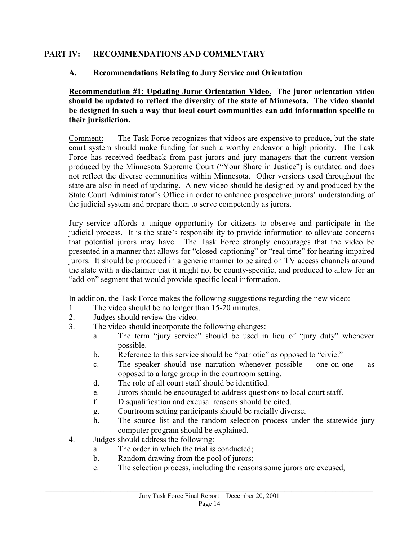# **PART IV: RECOMMENDATIONS AND COMMENTARY**

# **A. Recommendations Relating to Jury Service and Orientation**

**Recommendation #1: Updating Juror Orientation Video. The juror orientation video should be updated to reflect the diversity of the state of Minnesota. The video should be designed in such a way that local court communities can add information specific to their jurisdiction.** 

Comment: The Task Force recognizes that videos are expensive to produce, but the state court system should make funding for such a worthy endeavor a high priority. The Task Force has received feedback from past jurors and jury managers that the current version produced by the Minnesota Supreme Court ("Your Share in Justice") is outdated and does not reflect the diverse communities within Minnesota. Other versions used throughout the state are also in need of updating. A new video should be designed by and produced by the State Court Administrator's Office in order to enhance prospective jurors' understanding of the judicial system and prepare them to serve competently as jurors.

Jury service affords a unique opportunity for citizens to observe and participate in the judicial process. It is the state's responsibility to provide information to alleviate concerns that potential jurors may have. The Task Force strongly encourages that the video be presented in a manner that allows for "closed-captioning" or "real time" for hearing impaired jurors. It should be produced in a generic manner to be aired on TV access channels around the state with a disclaimer that it might not be county-specific, and produced to allow for an "add-on" segment that would provide specific local information.

In addition, the Task Force makes the following suggestions regarding the new video:

- 1. The video should be no longer than 15-20 minutes.
- 2. Judges should review the video.
- 3. The video should incorporate the following changes:
	- a. The term "jury service" should be used in lieu of "jury duty" whenever possible.
	- b. Reference to this service should be "patriotic" as opposed to "civic."
	- c. The speaker should use narration whenever possible -- one-on-one -- as opposed to a large group in the courtroom setting.
	- d. The role of all court staff should be identified.
	- e. Jurors should be encouraged to address questions to local court staff.
	- f. Disqualification and excusal reasons should be cited.
	- g. Courtroom setting participants should be racially diverse.
	- h. The source list and the random selection process under the statewide jury computer program should be explained.
- 4. Judges should address the following:
	- a. The order in which the trial is conducted;
	- b. Random drawing from the pool of jurors;
	- c. The selection process, including the reasons some jurors are excused;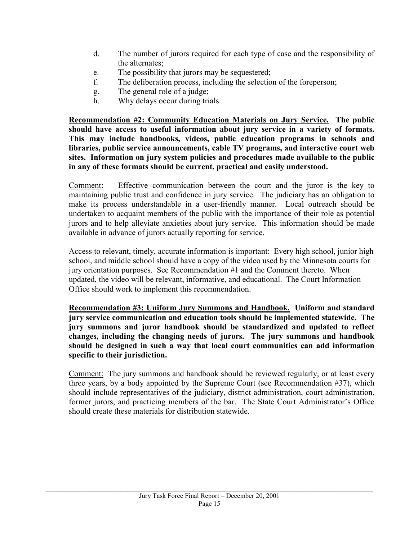- d. The number of jurors required for each type of case and the responsibility of the alternates;
- e. The possibility that jurors may be sequestered;
- f. The deliberation process, including the selection of the foreperson;
- g. The general role of a judge;
- h. Why delays occur during trials.

**Recommendation #2: Community Education Materials on Jury Service. The public should have access to useful information about jury service in a variety of formats. This may include handbooks, videos, public education programs in schools and libraries, public service announcements, cable TV programs, and interactive court web sites. Information on jury system policies and procedures made available to the public in any of these formats should be current, practical and easily understood.** 

Comment: Effective communication between the court and the juror is the key to maintaining public trust and confidence in jury service. The judiciary has an obligation to make its process understandable in a user-friendly manner. Local outreach should be undertaken to acquaint members of the public with the importance of their role as potential jurors and to help alleviate anxieties about jury service. This information should be made available in advance of jurors actually reporting for service.

Access to relevant, timely, accurate information is important: Every high school, junior high school, and middle school should have a copy of the video used by the Minnesota courts for jury orientation purposes. See Recommendation #1 and the Comment thereto. When updated, the video will be relevant, informative, and educational. The Court Information Office should work to implement this recommendation.

**Recommendation #3: Uniform Jury Summons and Handbook. Uniform and standard jury service communication and education tools should be implemented statewide. The jury summons and juror handbook should be standardized and updated to reflect changes, including the changing needs of jurors. The jury summons and handbook should be designed in such a way that local court communities can add information specific to their jurisdiction.** 

Comment: The jury summons and handbook should be reviewed regularly, or at least every three years, by a body appointed by the Supreme Court (see Recommendation #37), which should include representatives of the judiciary, district administration, court administration, former jurors, and practicing members of the bar. The State Court Administrator's Office should create these materials for distribution statewide.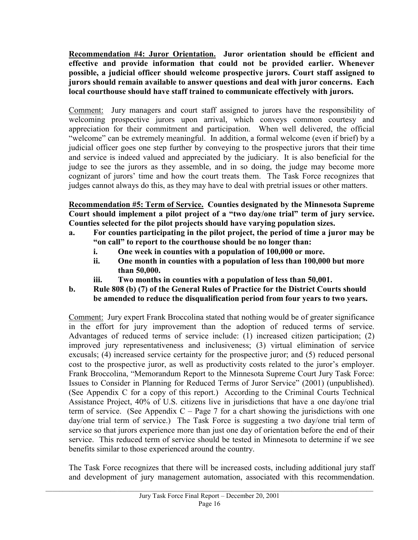**Recommendation #4: Juror Orientation. Juror orientation should be efficient and effective and provide information that could not be provided earlier. Whenever possible, a judicial officer should welcome prospective jurors. Court staff assigned to jurors should remain available to answer questions and deal with juror concerns. Each local courthouse should have staff trained to communicate effectively with jurors.** 

Comment: Jury managers and court staff assigned to jurors have the responsibility of welcoming prospective jurors upon arrival, which conveys common courtesy and appreciation for their commitment and participation. When well delivered, the official "welcome" can be extremely meaningful. In addition, a formal welcome (even if brief) by a judicial officer goes one step further by conveying to the prospective jurors that their time and service is indeed valued and appreciated by the judiciary. It is also beneficial for the judge to see the jurors as they assemble, and in so doing, the judge may become more cognizant of jurors' time and how the court treats them. The Task Force recognizes that judges cannot always do this, as they may have to deal with pretrial issues or other matters.

**Recommendation #5: Term of Service. Counties designated by the Minnesota Supreme Court should implement a pilot project of a "two day/one trial" term of jury service. Counties selected for the pilot projects should have varying population sizes.** 

- **a. For counties participating in the pilot project, the period of time a juror may be "on call" to report to the courthouse should be no longer than:** 
	- **i. One week in counties with a population of 100,000 or more.**
	- **ii. One month in counties with a population of less than 100,000 but more than 50,000.**
	- **iii. Two months in counties with a population of less than 50,001.**
- **b. Rule 808 (b) (7) of the General Rules of Practice for the District Courts should be amended to reduce the disqualification period from four years to two years.**

Comment: Jury expert Frank Broccolina stated that nothing would be of greater significance in the effort for jury improvement than the adoption of reduced terms of service. Advantages of reduced terms of service include: (1) increased citizen participation; (2) improved jury representativeness and inclusiveness; (3) virtual elimination of service excusals; (4) increased service certainty for the prospective juror; and (5) reduced personal cost to the prospective juror, as well as productivity costs related to the juror's employer. Frank Broccolina, "Memorandum Report to the Minnesota Supreme Court Jury Task Force: Issues to Consider in Planning for Reduced Terms of Juror Service" (2001) (unpublished). (See Appendix C for a copy of this report.) According to the Criminal Courts Technical Assistance Project, 40% of U.S. citizens live in jurisdictions that have a one day/one trial term of service. (See Appendix  $C - Page 7$  for a chart showing the jurisdictions with one day/one trial term of service.) The Task Force is suggesting a two day/one trial term of service so that jurors experience more than just one day of orientation before the end of their service. This reduced term of service should be tested in Minnesota to determine if we see benefits similar to those experienced around the country.

The Task Force recognizes that there will be increased costs, including additional jury staff and development of jury management automation, associated with this recommendation.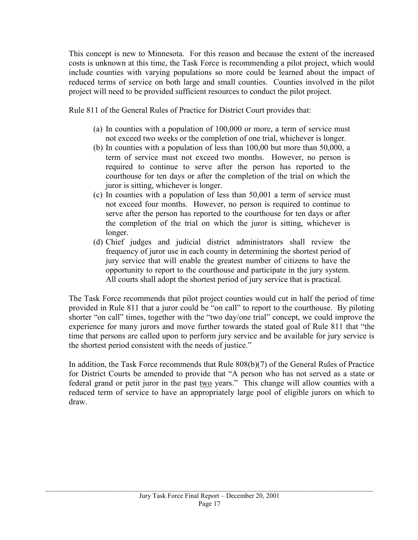This concept is new to Minnesota. For this reason and because the extent of the increased costs is unknown at this time, the Task Force is recommending a pilot project, which would include counties with varying populations so more could be learned about the impact of reduced terms of service on both large and small counties. Counties involved in the pilot project will need to be provided sufficient resources to conduct the pilot project.

Rule 811 of the General Rules of Practice for District Court provides that:

- (a) In counties with a population of 100,000 or more, a term of service must not exceed two weeks or the completion of one trial, whichever is longer.
- (b) In counties with a population of less than 100,00 but more than 50,000, a term of service must not exceed two months. However, no person is required to continue to serve after the person has reported to the courthouse for ten days or after the completion of the trial on which the juror is sitting, whichever is longer.
- (c) In counties with a population of less than 50,001 a term of service must not exceed four months. However, no person is required to continue to serve after the person has reported to the courthouse for ten days or after the completion of the trial on which the juror is sitting, whichever is longer.
- (d) Chief judges and judicial district administrators shall review the frequency of juror use in each county in determining the shortest period of jury service that will enable the greatest number of citizens to have the opportunity to report to the courthouse and participate in the jury system. All courts shall adopt the shortest period of jury service that is practical.

The Task Force recommends that pilot project counties would cut in half the period of time provided in Rule 811 that a juror could be "on call" to report to the courthouse. By piloting shorter "on call" times, together with the "two day/one trial" concept, we could improve the experience for many jurors and move further towards the stated goal of Rule 811 that "the time that persons are called upon to perform jury service and be available for jury service is the shortest period consistent with the needs of justice."

In addition, the Task Force recommends that Rule 808(b)(7) of the General Rules of Practice for District Courts be amended to provide that "A person who has not served as a state or federal grand or petit juror in the past two years." This change will allow counties with a reduced term of service to have an appropriately large pool of eligible jurors on which to draw.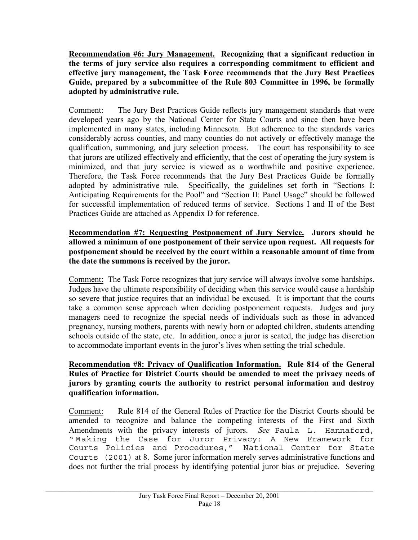**Recommendation #6: Jury Management. Recognizing that a significant reduction in the terms of jury service also requires a corresponding commitment to efficient and effective jury management, the Task Force recommends that the Jury Best Practices Guide, prepared by a subcommittee of the Rule 803 Committee in 1996, be formally adopted by administrative rule.** 

Comment: The Jury Best Practices Guide reflects jury management standards that were developed years ago by the National Center for State Courts and since then have been implemented in many states, including Minnesota. But adherence to the standards varies considerably across counties, and many counties do not actively or effectively manage the qualification, summoning, and jury selection process. The court has responsibility to see that jurors are utilized effectively and efficiently, that the cost of operating the jury system is minimized, and that jury service is viewed as a worthwhile and positive experience. Therefore, the Task Force recommends that the Jury Best Practices Guide be formally adopted by administrative rule. Specifically, the guidelines set forth in "Sections I: Anticipating Requirements for the Pool" and "Section II: Panel Usage" should be followed for successful implementation of reduced terms of service. Sections I and II of the Best Practices Guide are attached as Appendix D for reference.

#### **Recommendation #7: Requesting Postponement of Jury Service. Jurors should be allowed a minimum of one postponement of their service upon request. All requests for postponement should be received by the court within a reasonable amount of time from the date the summons is received by the juror.**

Comment: The Task Force recognizes that jury service will always involve some hardships. Judges have the ultimate responsibility of deciding when this service would cause a hardship so severe that justice requires that an individual be excused. It is important that the courts take a common sense approach when deciding postponement requests. Judges and jury managers need to recognize the special needs of individuals such as those in advanced pregnancy, nursing mothers, parents with newly born or adopted children, students attending schools outside of the state, etc. In addition, once a juror is seated, the judge has discretion to accommodate important events in the juror's lives when setting the trial schedule.

#### **Recommendation #8: Privacy of Qualification Information. Rule 814 of the General Rules of Practice for District Courts should be amended to meet the privacy needs of jurors by granting courts the authority to restrict personal information and destroy qualification information.**

Comment: Rule 814 of the General Rules of Practice for the District Courts should be amended to recognize and balance the competing interests of the First and Sixth Amendments with the privacy interests of jurors. *See* Paula L. Hannaford, " Making the Case for Juror Privacy: A New Framework for Courts Policies and Procedures," National Center for State Courts (2001) at 8. Some juror information merely serves administrative functions and does not further the trial process by identifying potential juror bias or prejudice. Severing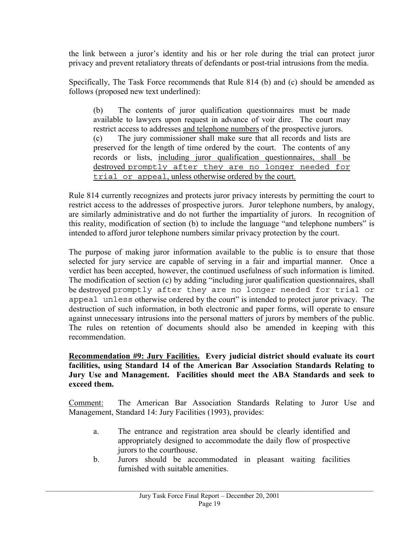the link between a juror's identity and his or her role during the trial can protect juror privacy and prevent retaliatory threats of defendants or post-trial intrusions from the media.

Specifically, The Task Force recommends that Rule 814 (b) and (c) should be amended as follows (proposed new text underlined):

(b) The contents of juror qualification questionnaires must be made available to lawyers upon request in advance of voir dire. The court may restrict access to addresses and telephone numbers of the prospective jurors. (c) The jury commissioner shall make sure that all records and lists are preserved for the length of time ordered by the court. The contents of any records or lists, including juror qualification questionnaires, shall be destroyed promptly after they are no longer needed for trial or appeal, unless otherwise ordered by the court.

Rule 814 currently recognizes and protects juror privacy interests by permitting the court to restrict access to the addresses of prospective jurors. Juror telephone numbers, by analogy, are similarly administrative and do not further the impartiality of jurors. In recognition of this reality, modification of section (b) to include the language "and telephone numbers" is intended to afford juror telephone numbers similar privacy protection by the court.

The purpose of making juror information available to the public is to ensure that those selected for jury service are capable of serving in a fair and impartial manner. Once a verdict has been accepted, however, the continued usefulness of such information is limited. The modification of section (c) by adding "including juror qualification questionnaires, shall be destroyed promptly after they are no longer needed for trial or appeal unless otherwise ordered by the court" is intended to protect juror privacy. The destruction of such information, in both electronic and paper forms, will operate to ensure against unnecessary intrusions into the personal matters of jurors by members of the public. The rules on retention of documents should also be amended in keeping with this recommendation.

**Recommendation #9: Jury Facilities. Every judicial district should evaluate its court facilities, using Standard 14 of the American Bar Association Standards Relating to Jury Use and Management. Facilities should meet the ABA Standards and seek to exceed them.** 

Comment: The American Bar Association Standards Relating to Juror Use and Management, Standard 14: Jury Facilities (1993), provides:

- a. The entrance and registration area should be clearly identified and appropriately designed to accommodate the daily flow of prospective jurors to the courthouse.
- b. Jurors should be accommodated in pleasant waiting facilities furnished with suitable amenities.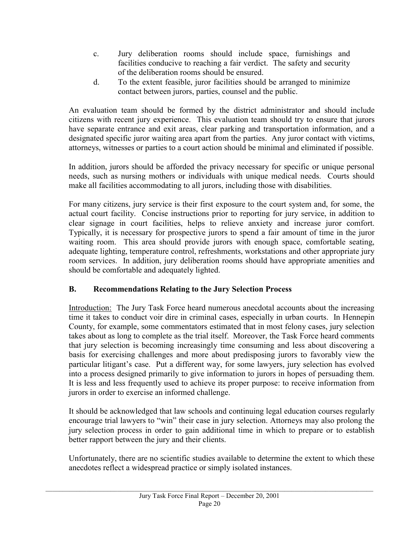- c. Jury deliberation rooms should include space, furnishings and facilities conducive to reaching a fair verdict. The safety and security of the deliberation rooms should be ensured.
- d. To the extent feasible, juror facilities should be arranged to minimize contact between jurors, parties, counsel and the public.

An evaluation team should be formed by the district administrator and should include citizens with recent jury experience. This evaluation team should try to ensure that jurors have separate entrance and exit areas, clear parking and transportation information, and a designated specific juror waiting area apart from the parties. Any juror contact with victims, attorneys, witnesses or parties to a court action should be minimal and eliminated if possible.

In addition, jurors should be afforded the privacy necessary for specific or unique personal needs, such as nursing mothers or individuals with unique medical needs. Courts should make all facilities accommodating to all jurors, including those with disabilities.

For many citizens, jury service is their first exposure to the court system and, for some, the actual court facility. Concise instructions prior to reporting for jury service, in addition to clear signage in court facilities, helps to relieve anxiety and increase juror comfort. Typically, it is necessary for prospective jurors to spend a fair amount of time in the juror waiting room. This area should provide jurors with enough space, comfortable seating, adequate lighting, temperature control, refreshments, workstations and other appropriate jury room services. In addition, jury deliberation rooms should have appropriate amenities and should be comfortable and adequately lighted.

# **B. Recommendations Relating to the Jury Selection Process**

Introduction: The Jury Task Force heard numerous anecdotal accounts about the increasing time it takes to conduct voir dire in criminal cases, especially in urban courts. In Hennepin County, for example, some commentators estimated that in most felony cases, jury selection takes about as long to complete as the trial itself. Moreover, the Task Force heard comments that jury selection is becoming increasingly time consuming and less about discovering a basis for exercising challenges and more about predisposing jurors to favorably view the particular litigant's case. Put a different way, for some lawyers, jury selection has evolved into a process designed primarily to give information to jurors in hopes of persuading them. It is less and less frequently used to achieve its proper purpose: to receive information from jurors in order to exercise an informed challenge.

 It should be acknowledged that law schools and continuing legal education courses regularly encourage trial lawyers to "win" their case in jury selection. Attorneys may also prolong the jury selection process in order to gain additional time in which to prepare or to establish better rapport between the jury and their clients.

Unfortunately, there are no scientific studies available to determine the extent to which these anecdotes reflect a widespread practice or simply isolated instances.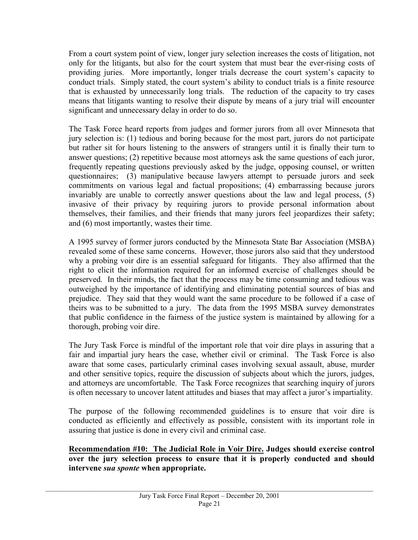From a court system point of view, longer jury selection increases the costs of litigation, not only for the litigants, but also for the court system that must bear the ever-rising costs of providing juries. More importantly, longer trials decrease the court system's capacity to conduct trials. Simply stated, the court system's ability to conduct trials is a finite resource that is exhausted by unnecessarily long trials. The reduction of the capacity to try cases means that litigants wanting to resolve their dispute by means of a jury trial will encounter significant and unnecessary delay in order to do so.

The Task Force heard reports from judges and former jurors from all over Minnesota that jury selection is: (1) tedious and boring because for the most part, jurors do not participate but rather sit for hours listening to the answers of strangers until it is finally their turn to answer questions; (2) repetitive because most attorneys ask the same questions of each juror, frequently repeating questions previously asked by the judge, opposing counsel, or written questionnaires; (3) manipulative because lawyers attempt to persuade jurors and seek commitments on various legal and factual propositions; (4) embarrassing because jurors invariably are unable to correctly answer questions about the law and legal process, (5) invasive of their privacy by requiring jurors to provide personal information about themselves, their families, and their friends that many jurors feel jeopardizes their safety; and (6) most importantly, wastes their time.

A 1995 survey of former jurors conducted by the Minnesota State Bar Association (MSBA) revealed some of these same concerns. However, those jurors also said that they understood why a probing voir dire is an essential safeguard for litigants. They also affirmed that the right to elicit the information required for an informed exercise of challenges should be preserved. In their minds, the fact that the process may be time consuming and tedious was outweighed by the importance of identifying and eliminating potential sources of bias and prejudice. They said that they would want the same procedure to be followed if a case of theirs was to be submitted to a jury. The data from the 1995 MSBA survey demonstrates that public confidence in the fairness of the justice system is maintained by allowing for a thorough, probing voir dire.

The Jury Task Force is mindful of the important role that voir dire plays in assuring that a fair and impartial jury hears the case, whether civil or criminal. The Task Force is also aware that some cases, particularly criminal cases involving sexual assault, abuse, murder and other sensitive topics, require the discussion of subjects about which the jurors, judges, and attorneys are uncomfortable. The Task Force recognizes that searching inquiry of jurors is often necessary to uncover latent attitudes and biases that may affect a juror's impartiality.

The purpose of the following recommended guidelines is to ensure that voir dire is conducted as efficiently and effectively as possible, consistent with its important role in assuring that justice is done in every civil and criminal case.

**Recommendation #10: The Judicial Role in Voir Dire. Judges should exercise control over the jury selection process to ensure that it is properly conducted and should intervene** *sua sponte* **when appropriate.**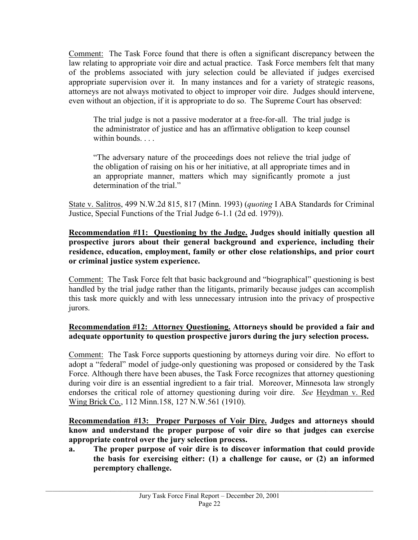Comment: The Task Force found that there is often a significant discrepancy between the law relating to appropriate voir dire and actual practice. Task Force members felt that many of the problems associated with jury selection could be alleviated if judges exercised appropriate supervision over it. In many instances and for a variety of strategic reasons, attorneys are not always motivated to object to improper voir dire. Judges should intervene, even without an objection, if it is appropriate to do so. The Supreme Court has observed:

The trial judge is not a passive moderator at a free-for-all. The trial judge is the administrator of justice and has an affirmative obligation to keep counsel within bounds. . . .

"The adversary nature of the proceedings does not relieve the trial judge of the obligation of raising on his or her initiative, at all appropriate times and in an appropriate manner, matters which may significantly promote a just determination of the trial."

State v. Salitros, 499 N.W.2d 815, 817 (Minn. 1993) (*quoting* I ABA Standards for Criminal Justice, Special Functions of the Trial Judge 6-1.1 (2d ed. 1979)).

#### **Recommendation #11: Questioning by the Judge. Judges should initially question all prospective jurors about their general background and experience, including their residence, education, employment, family or other close relationships, and prior court or criminal justice system experience.**

Comment: The Task Force felt that basic background and "biographical" questioning is best handled by the trial judge rather than the litigants, primarily because judges can accomplish this task more quickly and with less unnecessary intrusion into the privacy of prospective jurors.

# **Recommendation #12: Attorney Questioning. Attorneys should be provided a fair and adequate opportunity to question prospective jurors during the jury selection process.**

Comment: The Task Force supports questioning by attorneys during voir dire. No effort to adopt a "federal" model of judge-only questioning was proposed or considered by the Task Force. Although there have been abuses, the Task Force recognizes that attorney questioning during voir dire is an essential ingredient to a fair trial. Moreover, Minnesota law strongly endorses the critical role of attorney questioning during voir dire. *See* Heydman v. Red Wing Brick Co., 112 Minn.158, 127 N.W.561 (1910).

**Recommendation #13: Proper Purposes of Voir Dire. Judges and attorneys should know and understand the proper purpose of voir dire so that judges can exercise appropriate control over the jury selection process.** 

**a. The proper purpose of voir dire is to discover information that could provide the basis for exercising either: (1) a challenge for cause, or (2) an informed peremptory challenge.**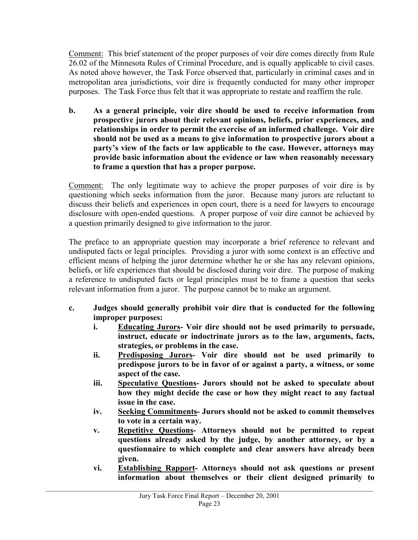Comment: This brief statement of the proper purposes of voir dire comes directly from Rule 26.02 of the Minnesota Rules of Criminal Procedure, and is equally applicable to civil cases. As noted above however, the Task Force observed that, particularly in criminal cases and in metropolitan area jurisdictions, voir dire is frequently conducted for many other improper purposes. The Task Force thus felt that it was appropriate to restate and reaffirm the rule.

**b. As a general principle, voir dire should be used to receive information from prospective jurors about their relevant opinions, beliefs, prior experiences, and relationships in order to permit the exercise of an informed challenge. Voir dire should not be used as a means to give information to prospective jurors about a party's view of the facts or law applicable to the case. However, attorneys may provide basic information about the evidence or law when reasonably necessary to frame a question that has a proper purpose.** 

Comment: The only legitimate way to achieve the proper purposes of voir dire is by questioning which seeks information from the juror. Because many jurors are reluctant to discuss their beliefs and experiences in open court, there is a need for lawyers to encourage disclosure with open-ended questions. A proper purpose of voir dire cannot be achieved by a question primarily designed to give information to the juror.

The preface to an appropriate question may incorporate a brief reference to relevant and undisputed facts or legal principles. Providing a juror with some context is an effective and efficient means of helping the juror determine whether he or she has any relevant opinions, beliefs, or life experiences that should be disclosed during voir dire. The purpose of making a reference to undisputed facts or legal principles must be to frame a question that seeks relevant information from a juror. The purpose cannot be to make an argument.

- **c. Judges should generally prohibit voir dire that is conducted for the following improper purposes:** 
	- **i. Educating Jurors- Voir dire should not be used primarily to persuade, instruct, educate or indoctrinate jurors as to the law, arguments, facts, strategies, or problems in the case.**
	- **ii. Predisposing Jurors- Voir dire should not be used primarily to predispose jurors to be in favor of or against a party, a witness, or some aspect of the case.**
	- **iii. Speculative Questions- Jurors should not be asked to speculate about how they might decide the case or how they might react to any factual issue in the case.**
	- **iv. Seeking Commitments- Jurors should not be asked to commit themselves to vote in a certain way.**
	- **v. Repetitive Questions- Attorneys should not be permitted to repeat questions already asked by the judge, by another attorney, or by a questionnaire to which complete and clear answers have already been given.**
	- **vi. Establishing Rapport- Attorneys should not ask questions or present information about themselves or their client designed primarily to**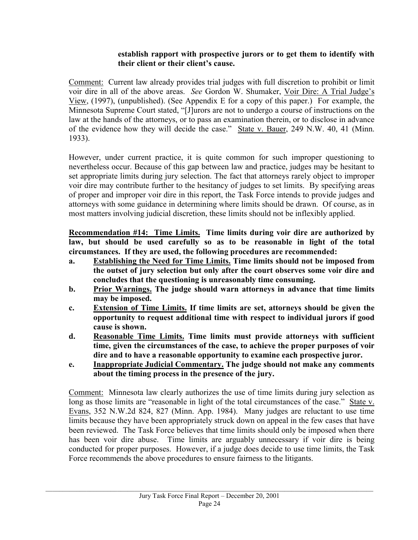#### **establish rapport with prospective jurors or to get them to identify with their client or their client's cause.**

Comment: Current law already provides trial judges with full discretion to prohibit or limit voir dire in all of the above areas. *See* Gordon W. Shumaker, Voir Dire: A Trial Judge's View, (1997), (unpublished). (See Appendix E for a copy of this paper.) For example, the Minnesota Supreme Court stated, "[J]urors are not to undergo a course of instructions on the law at the hands of the attorneys, or to pass an examination therein, or to disclose in advance of the evidence how they will decide the case." State v. Bauer, 249 N.W. 40, 41 (Minn. 1933).

However, under current practice, it is quite common for such improper questioning to nevertheless occur. Because of this gap between law and practice, judges may be hesitant to set appropriate limits during jury selection. The fact that attorneys rarely object to improper voir dire may contribute further to the hesitancy of judges to set limits. By specifying areas of proper and improper voir dire in this report, the Task Force intends to provide judges and attorneys with some guidance in determining where limits should be drawn. Of course, as in most matters involving judicial discretion, these limits should not be inflexibly applied.

**Recommendation #14: Time Limits. Time limits during voir dire are authorized by law, but should be used carefully so as to be reasonable in light of the total circumstances. If they are used, the following procedures are recommended:** 

- **a. Establishing the Need for Time Limits. Time limits should not be imposed from the outset of jury selection but only after the court observes some voir dire and concludes that the questioning is unreasonably time consuming.**
- **b. Prior Warnings. The judge should warn attorneys in advance that time limits may be imposed.**
- **c. Extension of Time Limits. If time limits are set, attorneys should be given the opportunity to request additional time with respect to individual jurors if good cause is shown.**
- **d. Reasonable Time Limits. Time limits must provide attorneys with sufficient time, given the circumstances of the case, to achieve the proper purposes of voir dire and to have a reasonable opportunity to examine each prospective juror.**
- **e. Inappropriate Judicial Commentary. The judge should not make any comments about the timing process in the presence of the jury.**

Comment: Minnesota law clearly authorizes the use of time limits during jury selection as long as those limits are "reasonable in light of the total circumstances of the case." State v. Evans, 352 N.W.2d 824, 827 (Minn. App. 1984). Many judges are reluctant to use time limits because they have been appropriately struck down on appeal in the few cases that have been reviewed. The Task Force believes that time limits should only be imposed when there has been voir dire abuse. Time limits are arguably unnecessary if voir dire is being conducted for proper purposes. However, if a judge does decide to use time limits, the Task Force recommends the above procedures to ensure fairness to the litigants.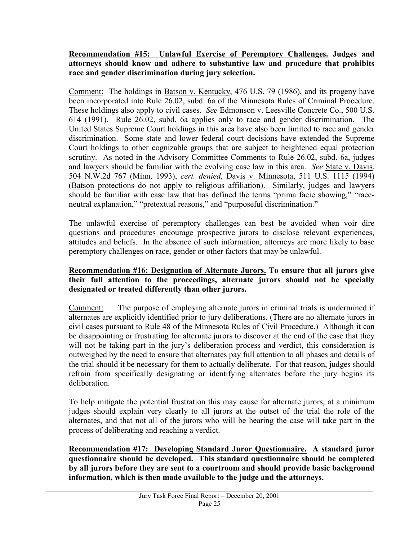#### **Recommendation #15: Unlawful Exercise of Peremptory Challenges. Judges and attorneys should know and adhere to substantive law and procedure that prohibits race and gender discrimination during jury selection.**

Comment: The holdings in Batson v. Kentucky, 476 U.S. 79 (1986), and its progeny have been incorporated into Rule 26.02, subd. 6a of the Minnesota Rules of Criminal Procedure. These holdings also apply to civil cases. *See* Edmonson v. Leesville Concrete Co., 500 U.S. 614 (1991). Rule 26.02, subd. 6a applies only to race and gender discrimination. The United States Supreme Court holdings in this area have also been limited to race and gender discrimination. Some state and lower federal court decisions have extended the Supreme Court holdings to other cognizable groups that are subject to heightened equal protection scrutiny. As noted in the Advisory Committee Comments to Rule 26.02, subd. 6a, judges and lawyers should be familiar with the evolving case law in this area. *See* State v. Davis, 504 N.W.2d 767 (Minn. 1993), *cert. denied*, Davis v. Minnesota, 511 U.S. 1115 (1994) (Batson protections do not apply to religious affiliation). Similarly, judges and lawyers should be familiar with case law that has defined the terms "prima facie showing," "raceneutral explanation," "pretextual reasons," and "purposeful discrimination."

The unlawful exercise of peremptory challenges can best be avoided when voir dire questions and procedures encourage prospective jurors to disclose relevant experiences, attitudes and beliefs. In the absence of such information, attorneys are more likely to base peremptory challenges on race, gender or other factors that may be unlawful.

#### **Recommendation #16: Designation of Alternate Jurors. To ensure that all jurors give their full attention to the proceedings, alternate jurors should not be specially designated or treated differently than other jurors.**

Comment: The purpose of employing alternate jurors in criminal trials is undermined if alternates are explicitly identified prior to jury deliberations. (There are no alternate jurors in civil cases pursuant to Rule 48 of the Minnesota Rules of Civil Procedure.) Although it can be disappointing or frustrating for alternate jurors to discover at the end of the case that they will not be taking part in the jury's deliberation process and verdict, this consideration is outweighed by the need to ensure that alternates pay full attention to all phases and details of the trial should it be necessary for them to actually deliberate. For that reason, judges should refrain from specifically designating or identifying alternates before the jury begins its deliberation.

To help mitigate the potential frustration this may cause for alternate jurors, at a minimum judges should explain very clearly to all jurors at the outset of the trial the role of the alternates, and that not all of the jurors who will be hearing the case will take part in the process of deliberating and reaching a verdict.

**Recommendation #17: Developing Standard Juror Questionnaire. A standard juror questionnaire should be developed. This standard questionnaire should be completed by all jurors before they are sent to a courtroom and should provide basic background information, which is then made available to the judge and the attorneys.**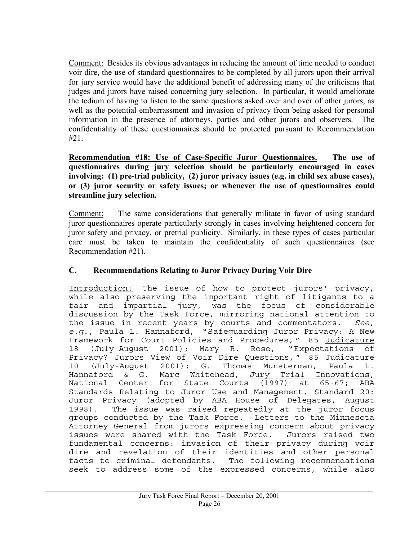Comment: Besides its obvious advantages in reducing the amount of time needed to conduct voir dire, the use of standard questionnaires to be completed by all jurors upon their arrival for jury service would have the additional benefit of addressing many of the criticisms that judges and jurors have raised concerning jury selection. In particular, it would ameliorate the tedium of having to listen to the same questions asked over and over of other jurors, as well as the potential embarrassment and invasion of privacy from being asked for personal information in the presence of attorneys, parties and other jurors and observers. The confidentiality of these questionnaires should be protected pursuant to Recommendation #21.

**Recommendation #18: Use of Case-Specific Juror Questionnaires. The use of questionnaires during jury selection should be particularly encouraged in cases involving: (1) pre-trial publicity, (2) juror privacy issues (e.g. in child sex abuse cases), or (3) juror security or safety issues; or whenever the use of questionnaires could streamline jury selection.** 

Comment: The same considerations that generally militate in favor of using standard juror questionnaires operate particularly strongly in cases involving heightened concern for juror safety and privacy, or pretrial publicity. Similarly, in these types of cases particular care must be taken to maintain the confidentiality of such questionnaires (see Recommendation #21).

#### **C. Recommendations Relating to Juror Privacy During Voir Dire**

Introduction: The issue of how to protect jurors' privacy, while also preserving the important right of litigants to a fair and impartial jury, was the focus of considerable discussion by the Task Force, mirroring national attention to the issue in recent years by courts and commentators. *See*, *e.g*., Paula L. Hannaford, "Safeguarding Juror Privacy: A New Framework for Court Policies and Procedures, " 85 Judicature 18 (July-August 2001); Mary R. Rose, "Expectations of Privacy? Jurors View of Voir Dire Questions, " 85 Judicature 10 (July-August 2001); G. Thomas Munsterman, Paula L. Hannaford & G. Marc Whitehead, Jury Trial Innovations, National Center for State Courts (1997) at 65-67; ABA Standards Relating to Juror Use and Management, Standard 20: Juror Privacy (adopted by ABA House of Delegates, August 1998). The issue was raised repeatedly at the juror focus groups conducted by the Task Force. Letters to the Minnesota Attorney General from jurors expressing concern about privacy issues were shared with the Task Force. Jurors raised two fundamental concerns: invasion of their privacy during voir dire and revelation of their identities and other personal facts to criminal defendants. The following recommendations seek to address some of the expressed concerns, while also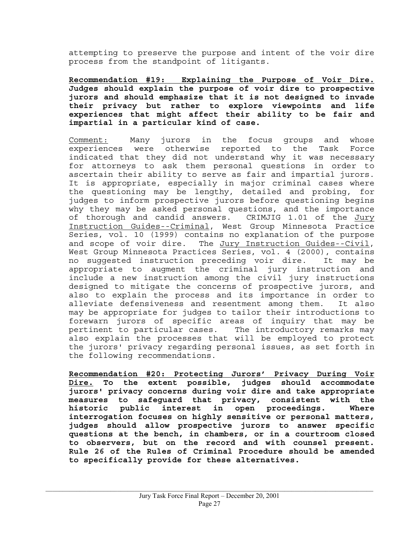attempting to preserve the purpose and intent of the voir dire process from the standpoint of litigants.

**Recommendation #19: Explaining the Purpose of Voir Dire. Judges should explain the purpose of voir dire to prospective jurors and should emphasize that it is not designed to invade their privacy but rather to explore viewpoints and life experiences that might affect their ability to be fair and impartial in a particular kind of case.** 

Comment: Many jurors in the focus groups and whose experiences were otherwise reported to the Task Force indicated that they did not understand why it was necessary for attorneys to ask them personal questions in order to ascertain their ability to serve as fair and impartial jurors. It is appropriate, especially in major criminal cases where the questioning may be lengthy, detailed and probing, for judges to inform prospective jurors before questioning begins why they may be asked personal questions, and the importance of thorough and candid answers. CRIMJIG 1.01 of the Jury Instruction Guides--Criminal, West Group Minnesota Practice Series, vol. 10 (1999) contains no explanation of the purpose and scope of voir dire. The Jury Instruction Guides--Civil, West Group Minnesota Practices Series, vol. 4 (2000), contains no suggested instruction preceding voir dire. It may be appropriate to augment the criminal jury instruction and include a new instruction among the civil jury instructions designed to mitigate the concerns of prospective jurors, and also to explain the process and its importance in order to alleviate defensiveness and resentment among them. It also may be appropriate for judges to tailor their introductions to forewarn jurors of specific areas of inquiry that may be pertinent to particular cases. The introductory remarks may also explain the processes that will be employed to protect the jurors' privacy regarding personal issues, as set forth in the following recommendations.

**Recommendation #20: Protecting Jurors' Privacy During Voir Dire. To the extent possible, judges should accommodate jurors' privacy concerns during voir dire and take appropriate measures to safeguard that privacy, consistent with the historic public interest in open proceedings. Where interrogation focuses on highly sensitive or personal matters, judges should allow prospective jurors to answer specific questions at the bench, in chambers, or in a courtroom closed to observers, but on the record and with counsel present. Rule 26 of the Rules of Criminal Procedure should be amended to specifically provide for these alternatives.**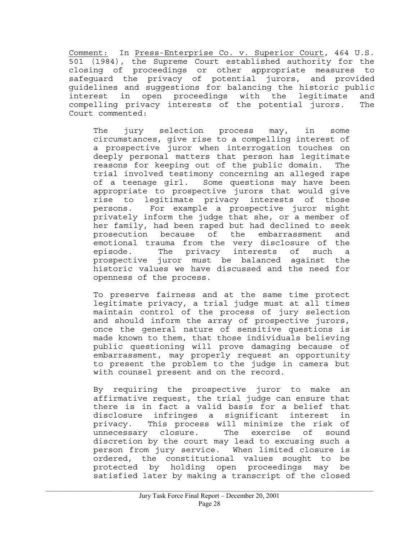Comment: In Press-Enterprise Co. v. Superior Court, 464 U.S. 501 (1984), the Supreme Court established authority for the closing of proceedings or other appropriate measures to safeguard the privacy of potential jurors, and provided guidelines and suggestions for balancing the historic public interest in open proceedings with the legitimate and compelling privacy interests of the potential jurors. The Court commented:

The jury selection process may, in some circumstances, give rise to a compelling interest of a prospective juror when interrogation touches on deeply personal matters that person has legitimate reasons for keeping out of the public domain. The trial involved testimony concerning an alleged rape of a teenage girl. Some questions may have been appropriate to prospective jurors that would give rise to legitimate privacy interests of those persons. For example a prospective juror might privately inform the judge that she, or a member of her family, had been raped but had declined to seek prosecution because of the embarrassment and emotional trauma from the very disclosure of the episode. The privacy interests of such a prospective juror must be balanced against the historic values we have discussed and the need for openness of the process.

To preserve fairness and at the same time protect legitimate privacy, a trial judge must at all times maintain control of the process of jury selection and should inform the array of prospective jurors, once the general nature of sensitive questions is made known to them, that those individuals believing public questioning will prove damaging because of embarrassment, may properly request an opportunity to present the problem to the judge in camera but with counsel present and on the record.

By requiring the prospective juror to make an affirmative request, the trial judge can ensure that there is in fact a valid basis for a belief that disclosure infringes a significant interest in privacy. This process will minimize the risk of unnecessary closure. The exercise of sound discretion by the court may lead to excusing such a person from jury service. When limited closure is ordered, the constitutional values sought to be protected by holding open proceedings may be satisfied later by making a transcript of the closed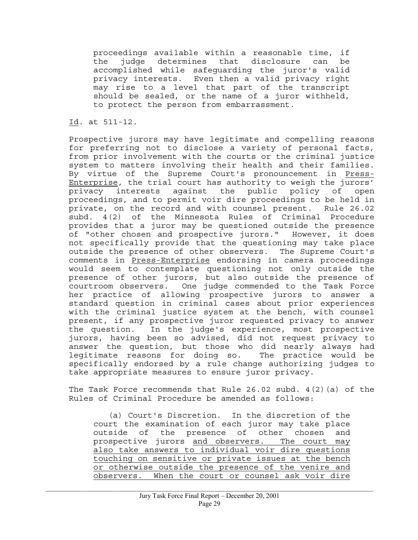proceedings available within a reasonable time, if the judge determines that disclosure can be accomplished while safeguarding the juror's valid privacy interests. Even then a valid privacy right may rise to a level that part of the transcript should be sealed, or the name of a juror withheld, to protect the person from embarrassment.

Id. at 511-12.

Prospective jurors may have legitimate and compelling reasons for preferring not to disclose a variety of personal facts, from prior involvement with the courts or the criminal justice system to matters involving their health and their families. By virtue of the Supreme Court's pronouncement in Press-Enterprise, the trial court has authority to weigh the jurors' privacy interests against the public policy of open proceedings, and to permit voir dire proceedings to be held in private, on the record and with counsel present. Rule 26.02 subd. 4(2) of the Minnesota Rules of Criminal Procedure provides that a juror may be questioned outside the presence of "other chosen and prospective jurors." However, it does not specifically provide that the questioning may take place outside the presence of other observers. The Supreme Court's comments in Press-Enterprise endorsing in camera proceedings would seem to contemplate questioning not only outside the presence of other jurors, but also outside the presence of courtroom observers. One judge commended to the Task Force her practice of allowing prospective jurors to answer a standard question in criminal cases about prior experiences with the criminal justice system at the bench, with counsel present, if any prospective juror requested privacy to answer the question. In the judge's experience, most prospective jurors, having been so advised, did not request privacy to answer the question, but those who did nearly always had legitimate reasons for doing so. The practice would be specifically endorsed by a rule change authorizing judges to take appropriate measures to ensure juror privacy.

The Task Force recommends that Rule  $26.02$  subd.  $4(2)(a)$  of the Rules of Criminal Procedure be amended as follows:

 (a) Court's Discretion. In the discretion of the court the examination of each juror may take place outside of the presence of other chosen and prospective jurors and observers. The court may also take answers to individual voir dire questions touching on sensitive or private issues at the bench or otherwise outside the presence of the venire and observers. When the court or counsel ask voir dire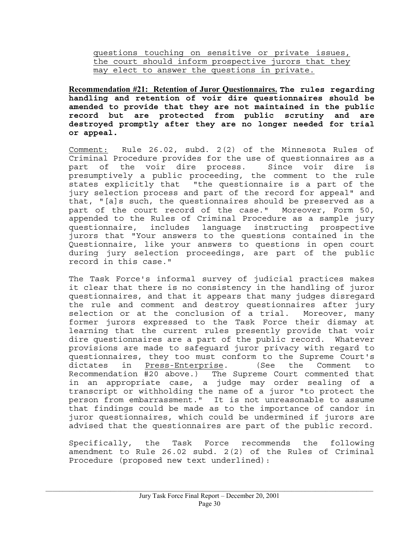questions touching on sensitive or private issues, the court should inform prospective jurors that they may elect to answer the questions in private.

**Recommendation #21: Retention of Juror Questionnaires. The rules regarding handling and retention of voir dire questionnaires should be amended to provide that they are not maintained in the public record but are protected from public scrutiny and are destroyed promptly after they are no longer needed for trial or appeal.** 

Comment: Rule 26.02, subd. 2(2) of the Minnesota Rules of Criminal Procedure provides for the use of questionnaires as a part of the voir dire process. Since voir dire is presumptively a public proceeding, the comment to the rule states explicitly that "the questionnaire is a part of the jury selection process and part of the record for appeal" and that, "[a]s such, the questionnaires should be preserved as a part of the court record of the case." Moreover, Form 50, appended to the Rules of Criminal Procedure as a sample jury questionnaire, includes language instructing prospective jurors that "Your answers to the questions contained in the Questionnaire, like your answers to questions in open court during jury selection proceedings, are part of the public record in this case."

The Task Force's informal survey of judicial practices makes it clear that there is no consistency in the handling of juror questionnaires, and that it appears that many judges disregard the rule and comment and destroy questionnaires after jury selection or at the conclusion of a trial. Moreover, many former jurors expressed to the Task Force their dismay at learning that the current rules presently provide that voir dire questionnaires are a part of the public record. Whatever provisions are made to safeguard juror privacy with regard to questionnaires, they too must conform to the Supreme Court's dictates in Press-Enterprise. (See the Comment to Recommendation #20 above.) The Supreme Court commented that in an appropriate case, a judge may order sealing of a transcript or withholding the name of a juror "to protect the person from embarrassment." It is not unreasonable to assume that findings could be made as to the importance of candor in juror questionnaires, which could be undermined if jurors are advised that the questionnaires are part of the public record.

Specifically, the Task Force recommends the following amendment to Rule 26.02 subd. 2(2) of the Rules of Criminal Procedure (proposed new text underlined):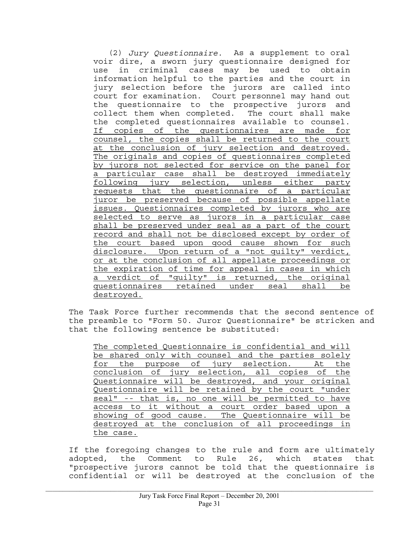(2) *Jury Questionnaire.* As a supplement to oral voir dire, a sworn jury questionnaire designed for use in criminal cases may be used to obtain information helpful to the parties and the court in jury selection before the jurors are called into court for examination. Court personnel may hand out the questionnaire to the prospective jurors and collect them when completed. The court shall make the completed questionnaires available to counsel. If copies of the questionnaires are made for counsel, the copies shall be returned to the court at the conclusion of jury selection and destroyed. The originals and copies of questionnaires completed by jurors not selected for service on the panel for a particular case shall be destroyed immediately following jury selection, unless either party requests that the questionnaire of a particular juror be preserved because of possible appellate issues. Questionnaires completed by jurors who are selected to serve as jurors in a particular case shall be preserved under seal as a part of the court record and shall not be disclosed except by order of the court based upon good cause shown for such disclosure. Upon return of a "not guilty" verdict, or at the conclusion of all appellate proceedings or the expiration of time for appeal in cases in which a verdict of "guilty" is returned, the original questionnaires retained under seal shall be destroyed.

The Task Force further recommends that the second sentence of the preamble to "Form 50. Juror Questionnaire" be stricken and that the following sentence be substituted:

The completed Questionnaire is confidential and will be shared only with counsel and the parties solely for the purpose of jury selection. At the conclusion of jury selection, all copies of the Questionnaire will be destroyed, and your original Questionnaire will be retained by the court "under seal" -- that is, no one will be permitted to have access to it without a court order based upon a showing of good cause. The Questionnaire will be destroyed at the conclusion of all proceedings in the case.

If the foregoing changes to the rule and form are ultimately adopted, the Comment to Rule 26, which states that "prospective jurors cannot be told that the questionnaire is confidential or will be destroyed at the conclusion of the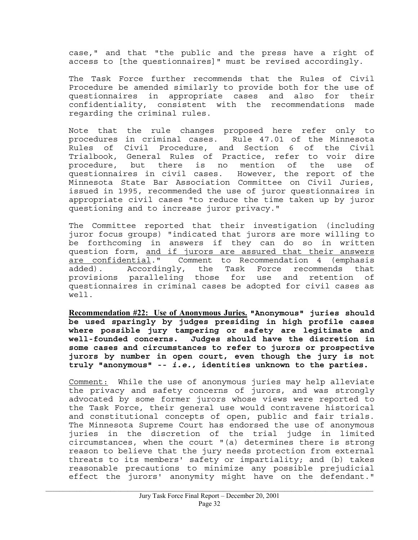case," and that "the public and the press have a right of access to [the questionnaires]" must be revised accordingly.

The Task Force further recommends that the Rules of Civil Procedure be amended similarly to provide both for the use of questionnaires in appropriate cases and also for their confidentiality, consistent with the recommendations made regarding the criminal rules.

Note that the rule changes proposed here refer only to procedures in criminal cases. Rule 47.01 of the Minnesota Rules of Civil Procedure, and Section 6 of the Civil Trialbook, General Rules of Practice, refer to voir dire procedure, but there is no mention of the use of questionnaires in civil cases. However, the report of the Minnesota State Bar Association Committee on Civil Juries, issued in 1995, recommended the use of juror questionnaires in appropriate civil cases "to reduce the time taken up by juror questioning and to increase juror privacy."

The Committee reported that their investigation (including juror focus groups) "indicated that jurors are more willing to be forthcoming in answers if they can do so in written question form, and if jurors are assured that their answers are confidential." Comment to Recommendation 4 (emphasis added). Accordingly, the Task Force recommends that provisions paralleling those for use and retention of questionnaires in criminal cases be adopted for civil cases as well.

**Recommendation #22: Use of Anonymous Juries. "Anonymous" juries should be used sparingly by judges presiding in high profile cases where possible jury tampering or safety are legitimate and well-founded concerns. Judges should have the discretion in some cases and circumstances to refer to jurors or prospective jurors by number in open court, even though the jury is not truly "anonymous" --** *i.e.,* **identities unknown to the parties.** 

Comment: While the use of anonymous juries may help alleviate the privacy and safety concerns of jurors, and was strongly advocated by some former jurors whose views were reported to the Task Force, their general use would contravene historical and constitutional concepts of open, public and fair trials. The Minnesota Supreme Court has endorsed the use of anonymous juries in the discretion of the trial judge in limited circumstances, when the court "(a) determines there is strong reason to believe that the jury needs protection from external threats to its members' safety or impartiality; and (b) takes reasonable precautions to minimize any possible prejudicial effect the jurors' anonymity might have on the defendant."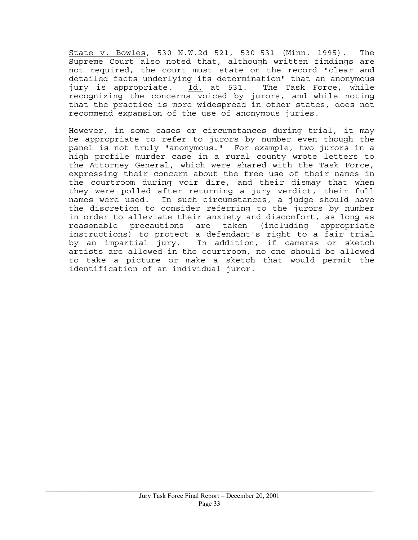State v. Bowles, 530 N.W.2d 521, 530-531 (Minn. 1995). The Supreme Court also noted that, although written findings are not required, the court must state on the record "clear and detailed facts underlying its determination" that an anonymous jury is appropriate. Id. at 531. The Task Force, while recognizing the concerns voiced by jurors, and while noting that the practice is more widespread in other states, does not recommend expansion of the use of anonymous juries.

However, in some cases or circumstances during trial, it may be appropriate to refer to jurors by number even though the panel is not truly "anonymous." For example, two jurors in a high profile murder case in a rural county wrote letters to the Attorney General, which were shared with the Task Force, expressing their concern about the free use of their names in the courtroom during voir dire, and their dismay that when they were polled after returning a jury verdict, their full names were used. In such circumstances, a judge should have the discretion to consider referring to the jurors by number in order to alleviate their anxiety and discomfort, as long as reasonable precautions are taken (including appropriate instructions) to protect a defendant's right to a fair trial by an impartial jury. In addition, if cameras or sketch artists are allowed in the courtroom, no one should be allowed to take a picture or make a sketch that would permit the identification of an individual juror.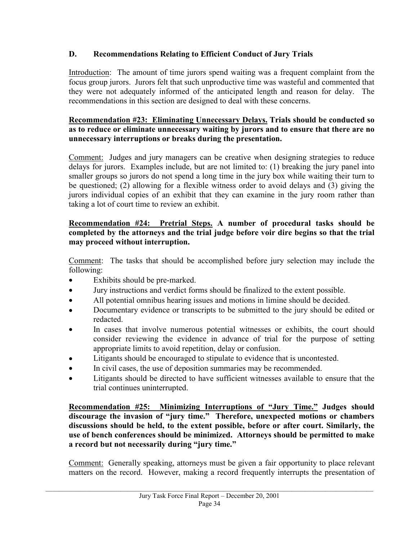# **D. Recommendations Relating to Efficient Conduct of Jury Trials**

Introduction: The amount of time jurors spend waiting was a frequent complaint from the focus group jurors. Jurors felt that such unproductive time was wasteful and commented that they were not adequately informed of the anticipated length and reason for delay. The recommendations in this section are designed to deal with these concerns.

#### **Recommendation #23: Eliminating Unnecessary Delays. Trials should be conducted so as to reduce or eliminate unnecessary waiting by jurors and to ensure that there are no unnecessary interruptions or breaks during the presentation.**

Comment: Judges and jury managers can be creative when designing strategies to reduce delays for jurors. Examples include, but are not limited to: (1) breaking the jury panel into smaller groups so jurors do not spend a long time in the jury box while waiting their turn to be questioned; (2) allowing for a flexible witness order to avoid delays and (3) giving the jurors individual copies of an exhibit that they can examine in the jury room rather than taking a lot of court time to review an exhibit.

# **Recommendation #24: Pretrial Steps. A number of procedural tasks should be completed by the attorneys and the trial judge before voir dire begins so that the trial may proceed without interruption.**

Comment: The tasks that should be accomplished before jury selection may include the following:

- Exhibits should be pre-marked.
- Jury instructions and verdict forms should be finalized to the extent possible.
- All potential omnibus hearing issues and motions in limine should be decided.
- Documentary evidence or transcripts to be submitted to the jury should be edited or redacted.
- In cases that involve numerous potential witnesses or exhibits, the court should consider reviewing the evidence in advance of trial for the purpose of setting appropriate limits to avoid repetition, delay or confusion.
- Litigants should be encouraged to stipulate to evidence that is uncontested.
- In civil cases, the use of deposition summaries may be recommended.
- Litigants should be directed to have sufficient witnesses available to ensure that the trial continues uninterrupted.

**Recommendation #25: Minimizing Interruptions of "Jury Time." Judges should discourage the invasion of "jury time." Therefore, unexpected motions or chambers discussions should be held, to the extent possible, before or after court. Similarly, the use of bench conferences should be minimized. Attorneys should be permitted to make a record but not necessarily during "jury time."** 

Comment: Generally speaking, attorneys must be given a fair opportunity to place relevant matters on the record. However, making a record frequently interrupts the presentation of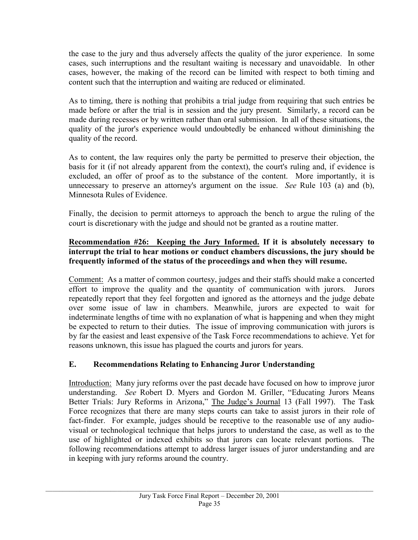the case to the jury and thus adversely affects the quality of the juror experience. In some cases, such interruptions and the resultant waiting is necessary and unavoidable. In other cases, however, the making of the record can be limited with respect to both timing and content such that the interruption and waiting are reduced or eliminated.

As to timing, there is nothing that prohibits a trial judge from requiring that such entries be made before or after the trial is in session and the jury present. Similarly, a record can be made during recesses or by written rather than oral submission. In all of these situations, the quality of the juror's experience would undoubtedly be enhanced without diminishing the quality of the record.

As to content, the law requires only the party be permitted to preserve their objection, the basis for it (if not already apparent from the context), the court's ruling and, if evidence is excluded, an offer of proof as to the substance of the content. More importantly, it is unnecessary to preserve an attorney's argument on the issue. *See* Rule 103 (a) and (b), Minnesota Rules of Evidence.

Finally, the decision to permit attorneys to approach the bench to argue the ruling of the court is discretionary with the judge and should not be granted as a routine matter.

# **Recommendation #26: Keeping the Jury Informed. If it is absolutely necessary to interrupt the trial to hear motions or conduct chambers discussions, the jury should be frequently informed of the status of the proceedings and when they will resume.**

Comment: As a matter of common courtesy, judges and their staffs should make a concerted effort to improve the quality and the quantity of communication with jurors. Jurors repeatedly report that they feel forgotten and ignored as the attorneys and the judge debate over some issue of law in chambers. Meanwhile, jurors are expected to wait for indeterminate lengths of time with no explanation of what is happening and when they might be expected to return to their duties. The issue of improving communication with jurors is by far the easiest and least expensive of the Task Force recommendations to achieve. Yet for reasons unknown, this issue has plagued the courts and jurors for years.

# **E. Recommendations Relating to Enhancing Juror Understanding**

Introduction: Many jury reforms over the past decade have focused on how to improve juror understanding. *See* Robert D. Myers and Gordon M. Griller, "Educating Jurors Means Better Trials: Jury Reforms in Arizona," The Judge's Journal 13 (Fall 1997). The Task Force recognizes that there are many steps courts can take to assist jurors in their role of fact-finder. For example, judges should be receptive to the reasonable use of any audiovisual or technological technique that helps jurors to understand the case, as well as to the use of highlighted or indexed exhibits so that jurors can locate relevant portions. The following recommendations attempt to address larger issues of juror understanding and are in keeping with jury reforms around the country.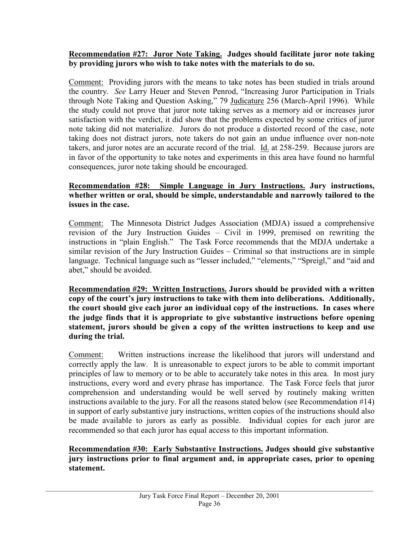#### **Recommendation #27: Juror Note Taking. Judges should facilitate juror note taking by providing jurors who wish to take notes with the materials to do so.**

Comment: Providing jurors with the means to take notes has been studied in trials around the country. *See* Larry Heuer and Steven Penrod, "Increasing Juror Participation in Trials through Note Taking and Question Asking," 79 Judicature 256 (March-April 1996). While the study could not prove that juror note taking serves as a memory aid or increases juror satisfaction with the verdict, it did show that the problems expected by some critics of juror note taking did not materialize. Jurors do not produce a distorted record of the case, note taking does not distract jurors, note takers do not gain an undue influence over non-note takers, and juror notes are an accurate record of the trial. Id. at 258-259. Because jurors are in favor of the opportunity to take notes and experiments in this area have found no harmful consequences, juror note taking should be encouraged.

# **Recommendation #28: Simple Language in Jury Instructions. Jury instructions, whether written or oral, should be simple, understandable and narrowly tailored to the issues in the case.**

Comment: The Minnesota District Judges Association (MDJA) issued a comprehensive revision of the Jury Instruction Guides – Civil in 1999, premised on rewriting the instructions in "plain English." The Task Force recommends that the MDJA undertake a similar revision of the Jury Instruction Guides – Criminal so that instructions are in simple language. Technical language such as "lesser included," "elements," "Spreigl," and "aid and abet," should be avoided.

**Recommendation #29: Written Instructions. Jurors should be provided with a written copy of the court's jury instructions to take with them into deliberations. Additionally, the court should give each juror an individual copy of the instructions. In cases where the judge finds that it is appropriate to give substantive instructions before opening statement, jurors should be given a copy of the written instructions to keep and use during the trial.** 

Comment: Written instructions increase the likelihood that jurors will understand and correctly apply the law. It is unreasonable to expect jurors to be able to commit important principles of law to memory or to be able to accurately take notes in this area. In most jury instructions, every word and every phrase has importance. The Task Force feels that juror comprehension and understanding would be well served by routinely making written instructions available to the jury. For all the reasons stated below (see Recommendation #14) in support of early substantive jury instructions, written copies of the instructions should also be made available to jurors as early as possible. Individual copies for each juror are recommended so that each juror has equal access to this important information.

**Recommendation #30: Early Substantive Instructions. Judges should give substantive jury instructions prior to final argument and, in appropriate cases, prior to opening statement.**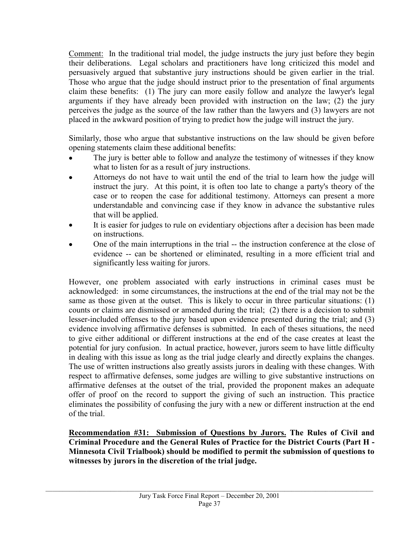Comment: In the traditional trial model, the judge instructs the jury just before they begin their deliberations. Legal scholars and practitioners have long criticized this model and persuasively argued that substantive jury instructions should be given earlier in the trial. Those who argue that the judge should instruct prior to the presentation of final arguments claim these benefits: (1) The jury can more easily follow and analyze the lawyer's legal arguments if they have already been provided with instruction on the law; (2) the jury perceives the judge as the source of the law rather than the lawyers and (3) lawyers are not placed in the awkward position of trying to predict how the judge will instruct the jury.

Similarly, those who argue that substantive instructions on the law should be given before opening statements claim these additional benefits:

- The jury is better able to follow and analyze the testimony of witnesses if they know what to listen for as a result of jury instructions.
- Attorneys do not have to wait until the end of the trial to learn how the judge will instruct the jury. At this point, it is often too late to change a party's theory of the case or to reopen the case for additional testimony. Attorneys can present a more understandable and convincing case if they know in advance the substantive rules that will be applied.
- It is easier for judges to rule on evidentiary objections after a decision has been made on instructions.
- One of the main interruptions in the trial -- the instruction conference at the close of evidence -- can be shortened or eliminated, resulting in a more efficient trial and significantly less waiting for jurors.

However, one problem associated with early instructions in criminal cases must be acknowledged: in some circumstances, the instructions at the end of the trial may not be the same as those given at the outset. This is likely to occur in three particular situations: (1) counts or claims are dismissed or amended during the trial; (2) there is a decision to submit lesser-included offenses to the jury based upon evidence presented during the trial; and (3) evidence involving affirmative defenses is submitted. In each of theses situations, the need to give either additional or different instructions at the end of the case creates at least the potential for jury confusion. In actual practice, however, jurors seem to have little difficulty in dealing with this issue as long as the trial judge clearly and directly explains the changes. The use of written instructions also greatly assists jurors in dealing with these changes. With respect to affirmative defenses, some judges are willing to give substantive instructions on affirmative defenses at the outset of the trial, provided the proponent makes an adequate offer of proof on the record to support the giving of such an instruction. This practice eliminates the possibility of confusing the jury with a new or different instruction at the end of the trial.

**Recommendation #31: Submission of Questions by Jurors. The Rules of Civil and Criminal Procedure and the General Rules of Practice for the District Courts (Part H - Minnesota Civil Trialbook) should be modified to permit the submission of questions to witnesses by jurors in the discretion of the trial judge.**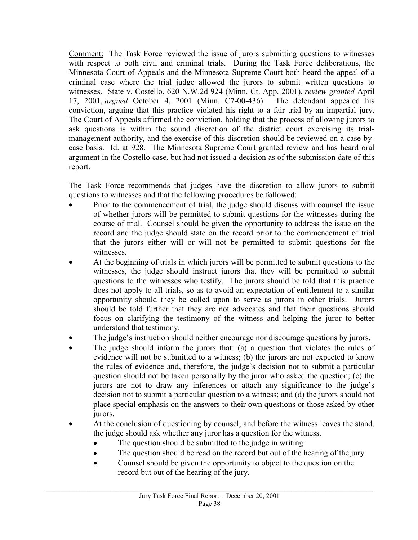Comment: The Task Force reviewed the issue of jurors submitting questions to witnesses with respect to both civil and criminal trials. During the Task Force deliberations, the Minnesota Court of Appeals and the Minnesota Supreme Court both heard the appeal of a criminal case where the trial judge allowed the jurors to submit written questions to witnesses. State v. Costello, 620 N.W.2d 924 (Minn. Ct. App. 2001), *review granted* April 17, 2001, *argued* October 4, 2001 (Minn. C7-00-436). The defendant appealed his conviction, arguing that this practice violated his right to a fair trial by an impartial jury. The Court of Appeals affirmed the conviction, holding that the process of allowing jurors to ask questions is within the sound discretion of the district court exercising its trialmanagement authority, and the exercise of this discretion should be reviewed on a case-bycase basis. Id. at 928. The Minnesota Supreme Court granted review and has heard oral argument in the Costello case, but had not issued a decision as of the submission date of this report.

The Task Force recommends that judges have the discretion to allow jurors to submit questions to witnesses and that the following procedures be followed:

- Prior to the commencement of trial, the judge should discuss with counsel the issue of whether jurors will be permitted to submit questions for the witnesses during the course of trial. Counsel should be given the opportunity to address the issue on the record and the judge should state on the record prior to the commencement of trial that the jurors either will or will not be permitted to submit questions for the witnesses.
- At the beginning of trials in which jurors will be permitted to submit questions to the witnesses, the judge should instruct jurors that they will be permitted to submit questions to the witnesses who testify. The jurors should be told that this practice does not apply to all trials, so as to avoid an expectation of entitlement to a similar opportunity should they be called upon to serve as jurors in other trials. Jurors should be told further that they are not advocates and that their questions should focus on clarifying the testimony of the witness and helping the juror to better understand that testimony.
- The judge's instruction should neither encourage nor discourage questions by jurors.
- The judge should inform the jurors that: (a) a question that violates the rules of evidence will not be submitted to a witness; (b) the jurors are not expected to know the rules of evidence and, therefore, the judge's decision not to submit a particular question should not be taken personally by the juror who asked the question; (c) the jurors are not to draw any inferences or attach any significance to the judge's decision not to submit a particular question to a witness; and (d) the jurors should not place special emphasis on the answers to their own questions or those asked by other jurors.
- At the conclusion of questioning by counsel, and before the witness leaves the stand, the judge should ask whether any juror has a question for the witness.
	- The question should be submitted to the judge in writing.
	- The question should be read on the record but out of the hearing of the jury.
	- Counsel should be given the opportunity to object to the question on the record but out of the hearing of the jury.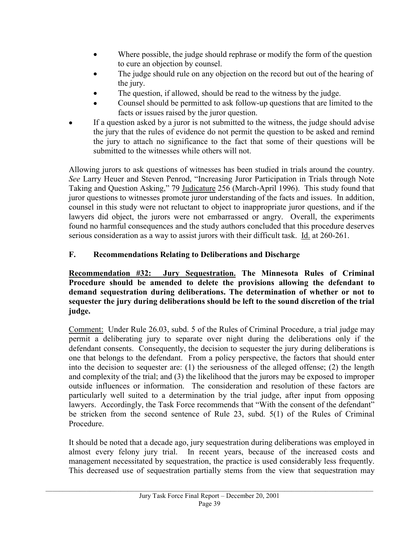- Where possible, the judge should rephrase or modify the form of the question to cure an objection by counsel.
- The judge should rule on any objection on the record but out of the hearing of the jury.
- The question, if allowed, should be read to the witness by the judge.
- Counsel should be permitted to ask follow-up questions that are limited to the facts or issues raised by the juror question.
- If a question asked by a juror is not submitted to the witness, the judge should advise the jury that the rules of evidence do not permit the question to be asked and remind the jury to attach no significance to the fact that some of their questions will be submitted to the witnesses while others will not.

Allowing jurors to ask questions of witnesses has been studied in trials around the country. *See* Larry Heuer and Steven Penrod, "Increasing Juror Participation in Trials through Note Taking and Question Asking," 79 Judicature 256 (March-April 1996). This study found that juror questions to witnesses promote juror understanding of the facts and issues. In addition, counsel in this study were not reluctant to object to inappropriate juror questions, and if the lawyers did object, the jurors were not embarrassed or angry. Overall, the experiments found no harmful consequences and the study authors concluded that this procedure deserves serious consideration as a way to assist jurors with their difficult task. Id. at 260-261.

## **F. Recommendations Relating to Deliberations and Discharge**

**Recommendation #32: Jury Sequestration. The Minnesota Rules of Criminal Procedure should be amended to delete the provisions allowing the defendant to demand sequestration during deliberations. The determination of whether or not to sequester the jury during deliberations should be left to the sound discretion of the trial judge.** 

Comment: Under Rule 26.03, subd. 5 of the Rules of Criminal Procedure, a trial judge may permit a deliberating jury to separate over night during the deliberations only if the defendant consents. Consequently, the decision to sequester the jury during deliberations is one that belongs to the defendant. From a policy perspective, the factors that should enter into the decision to sequester are: (1) the seriousness of the alleged offense; (2) the length and complexity of the trial; and (3) the likelihood that the jurors may be exposed to improper outside influences or information. The consideration and resolution of these factors are particularly well suited to a determination by the trial judge, after input from opposing lawyers. Accordingly, the Task Force recommends that "With the consent of the defendant" be stricken from the second sentence of Rule 23, subd. 5(1) of the Rules of Criminal Procedure.

It should be noted that a decade ago, jury sequestration during deliberations was employed in almost every felony jury trial. In recent years, because of the increased costs and management necessitated by sequestration, the practice is used considerably less frequently. This decreased use of sequestration partially stems from the view that sequestration may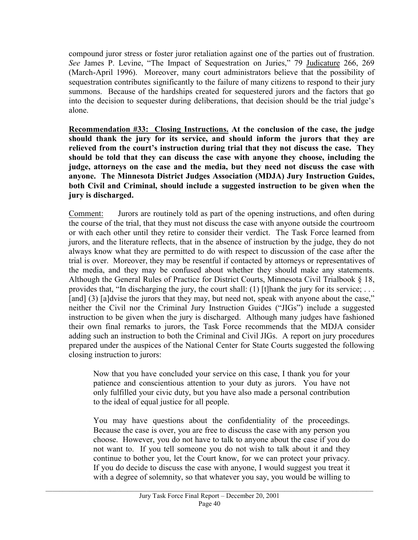compound juror stress or foster juror retaliation against one of the parties out of frustration. *See* James P. Levine, "The Impact of Sequestration on Juries," 79 Judicature 266, 269 (March-April 1996). Moreover, many court administrators believe that the possibility of sequestration contributes significantly to the failure of many citizens to respond to their jury summons. Because of the hardships created for sequestered jurors and the factors that go into the decision to sequester during deliberations, that decision should be the trial judge's alone.

**Recommendation #33: Closing Instructions. At the conclusion of the case, the judge should thank the jury for its service, and should inform the jurors that they are relieved from the court's instruction during trial that they not discuss the case. They should be told that they can discuss the case with anyone they choose, including the judge, attorneys on the case and the media, but they need not discuss the case with anyone. The Minnesota District Judges Association (MDJA) Jury Instruction Guides, both Civil and Criminal, should include a suggested instruction to be given when the jury is discharged.** 

Comment: Jurors are routinely told as part of the opening instructions, and often during the course of the trial, that they must not discuss the case with anyone outside the courtroom or with each other until they retire to consider their verdict. The Task Force learned from jurors, and the literature reflects, that in the absence of instruction by the judge, they do not always know what they are permitted to do with respect to discussion of the case after the trial is over. Moreover, they may be resentful if contacted by attorneys or representatives of the media, and they may be confused about whether they should make any statements. Although the General Rules of Practice for District Courts, Minnesota Civil Trialbook § 18, provides that, "In discharging the jury, the court shall: (1) [t]hank the jury for its service; . . . [and] (3) [a]dvise the jurors that they may, but need not, speak with anyone about the case," neither the Civil nor the Criminal Jury Instruction Guides ("JIGs") include a suggested instruction to be given when the jury is discharged. Although many judges have fashioned their own final remarks to jurors, the Task Force recommends that the MDJA consider adding such an instruction to both the Criminal and Civil JIGs. A report on jury procedures prepared under the auspices of the National Center for State Courts suggested the following closing instruction to jurors:

Now that you have concluded your service on this case, I thank you for your patience and conscientious attention to your duty as jurors. You have not only fulfilled your civic duty, but you have also made a personal contribution to the ideal of equal justice for all people.

You may have questions about the confidentiality of the proceedings. Because the case is over, you are free to discuss the case with any person you choose. However, you do not have to talk to anyone about the case if you do not want to. If you tell someone you do not wish to talk about it and they continue to bother you, let the Court know, for we can protect your privacy. If you do decide to discuss the case with anyone, I would suggest you treat it with a degree of solemnity, so that whatever you say, you would be willing to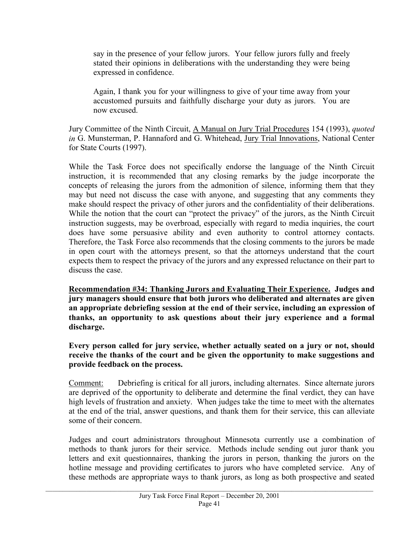say in the presence of your fellow jurors. Your fellow jurors fully and freely stated their opinions in deliberations with the understanding they were being expressed in confidence.

Again, I thank you for your willingness to give of your time away from your accustomed pursuits and faithfully discharge your duty as jurors. You are now excused.

Jury Committee of the Ninth Circuit, A Manual on Jury Trial Procedures 154 (1993), *quoted in* G. Munsterman, P. Hannaford and G. Whitehead, Jury Trial Innovations, National Center for State Courts (1997).

While the Task Force does not specifically endorse the language of the Ninth Circuit instruction, it is recommended that any closing remarks by the judge incorporate the concepts of releasing the jurors from the admonition of silence, informing them that they may but need not discuss the case with anyone, and suggesting that any comments they make should respect the privacy of other jurors and the confidentiality of their deliberations. While the notion that the court can "protect the privacy" of the jurors, as the Ninth Circuit instruction suggests, may be overbroad, especially with regard to media inquiries, the court does have some persuasive ability and even authority to control attorney contacts. Therefore, the Task Force also recommends that the closing comments to the jurors be made in open court with the attorneys present, so that the attorneys understand that the court expects them to respect the privacy of the jurors and any expressed reluctance on their part to discuss the case.

**Recommendation #34: Thanking Jurors and Evaluating Their Experience. Judges and jury managers should ensure that both jurors who deliberated and alternates are given an appropriate debriefing session at the end of their service, including an expression of thanks, an opportunity to ask questions about their jury experience and a formal discharge.** 

**Every person called for jury service, whether actually seated on a jury or not, should receive the thanks of the court and be given the opportunity to make suggestions and provide feedback on the process.** 

Comment: Debriefing is critical for all jurors, including alternates. Since alternate jurors are deprived of the opportunity to deliberate and determine the final verdict, they can have high levels of frustration and anxiety. When judges take the time to meet with the alternates at the end of the trial, answer questions, and thank them for their service, this can alleviate some of their concern.

Judges and court administrators throughout Minnesota currently use a combination of methods to thank jurors for their service. Methods include sending out juror thank you letters and exit questionnaires, thanking the jurors in person, thanking the jurors on the hotline message and providing certificates to jurors who have completed service. Any of these methods are appropriate ways to thank jurors, as long as both prospective and seated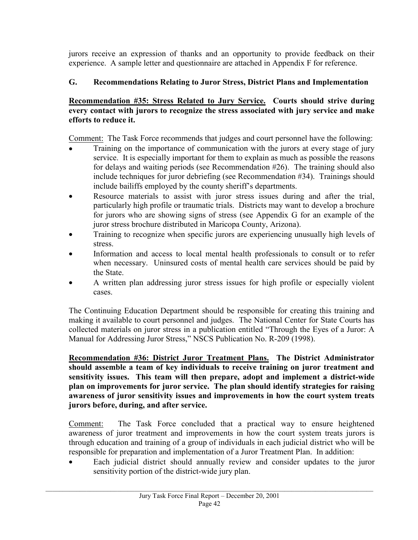jurors receive an expression of thanks and an opportunity to provide feedback on their experience. A sample letter and questionnaire are attached in Appendix F for reference.

## **G. Recommendations Relating to Juror Stress, District Plans and Implementation**

#### **Recommendation #35: Stress Related to Jury Service. Courts should strive during every contact with jurors to recognize the stress associated with jury service and make efforts to reduce it.**

Comment: The Task Force recommends that judges and court personnel have the following:

- Training on the importance of communication with the jurors at every stage of jury service. It is especially important for them to explain as much as possible the reasons for delays and waiting periods (see Recommendation #26). The training should also include techniques for juror debriefing (see Recommendation #34). Trainings should include bailiffs employed by the county sheriff's departments.
- Resource materials to assist with juror stress issues during and after the trial, particularly high profile or traumatic trials. Districts may want to develop a brochure for jurors who are showing signs of stress (see Appendix G for an example of the juror stress brochure distributed in Maricopa County, Arizona).
- Training to recognize when specific jurors are experiencing unusually high levels of stress.
- Information and access to local mental health professionals to consult or to refer when necessary. Uninsured costs of mental health care services should be paid by the State.
- A written plan addressing juror stress issues for high profile or especially violent cases.

The Continuing Education Department should be responsible for creating this training and making it available to court personnel and judges. The National Center for State Courts has collected materials on juror stress in a publication entitled "Through the Eyes of a Juror: A Manual for Addressing Juror Stress," NSCS Publication No. R-209 (1998).

**Recommendation #36: District Juror Treatment Plans. The District Administrator should assemble a team of key individuals to receive training on juror treatment and sensitivity issues. This team will then prepare, adopt and implement a district-wide plan on improvements for juror service. The plan should identify strategies for raising awareness of juror sensitivity issues and improvements in how the court system treats jurors before, during, and after service.** 

Comment: The Task Force concluded that a practical way to ensure heightened awareness of juror treatment and improvements in how the court system treats jurors is through education and training of a group of individuals in each judicial district who will be responsible for preparation and implementation of a Juror Treatment Plan. In addition:

• Each judicial district should annually review and consider updates to the juror sensitivity portion of the district-wide jury plan.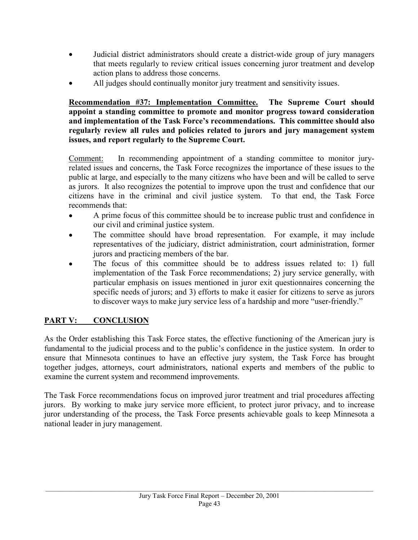- Judicial district administrators should create a district-wide group of jury managers that meets regularly to review critical issues concerning juror treatment and develop action plans to address those concerns.
- All judges should continually monitor jury treatment and sensitivity issues.

**Recommendation #37: Implementation Committee. The Supreme Court should appoint a standing committee to promote and monitor progress toward consideration and implementation of the Task Force's recommendations. This committee should also regularly review all rules and policies related to jurors and jury management system issues, and report regularly to the Supreme Court.** 

Comment: In recommending appointment of a standing committee to monitor juryrelated issues and concerns, the Task Force recognizes the importance of these issues to the public at large, and especially to the many citizens who have been and will be called to serve as jurors. It also recognizes the potential to improve upon the trust and confidence that our citizens have in the criminal and civil justice system. To that end, the Task Force recommends that:

- A prime focus of this committee should be to increase public trust and confidence in our civil and criminal justice system.
- The committee should have broad representation. For example, it may include representatives of the judiciary, district administration, court administration, former jurors and practicing members of the bar.
- The focus of this committee should be to address issues related to: 1) full implementation of the Task Force recommendations; 2) jury service generally, with particular emphasis on issues mentioned in juror exit questionnaires concerning the specific needs of jurors; and 3) efforts to make it easier for citizens to serve as jurors to discover ways to make jury service less of a hardship and more "user-friendly."

## **PART V: CONCLUSION**

As the Order establishing this Task Force states, the effective functioning of the American jury is fundamental to the judicial process and to the public's confidence in the justice system. In order to ensure that Minnesota continues to have an effective jury system, the Task Force has brought together judges, attorneys, court administrators, national experts and members of the public to examine the current system and recommend improvements.

The Task Force recommendations focus on improved juror treatment and trial procedures affecting jurors. By working to make jury service more efficient, to protect juror privacy, and to increase juror understanding of the process, the Task Force presents achievable goals to keep Minnesota a national leader in jury management.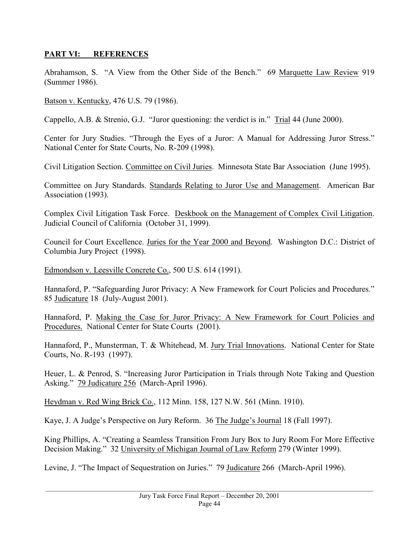#### **PART VI: REFERENCES**

Abrahamson, S. "A View from the Other Side of the Bench." 69 Marquette Law Review 919 (Summer 1986).

Batson v. Kentucky, 476 U.S. 79 (1986).

Cappello, A.B. & Strenio, G.J. "Juror questioning: the verdict is in." Trial 44 (June 2000).

Center for Jury Studies. "Through the Eyes of a Juror: A Manual for Addressing Juror Stress." National Center for State Courts, No. R-209 (1998).

Civil Litigation Section. Committee on Civil Juries. Minnesota State Bar Association (June 1995).

Committee on Jury Standards. Standards Relating to Juror Use and Management. American Bar Association (1993).

Complex Civil Litigation Task Force. Deskbook on the Management of Complex Civil Litigation. Judicial Council of California (October 31, 1999).

Council for Court Excellence. Juries for the Year 2000 and Beyond. Washington D.C.: District of Columbia Jury Project (1998).

Edmondson v. Leesville Concrete Co., 500 U.S. 614 (1991).

Hannaford, P. "Safeguarding Juror Privacy: A New Framework for Court Policies and Procedures." 85 Judicature 18 (July-August 2001).

Hannaford, P. Making the Case for Juror Privacy: A New Framework for Court Policies and Procedures. National Center for State Courts (2001).

Hannaford, P., Munsterman, T. & Whitehead, M. Jury Trial Innovations. National Center for State Courts, No. R-193 (1997).

Heuer, L. & Penrod, S. "Increasing Juror Participation in Trials through Note Taking and Question Asking." 79 Judicature 256 (March-April 1996).

Heydman v. Red Wing Brick Co., 112 Minn. 158, 127 N.W. 561 (Minn. 1910).

Kaye, J. A Judge's Perspective on Jury Reform. 36 The Judge's Journal 18 (Fall 1997).

King Phillips, A. "Creating a Seamless Transition From Jury Box to Jury Room For More Effective Decision Making." 32 University of Michigan Journal of Law Reform 279 (Winter 1999).

Levine, J. "The Impact of Sequestration on Juries." 79 Judicature 266 (March-April 1996).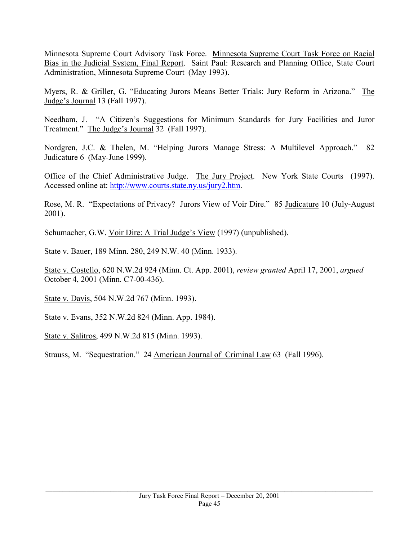Minnesota Supreme Court Advisory Task Force. Minnesota Supreme Court Task Force on Racial Bias in the Judicial System, Final Report. Saint Paul: Research and Planning Office, State Court Administration, Minnesota Supreme Court (May 1993).

Myers, R. & Griller, G. "Educating Jurors Means Better Trials: Jury Reform in Arizona." The Judge's Journal 13 (Fall 1997).

Needham, J. "A Citizen's Suggestions for Minimum Standards for Jury Facilities and Juror Treatment." The Judge's Journal 32 (Fall 1997).

Nordgren, J.C. & Thelen, M. "Helping Jurors Manage Stress: A Multilevel Approach." 82 Judicature 6 (May-June 1999).

Office of the Chief Administrative Judge. The Jury Project. New York State Courts (1997). Accessed online at: http://www.courts.state.ny.us/jury2.htm.

Rose, M. R. "Expectations of Privacy? Jurors View of Voir Dire." 85 Judicature 10 (July-August 2001).

Schumacher, G.W. Voir Dire: A Trial Judge's View (1997) (unpublished).

State v. Bauer, 189 Minn. 280, 249 N.W. 40 (Minn. 1933).

State v. Costello, 620 N.W.2d 924 (Minn. Ct. App. 2001), *review granted* April 17, 2001, *argued* October 4, 2001 (Minn. C7-00-436).

State v. Davis, 504 N.W.2d 767 (Minn. 1993).

State v. Evans, 352 N.W.2d 824 (Minn. App. 1984).

State v. Salitros, 499 N.W.2d 815 (Minn. 1993).

Strauss, M. "Sequestration." 24 American Journal of Criminal Law 63 (Fall 1996).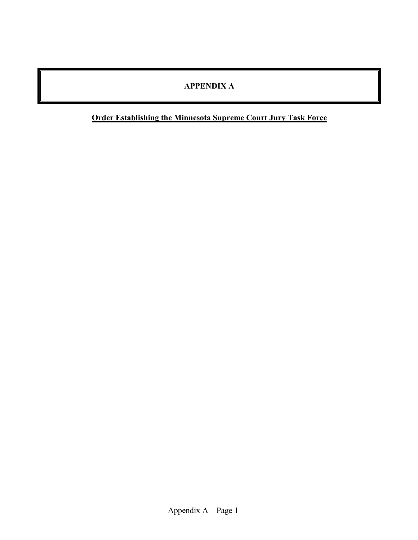## **APPENDIX A**

## **Order Establishing the Minnesota Supreme Court Jury Task Force**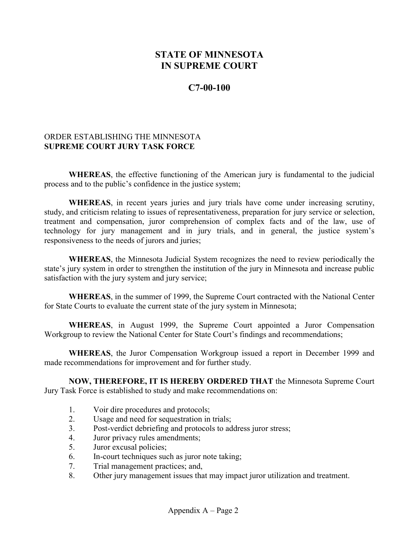## **STATE OF MINNESOTA IN SUPREME COURT**

#### **C7-00-100**

#### ORDER ESTABLISHING THE MINNESOTA **SUPREME COURT JURY TASK FORCE**

**WHEREAS**, the effective functioning of the American jury is fundamental to the judicial process and to the public's confidence in the justice system;

**WHEREAS**, in recent years juries and jury trials have come under increasing scrutiny, study, and criticism relating to issues of representativeness, preparation for jury service or selection, treatment and compensation, juror comprehension of complex facts and of the law, use of technology for jury management and in jury trials, and in general, the justice system's responsiveness to the needs of jurors and juries;

**WHEREAS**, the Minnesota Judicial System recognizes the need to review periodically the state's jury system in order to strengthen the institution of the jury in Minnesota and increase public satisfaction with the jury system and jury service;

**WHEREAS**, in the summer of 1999, the Supreme Court contracted with the National Center for State Courts to evaluate the current state of the jury system in Minnesota;

**WHEREAS**, in August 1999, the Supreme Court appointed a Juror Compensation Workgroup to review the National Center for State Court's findings and recommendations;

**WHEREAS**, the Juror Compensation Workgroup issued a report in December 1999 and made recommendations for improvement and for further study.

**NOW, THEREFORE, IT IS HEREBY ORDERED THAT** the Minnesota Supreme Court Jury Task Force is established to study and make recommendations on:

- 1. Voir dire procedures and protocols;
- 2. Usage and need for sequestration in trials;
- 3. Post-verdict debriefing and protocols to address juror stress;
- 4. Juror privacy rules amendments;
- 5. Juror excusal policies;
- 6. In-court techniques such as juror note taking;
- 7. Trial management practices; and,
- 8. Other jury management issues that may impact juror utilization and treatment.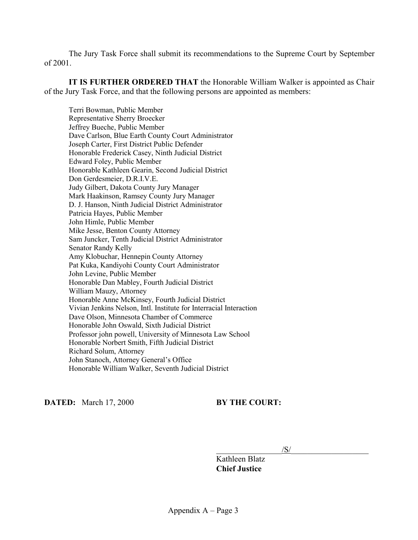The Jury Task Force shall submit its recommendations to the Supreme Court by September of 2001.

**IT IS FURTHER ORDERED THAT** the Honorable William Walker is appointed as Chair of the Jury Task Force, and that the following persons are appointed as members:

 Terri Bowman, Public Member Representative Sherry Broecker Jeffrey Bueche, Public Member Dave Carlson, Blue Earth County Court Administrator Joseph Carter, First District Public Defender Honorable Frederick Casey, Ninth Judicial District Edward Foley, Public Member Honorable Kathleen Gearin, Second Judicial District Don Gerdesmeier, D.R.I.V.E. Judy Gilbert, Dakota County Jury Manager Mark Haakinson, Ramsey County Jury Manager D. J. Hanson, Ninth Judicial District Administrator Patricia Hayes, Public Member John Himle, Public Member Mike Jesse, Benton County Attorney Sam Juncker, Tenth Judicial District Administrator Senator Randy Kelly Amy Klobuchar, Hennepin County Attorney Pat Kuka, Kandiyohi County Court Administrator John Levine, Public Member Honorable Dan Mabley, Fourth Judicial District William Mauzy, Attorney Honorable Anne McKinsey, Fourth Judicial District Vivian Jenkins Nelson, Intl. Institute for Interracial Interaction Dave Olson, Minnesota Chamber of Commerce Honorable John Oswald, Sixth Judicial District Professor john powell, University of Minnesota Law School Honorable Norbert Smith, Fifth Judicial District Richard Solum, Attorney John Stanoch, Attorney General's Office Honorable William Walker, Seventh Judicial District

**DATED:** March 17, 2000 **BY THE COURT:** 

 $/\text{S}/\text{S}$ 

 Kathleen Blatz  **Chief Justice**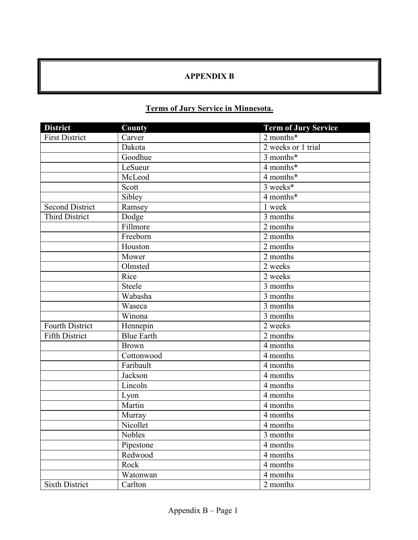## **APPENDIX B**

## **Terms of Jury Service in Minnesota.**

| <b>District</b>        | County            | <b>Term of Jury Service</b> |
|------------------------|-------------------|-----------------------------|
| First District         | Carver            | 2 months*                   |
|                        | Dakota            | 2 weeks or 1 trial          |
|                        | Goodhue           | 3 months*                   |
|                        | LeSueur           | 4 months*                   |
|                        | McLeod            | 4 months*                   |
|                        | Scott             | 3 weeks*                    |
|                        | Sibley            | 4 months*                   |
| <b>Second District</b> | Ramsey            | 1 week                      |
| <b>Third District</b>  | Dodge             | 3 months                    |
|                        | Fillmore          | 2 months                    |
|                        | Freeborn          | 2 months                    |
|                        | Houston           | 2 months                    |
|                        | Mower             | 2 months                    |
|                        | Olmsted           | 2 weeks                     |
|                        | Rice              | 2 weeks                     |
|                        | Steele            | 3 months                    |
|                        | Wabasha           | 3 months                    |
|                        | Waseca            | 3 months                    |
|                        | Winona            | $\frac{1}{3}$ months        |
| <b>Fourth District</b> | Hennepin          | 2 weeks                     |
| <b>Fifth District</b>  | <b>Blue Earth</b> | $\overline{2}$ months       |
|                        | <b>Brown</b>      | 4 months                    |
|                        | Cottonwood        | 4 months                    |
|                        | Faribault         | 4 months                    |
|                        | Jackson           | 4 months                    |
|                        | Lincoln           | 4 months                    |
|                        | Lyon              | 4 months                    |
|                        | Martin            | 4 months                    |
|                        | Murray            | 4 months                    |
|                        | Nicollet          | 4 months                    |
|                        | <b>Nobles</b>     | 3 months                    |
|                        | Pipestone         | 4 months                    |
|                        | Redwood           | 4 months                    |
|                        | Rock              | 4 months                    |
|                        | Watonwan          | 4 months                    |
| <b>Sixth District</b>  | Carlton           | 2 months                    |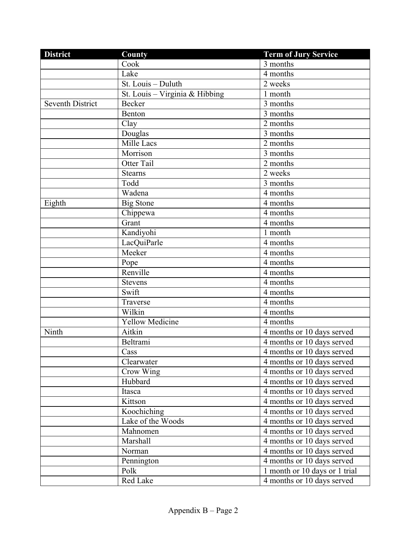| <b>District</b>         | County                         | <b>Term of Jury Service</b>                          |
|-------------------------|--------------------------------|------------------------------------------------------|
|                         | Cook                           | 3 months                                             |
|                         | Lake                           | 4 months                                             |
|                         | St. Louis - Duluth             | 2 weeks                                              |
|                         | St. Louis - Virginia & Hibbing | 1 month                                              |
| <b>Seventh District</b> | Becker                         | $3$ months                                           |
|                         | <b>Benton</b>                  | 3 months                                             |
|                         | Clay                           | 2 months                                             |
|                         | Douglas                        | 3 months                                             |
|                         | Mille Lacs                     | 2 months                                             |
|                         | Morrison                       | 3 months                                             |
|                         | Otter Tail                     | 2 months                                             |
|                         | <b>Stearns</b>                 | 2 weeks                                              |
|                         | Todd                           | 3 months                                             |
|                         | Wadena                         | 4 months                                             |
| Eighth                  | <b>Big Stone</b>               | 4 months                                             |
|                         | Chippewa                       | 4 months                                             |
|                         | Grant                          | 4 months                                             |
|                         | Kandiyohi                      | 1 month                                              |
|                         | LacQuiParle                    | 4 months                                             |
|                         | Meeker                         | 4 months                                             |
|                         | Pope                           | 4 months                                             |
|                         | Renville                       | 4 months                                             |
|                         | <b>Stevens</b>                 | 4 months                                             |
|                         | Swift                          | 4 months                                             |
|                         | Traverse                       | 4 months                                             |
|                         | Wilkin                         | 4 months                                             |
|                         | <b>Yellow Medicine</b>         | 4 months                                             |
| Ninth                   | Aitkin                         | 4 months or 10 days served                           |
|                         | Beltrami                       | 4 months or 10 days served                           |
|                         | Cass                           | 4 months or 10 days served                           |
|                         | Clearwater                     | 4 months or 10 days served                           |
|                         | Crow Wing                      | 4 months or 10 days served                           |
|                         | Hubbard                        | 4 months or 10 days served                           |
|                         | Itasca                         | 4 months or $10$ days served                         |
|                         | Kittson                        | 4 months or 10 days served                           |
|                         | Koochiching                    | $\overline{4}$ months or $\overline{1}0$ days served |
|                         | Lake of the Woods              | 4 months or 10 days served                           |
|                         | Mahnomen                       | 4 months or 10 days served                           |
|                         | Marshall                       | 4 months or 10 days served                           |
|                         | Norman                         | 4 months or 10 days served                           |
|                         | Pennington                     | 4 months or 10 days served                           |
|                         | Polk                           | 1 month or 10 days or 1 trial                        |
|                         | Red Lake                       | 4 months or 10 days served                           |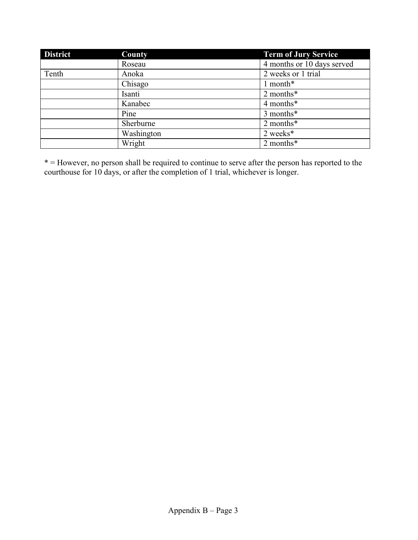| <b>District</b> | County     | <b>Term of Jury Service</b> |
|-----------------|------------|-----------------------------|
|                 | Roseau     | 4 months or 10 days served  |
| Tenth           | Anoka      | 2 weeks or 1 trial          |
|                 | Chisago    | 1 month*                    |
|                 | Isanti     | 2 months*                   |
|                 | Kanabec    | 4 months*                   |
|                 | Pine       | 3 months*                   |
|                 | Sherburne  | 2 months*                   |
|                 | Washington | 2 weeks*                    |
|                 | Wright     | 2 months*                   |

\* = However, no person shall be required to continue to serve after the person has reported to the courthouse for 10 days, or after the completion of 1 trial, whichever is longer.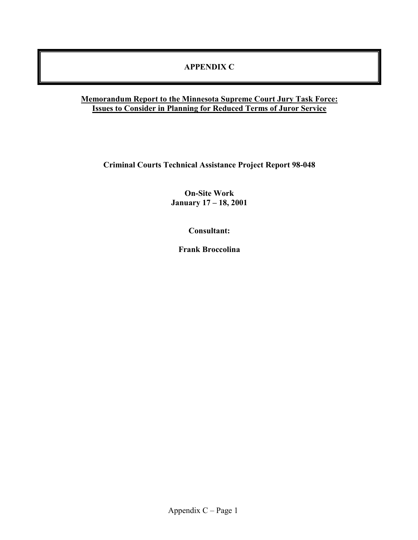#### **APPENDIX C**

#### **Memorandum Report to the Minnesota Supreme Court Jury Task Force: Issues to Consider in Planning for Reduced Terms of Juror Service**

**Criminal Courts Technical Assistance Project Report 98-048** 

**On-Site Work January 17 – 18, 2001** 

**Consultant:** 

**Frank Broccolina**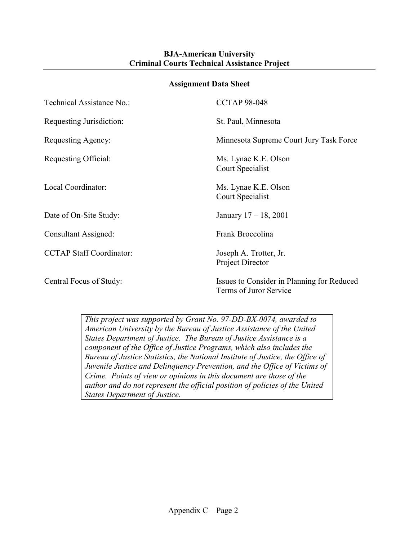#### **BJA-American University Criminal Courts Technical Assistance Project**

#### **Assignment Data Sheet**

| Technical Assistance No.:       | <b>CCTAP 98-048</b>                                                  |
|---------------------------------|----------------------------------------------------------------------|
| Requesting Jurisdiction:        | St. Paul, Minnesota                                                  |
| Requesting Agency:              | Minnesota Supreme Court Jury Task Force                              |
| Requesting Official:            | Ms. Lynae K.E. Olson<br>Court Specialist                             |
| Local Coordinator:              | Ms. Lynae K.E. Olson<br>Court Specialist                             |
| Date of On-Site Study:          | January $17 - 18$ , 2001                                             |
| Consultant Assigned:            | Frank Broccolina                                                     |
| <b>CCTAP Staff Coordinator:</b> | Joseph A. Trotter, Jr.<br>Project Director                           |
| Central Focus of Study:         | Issues to Consider in Planning for Reduced<br>Terms of Juror Service |

*This project was supported by Grant No. 97-DD-BX-0074, awarded to American University by the Bureau of Justice Assistance of the United States Department of Justice. The Bureau of Justice Assistance is a component of the Office of Justice Programs, which also includes the Bureau of Justice Statistics, the National Institute of Justice, the Office of Juvenile Justice and Delinquency Prevention, and the Office of Victims of Crime. Points of view or opinions in this document are those of the author and do not represent the official position of policies of the United States Department of Justice.*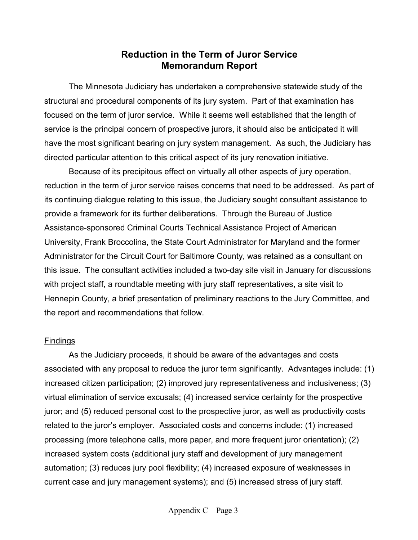## **Reduction in the Term of Juror Service Memorandum Report**

 The Minnesota Judiciary has undertaken a comprehensive statewide study of the structural and procedural components of its jury system. Part of that examination has focused on the term of juror service. While it seems well established that the length of service is the principal concern of prospective jurors, it should also be anticipated it will have the most significant bearing on jury system management. As such, the Judiciary has directed particular attention to this critical aspect of its jury renovation initiative.

 Because of its precipitous effect on virtually all other aspects of jury operation, reduction in the term of juror service raises concerns that need to be addressed. As part of its continuing dialogue relating to this issue, the Judiciary sought consultant assistance to provide a framework for its further deliberations. Through the Bureau of Justice Assistance-sponsored Criminal Courts Technical Assistance Project of American University, Frank Broccolina, the State Court Administrator for Maryland and the former Administrator for the Circuit Court for Baltimore County, was retained as a consultant on this issue. The consultant activities included a two-day site visit in January for discussions with project staff, a roundtable meeting with jury staff representatives, a site visit to Hennepin County, a brief presentation of preliminary reactions to the Jury Committee, and the report and recommendations that follow.

#### **Findings**

 As the Judiciary proceeds, it should be aware of the advantages and costs associated with any proposal to reduce the juror term significantly. Advantages include: (1) increased citizen participation; (2) improved jury representativeness and inclusiveness; (3) virtual elimination of service excusals; (4) increased service certainty for the prospective juror; and (5) reduced personal cost to the prospective juror, as well as productivity costs related to the juror's employer. Associated costs and concerns include: (1) increased processing (more telephone calls, more paper, and more frequent juror orientation); (2) increased system costs (additional jury staff and development of jury management automation; (3) reduces jury pool flexibility; (4) increased exposure of weaknesses in current case and jury management systems); and (5) increased stress of jury staff.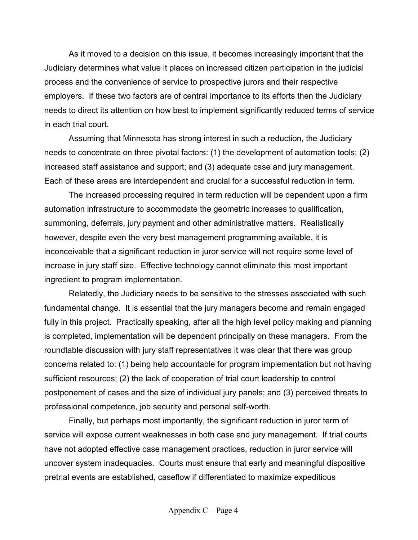As it moved to a decision on this issue, it becomes increasingly important that the Judiciary determines what value it places on increased citizen participation in the judicial process and the convenience of service to prospective jurors and their respective employers. If these two factors are of central importance to its efforts then the Judiciary needs to direct its attention on how best to implement significantly reduced terms of service in each trial court.

 Assuming that Minnesota has strong interest in such a reduction, the Judiciary needs to concentrate on three pivotal factors: (1) the development of automation tools; (2) increased staff assistance and support; and (3) adequate case and jury management. Each of these areas are interdependent and crucial for a successful reduction in term.

 The increased processing required in term reduction will be dependent upon a firm automation infrastructure to accommodate the geometric increases to qualification, summoning, deferrals, jury payment and other administrative matters. Realistically however, despite even the very best management programming available, it is inconceivable that a significant reduction in juror service will not require some level of increase in jury staff size. Effective technology cannot eliminate this most important ingredient to program implementation.

 Relatedly, the Judiciary needs to be sensitive to the stresses associated with such fundamental change. It is essential that the jury managers become and remain engaged fully in this project. Practically speaking, after all the high level policy making and planning is completed, implementation will be dependent principally on these managers. From the roundtable discussion with jury staff representatives it was clear that there was group concerns related to: (1) being help accountable for program implementation but not having sufficient resources; (2) the lack of cooperation of trial court leadership to control postponement of cases and the size of individual jury panels; and (3) perceived threats to professional competence, job security and personal self-worth.

 Finally, but perhaps most importantly, the significant reduction in juror term of service will expose current weaknesses in both case and jury management. If trial courts have not adopted effective case management practices, reduction in juror service will uncover system inadequacies. Courts must ensure that early and meaningful dispositive pretrial events are established, caseflow if differentiated to maximize expeditious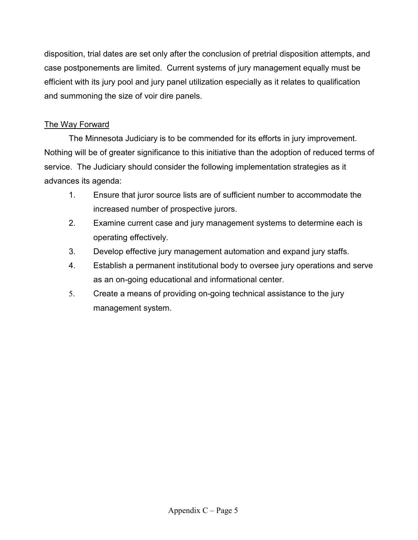disposition, trial dates are set only after the conclusion of pretrial disposition attempts, and case postponements are limited. Current systems of jury management equally must be efficient with its jury pool and jury panel utilization especially as it relates to qualification and summoning the size of voir dire panels.

## The Way Forward

 The Minnesota Judiciary is to be commended for its efforts in jury improvement. Nothing will be of greater significance to this initiative than the adoption of reduced terms of service. The Judiciary should consider the following implementation strategies as it advances its agenda:

- 1. Ensure that juror source lists are of sufficient number to accommodate the increased number of prospective jurors.
- 2. Examine current case and jury management systems to determine each is operating effectively.
- 3. Develop effective jury management automation and expand jury staffs.
- 4. Establish a permanent institutional body to oversee jury operations and serve as an on-going educational and informational center.
- 5. Create a means of providing on-going technical assistance to the jury management system.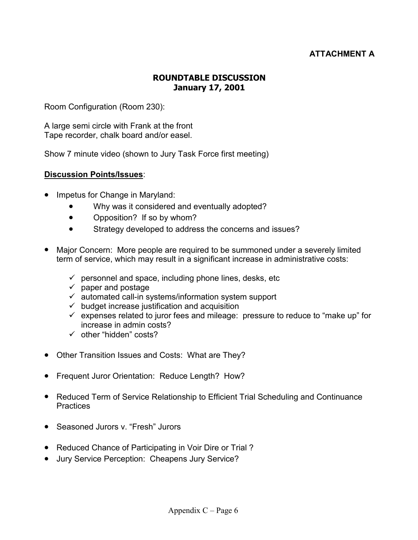#### **ATTACHMENT A**

#### **ROUNDTABLE DISCUSSION January 17, 2001**

Room Configuration (Room 230):

A large semi circle with Frank at the front Tape recorder, chalk board and/or easel.

Show 7 minute video (shown to Jury Task Force first meeting)

#### **Discussion Points/Issues**:

- Impetus for Change in Maryland:
	- Why was it considered and eventually adopted?
	- Opposition? If so by whom?
	- Strategy developed to address the concerns and issues?
- Major Concern: More people are required to be summoned under a severely limited term of service, which may result in a significant increase in administrative costs:
	- $\checkmark$  personnel and space, including phone lines, desks, etc
	- $\checkmark$  paper and postage
	- $\checkmark$  automated call-in systems/information system support
	- $\checkmark$  budget increase justification and acquisition
	- $\checkmark$  expenses related to juror fees and mileage: pressure to reduce to "make up" for increase in admin costs?
	- $\checkmark$  other "hidden" costs?
- Other Transition Issues and Costs: What are They?
- Frequent Juror Orientation: Reduce Length? How?
- Reduced Term of Service Relationship to Efficient Trial Scheduling and Continuance **Practices**
- Seasoned Jurors v. "Fresh" Jurors
- Reduced Chance of Participating in Voir Dire or Trial ?
- Jury Service Perception: Cheapens Jury Service?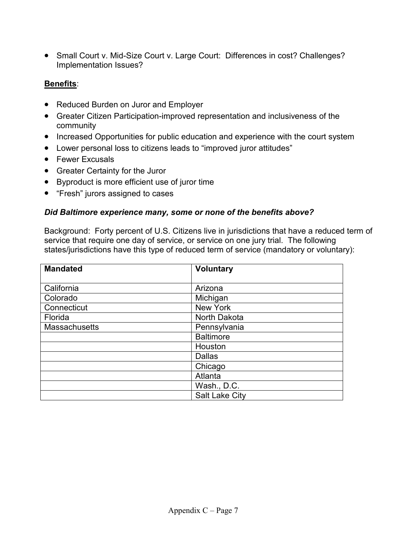• Small Court v. Mid-Size Court v. Large Court: Differences in cost? Challenges? Implementation Issues?

#### **Benefits**:

- Reduced Burden on Juror and Employer
- Greater Citizen Participation-improved representation and inclusiveness of the community
- Increased Opportunities for public education and experience with the court system
- Lower personal loss to citizens leads to "improved juror attitudes"
- Fewer Excusals
- Greater Certainty for the Juror
- Byproduct is more efficient use of juror time
- "Fresh" jurors assigned to cases

#### *Did Baltimore experience many, some or none of the benefits above?*

Background: Forty percent of U.S. Citizens live in jurisdictions that have a reduced term of service that require one day of service, or service on one jury trial. The following states/jurisdictions have this type of reduced term of service (mandatory or voluntary):

| <b>Mandated</b> | <b>Voluntary</b>      |  |
|-----------------|-----------------------|--|
| California      | Arizona               |  |
| Colorado        | Michigan              |  |
| Connecticut     | New York              |  |
| Florida         | North Dakota          |  |
| Massachusetts   | Pennsylvania          |  |
|                 | <b>Baltimore</b>      |  |
|                 | Houston               |  |
|                 | <b>Dallas</b>         |  |
|                 | Chicago               |  |
|                 | Atlanta               |  |
|                 | Wash., D.C.           |  |
|                 | <b>Salt Lake City</b> |  |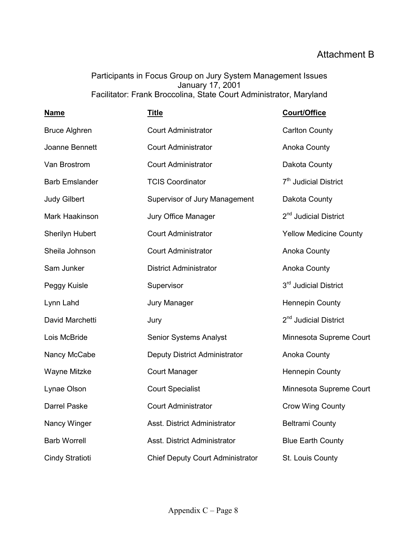## Attachment B

Participants in Focus Group on Jury System Management Issues January 17, 2001 Facilitator: Frank Broccolina, State Court Administrator, Maryland

| <b>Name</b>            | <u>Title</u>                            | Court/Office                      |
|------------------------|-----------------------------------------|-----------------------------------|
| <b>Bruce Alghren</b>   | <b>Court Administrator</b>              | <b>Carlton County</b>             |
| Joanne Bennett         | <b>Court Administrator</b>              | Anoka County                      |
| Van Brostrom           | <b>Court Administrator</b>              | Dakota County                     |
| <b>Barb Emslander</b>  | <b>TCIS Coordinator</b>                 | 7 <sup>th</sup> Judicial District |
| <b>Judy Gilbert</b>    | Supervisor of Jury Management           | Dakota County                     |
| Mark Haakinson         | Jury Office Manager                     | 2 <sup>nd</sup> Judicial District |
| <b>Sherilyn Hubert</b> | <b>Court Administrator</b>              | <b>Yellow Medicine County</b>     |
| Sheila Johnson         | <b>Court Administrator</b>              | Anoka County                      |
| Sam Junker             | <b>District Administrator</b>           | Anoka County                      |
| Peggy Kuisle           | Supervisor                              | 3rd Judicial District             |
| Lynn Lahd              | Jury Manager                            | <b>Hennepin County</b>            |
| David Marchetti        | Jury                                    | 2 <sup>nd</sup> Judicial District |
| Lois McBride           | <b>Senior Systems Analyst</b>           | Minnesota Supreme Court           |
| Nancy McCabe           | Deputy District Administrator           | Anoka County                      |
| Wayne Mitzke           | <b>Court Manager</b>                    | <b>Hennepin County</b>            |
| Lynae Olson            | <b>Court Specialist</b>                 | Minnesota Supreme Court           |
| Darrel Paske           | <b>Court Administrator</b>              | <b>Crow Wing County</b>           |
| Nancy Winger           | Asst. District Administrator            | <b>Beltrami County</b>            |
| <b>Barb Worrell</b>    | Asst. District Administrator            | <b>Blue Earth County</b>          |
| <b>Cindy Stratioti</b> | <b>Chief Deputy Court Administrator</b> | St. Louis County                  |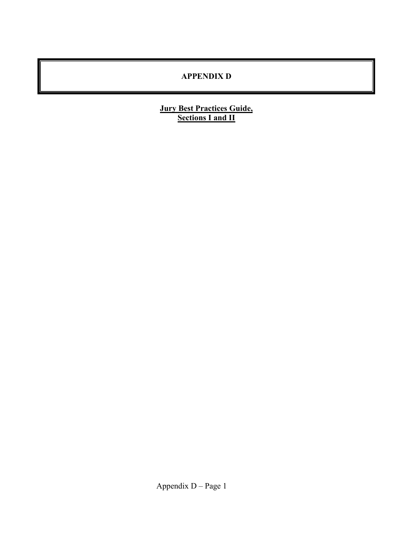## **APPENDIX D**

#### **Jury Best Practices Guide, Sections I and II**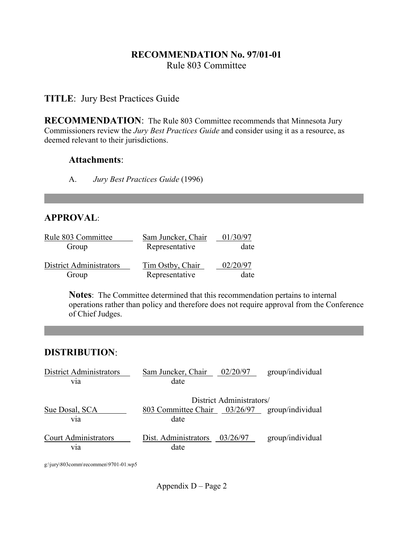## **RECOMMENDATION No. 97/01-01** Rule 803 Committee

## **TITLE**: Jury Best Practices Guide

**RECOMMENDATION**: The Rule 803 Committee recommends that Minnesota Jury Commissioners review the *Jury Best Practices Guide* and consider using it as a resource, as deemed relevant to their jurisdictions.

#### **Attachments**:

A. *Jury Best Practices Guide* (1996)

## **APPROVAL**:

| Rule 803 Committee             | Sam Juncker, Chair | 01/30/97 |  |
|--------------------------------|--------------------|----------|--|
| Group                          | Representative     | date     |  |
| <b>District Administrators</b> | Tim Ostby, Chair   | 02/20/97 |  |
| Group                          | Representative     | date     |  |

 **Notes**: The Committee determined that this recommendation pertains to internal operations rather than policy and therefore does not require approval from the Conference of Chief Judges.

## **DISTRIBUTION**:

| <b>District Administrators</b>                  | Sam Juncker, Chair                                    | 02/20/97                 | group/individual |
|-------------------------------------------------|-------------------------------------------------------|--------------------------|------------------|
| V1a                                             | date                                                  |                          |                  |
|                                                 |                                                       | District Administrators/ |                  |
| Sue Dosal, SCA<br>V1a                           | 803 Committee Chair 03/26/97 group/individual<br>date |                          |                  |
| <b>Court Administrators</b><br>V <sub>1</sub> a | Dist. Administrators<br>date                          | 03/26/97                 | group/individual |

g:\jury\803comm\recommen\9701-01.wp5

Appendix D – Page 2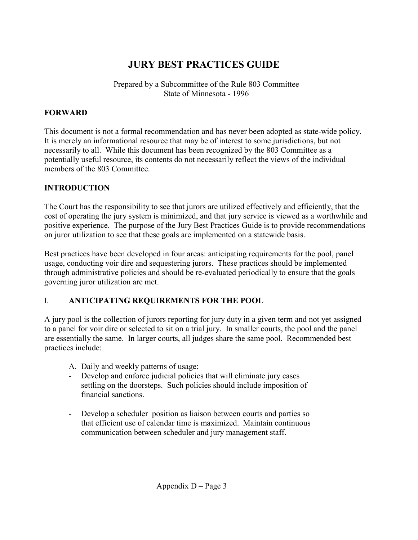# **JURY BEST PRACTICES GUIDE**

Prepared by a Subcommittee of the Rule 803 Committee State of Minnesota - 1996

#### **FORWARD**

This document is not a formal recommendation and has never been adopted as state-wide policy. It is merely an informational resource that may be of interest to some jurisdictions, but not necessarily to all. While this document has been recognized by the 803 Committee as a potentially useful resource, its contents do not necessarily reflect the views of the individual members of the 803 Committee.

## **INTRODUCTION**

The Court has the responsibility to see that jurors are utilized effectively and efficiently, that the cost of operating the jury system is minimized, and that jury service is viewed as a worthwhile and positive experience. The purpose of the Jury Best Practices Guide is to provide recommendations on juror utilization to see that these goals are implemented on a statewide basis.

Best practices have been developed in four areas: anticipating requirements for the pool, panel usage, conducting voir dire and sequestering jurors. These practices should be implemented through administrative policies and should be re-evaluated periodically to ensure that the goals governing juror utilization are met.

## I. **ANTICIPATING REQUIREMENTS FOR THE POOL**

A jury pool is the collection of jurors reporting for jury duty in a given term and not yet assigned to a panel for voir dire or selected to sit on a trial jury. In smaller courts, the pool and the panel are essentially the same. In larger courts, all judges share the same pool. Recommended best practices include:

- A. Daily and weekly patterns of usage:
- Develop and enforce judicial policies that will eliminate jury cases settling on the doorsteps. Such policies should include imposition of financial sanctions.
- Develop a scheduler position as liaison between courts and parties so that efficient use of calendar time is maximized. Maintain continuous communication between scheduler and jury management staff.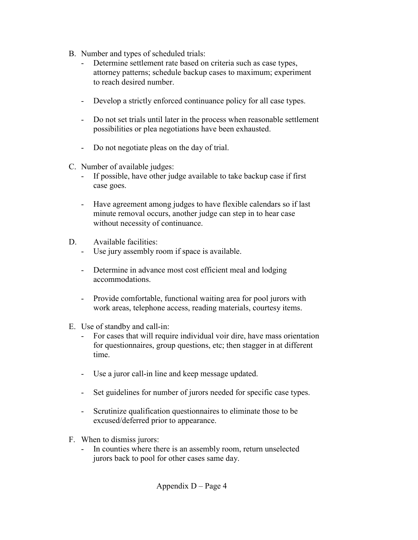- B. Number and types of scheduled trials:
	- Determine settlement rate based on criteria such as case types, attorney patterns; schedule backup cases to maximum; experiment to reach desired number.
	- Develop a strictly enforced continuance policy for all case types.
	- Do not set trials until later in the process when reasonable settlement possibilities or plea negotiations have been exhausted.
	- Do not negotiate pleas on the day of trial.
- C. Number of available judges:
	- If possible, have other judge available to take backup case if first case goes.
	- Have agreement among judges to have flexible calendars so if last minute removal occurs, another judge can step in to hear case without necessity of continuance.
- D. Available facilities:
	- Use jury assembly room if space is available.
	- Determine in advance most cost efficient meal and lodging accommodations.
	- Provide comfortable, functional waiting area for pool jurors with work areas, telephone access, reading materials, courtesy items.
- E. Use of standby and call-in:
	- For cases that will require individual voir dire, have mass orientation for questionnaires, group questions, etc; then stagger in at different time.
	- Use a juror call-in line and keep message updated.
	- Set guidelines for number of jurors needed for specific case types.
	- Scrutinize qualification questionnaires to eliminate those to be excused/deferred prior to appearance.
- F. When to dismiss jurors:
	- In counties where there is an assembly room, return unselected jurors back to pool for other cases same day.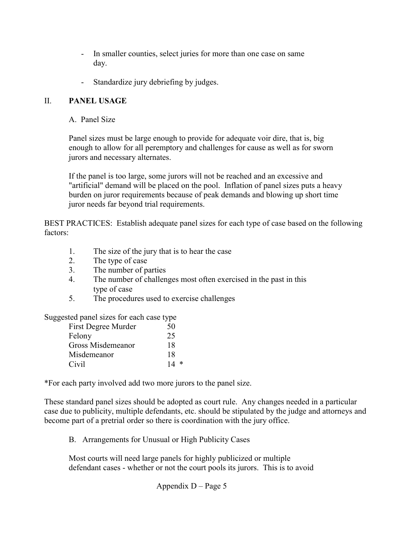- In smaller counties, select juries for more than one case on same day.
- Standardize jury debriefing by judges.

#### II. **PANEL USAGE**

A. Panel Size

 Panel sizes must be large enough to provide for adequate voir dire, that is, big enough to allow for all peremptory and challenges for cause as well as for sworn jurors and necessary alternates.

 If the panel is too large, some jurors will not be reached and an excessive and "artificial" demand will be placed on the pool. Inflation of panel sizes puts a heavy burden on juror requirements because of peak demands and blowing up short time juror needs far beyond trial requirements.

BEST PRACTICES: Establish adequate panel sizes for each type of case based on the following factors:

- 1. The size of the jury that is to hear the case
- 2. The type of case
- 3. The number of parties
- 4. The number of challenges most often exercised in the past in this type of case
- 5. The procedures used to exercise challenges

Suggested panel sizes for each case type

| First Degree Murder | 50 |
|---------------------|----|
| Felony              | 25 |
| Gross Misdemeanor   | 18 |
| Misdemeanor         | 18 |
| Civil               | ∗  |

\*For each party involved add two more jurors to the panel size.

These standard panel sizes should be adopted as court rule. Any changes needed in a particular case due to publicity, multiple defendants, etc. should be stipulated by the judge and attorneys and become part of a pretrial order so there is coordination with the jury office.

B. Arrangements for Unusual or High Publicity Cases

 Most courts will need large panels for highly publicized or multiple defendant cases - whether or not the court pools its jurors. This is to avoid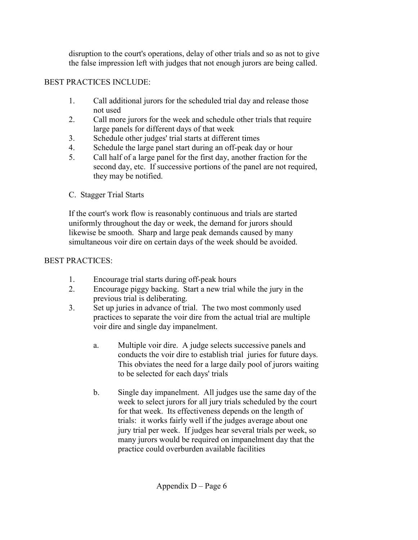disruption to the court's operations, delay of other trials and so as not to give the false impression left with judges that not enough jurors are being called.

#### BEST PRACTICES INCLUDE:

- 1. Call additional jurors for the scheduled trial day and release those not used
- 2. Call more jurors for the week and schedule other trials that require large panels for different days of that week
- 3. Schedule other judges' trial starts at different times
- 4. Schedule the large panel start during an off-peak day or hour
- 5. Call half of a large panel for the first day, another fraction for the second day, etc. If successive portions of the panel are not required, they may be notified.
- C. Stagger Trial Starts

 If the court's work flow is reasonably continuous and trials are started uniformly throughout the day or week, the demand for jurors should likewise be smooth. Sharp and large peak demands caused by many simultaneous voir dire on certain days of the week should be avoided.

## BEST PRACTICES:

- 1. Encourage trial starts during off-peak hours
- 2. Encourage piggy backing. Start a new trial while the jury in the previous trial is deliberating.
- 3. Set up juries in advance of trial. The two most commonly used practices to separate the voir dire from the actual trial are multiple voir dire and single day impanelment.
	- a. Multiple voir dire. A judge selects successive panels and conducts the voir dire to establish trial juries for future days. This obviates the need for a large daily pool of jurors waiting to be selected for each days' trials
	- b. Single day impanelment. All judges use the same day of the week to select jurors for all jury trials scheduled by the court for that week. Its effectiveness depends on the length of trials: it works fairly well if the judges average about one jury trial per week. If judges hear several trials per week, so many jurors would be required on impanelment day that the practice could overburden available facilities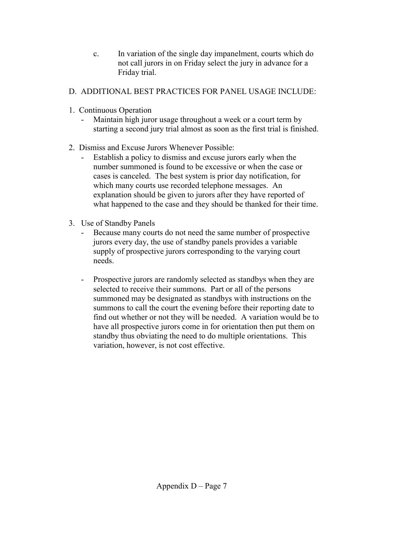c. In variation of the single day impanelment, courts which do not call jurors in on Friday select the jury in advance for a Friday trial.

## D. ADDITIONAL BEST PRACTICES FOR PANEL USAGE INCLUDE:

- 1. Continuous Operation
	- Maintain high juror usage throughout a week or a court term by starting a second jury trial almost as soon as the first trial is finished.
- 2. Dismiss and Excuse Jurors Whenever Possible:
	- Establish a policy to dismiss and excuse jurors early when the number summoned is found to be excessive or when the case or cases is canceled. The best system is prior day notification, for which many courts use recorded telephone messages. An explanation should be given to jurors after they have reported of what happened to the case and they should be thanked for their time.
- 3. Use of Standby Panels
	- Because many courts do not need the same number of prospective jurors every day, the use of standby panels provides a variable supply of prospective jurors corresponding to the varying court needs.
	- Prospective jurors are randomly selected as standbys when they are selected to receive their summons. Part or all of the persons summoned may be designated as standbys with instructions on the summons to call the court the evening before their reporting date to find out whether or not they will be needed. A variation would be to have all prospective jurors come in for orientation then put them on standby thus obviating the need to do multiple orientations. This variation, however, is not cost effective.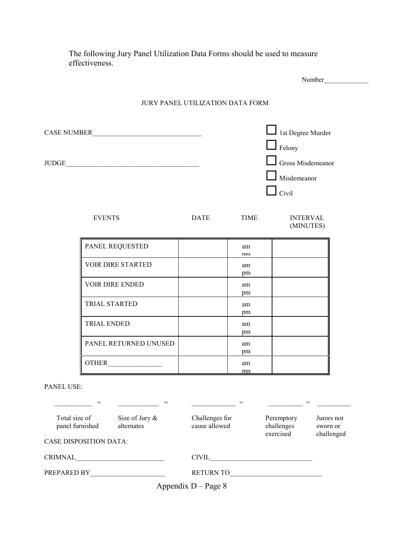The following Jury Panel Utilization Data Forms should be used to measure effectiveness.

|                        |             | JURY PANEL UTILIZATION DATA FORM |                                                                                                       |
|------------------------|-------------|----------------------------------|-------------------------------------------------------------------------------------------------------|
| CASE NUMBER<br>JUDGE   |             |                                  | 1st Degree Murder<br>$\Box$ Felony<br>$\Box$ Gross Misdemeanor<br>$\Box$ Misdemeanor<br>$\perp$ Civil |
| <b>EVENTS</b>          | <b>DATE</b> | TIME                             | <b>INTERVAL</b><br>(MINUTES)                                                                          |
| PANEL REQUESTED        |             | am<br>nm                         |                                                                                                       |
| VOIR DIRE STARTED      |             | am<br>pm                         |                                                                                                       |
| <b>VOIR DIRE ENDED</b> |             | am<br>pm                         |                                                                                                       |
| TRIAL STARTED          |             | am<br>pm                         |                                                                                                       |
| TRIAL ENDED            |             | am<br>pm                         |                                                                                                       |
| PANEL RETURNED UNUSED  |             | am<br>pm                         |                                                                                                       |
|                        |             | am<br><u>nm</u>                  |                                                                                                       |

| Total size of<br>panel furnished<br><b>CASE DISPOSITION DATA:</b> | Size of Jury $\&$<br>alternates | Challenges for<br>cause allowed | Peremptory<br>challenges<br>exercised | Jurors not<br>sworn or<br>challenged |
|-------------------------------------------------------------------|---------------------------------|---------------------------------|---------------------------------------|--------------------------------------|
| CRIMNAL                                                           |                                 | <b>CIVIL</b>                    |                                       |                                      |
| PREPARED BY                                                       |                                 | <b>RETURN TO</b>                |                                       |                                      |
|                                                                   |                                 |                                 |                                       |                                      |

Appendix D – Page 8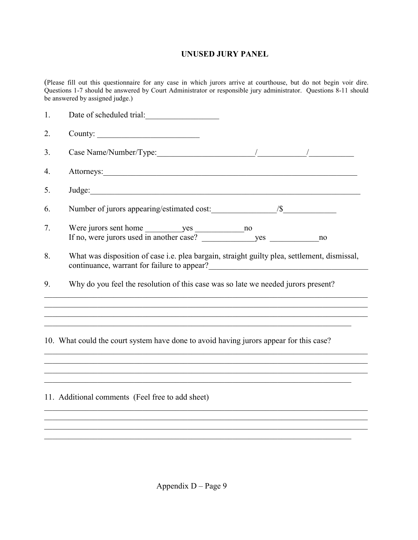#### **UNUSED JURY PANEL**

(Please fill out this questionnaire for any case in which jurors arrive at courthouse, but do not begin voir dire. Questions 1-7 should be answered by Court Administrator or responsible jury administrator. Questions 8-11 should be answered by assigned judge.)

| 1. | Date of scheduled trial:                                                                                                                                                                                                                                                                                                              |
|----|---------------------------------------------------------------------------------------------------------------------------------------------------------------------------------------------------------------------------------------------------------------------------------------------------------------------------------------|
| 2. |                                                                                                                                                                                                                                                                                                                                       |
| 3. |                                                                                                                                                                                                                                                                                                                                       |
| 4. | Attorneys: <u>and the contract of the contract of the contract of the contract of the contract of the contract of the contract of the contract of the contract of the contract of the contract of the contract of the contract o</u>                                                                                                  |
| 5. |                                                                                                                                                                                                                                                                                                                                       |
| 6. |                                                                                                                                                                                                                                                                                                                                       |
| 7. | no                                                                                                                                                                                                                                                                                                                                    |
| 8. | What was disposition of case i.e. plea bargain, straight guilty plea, settlement, dismissal,<br>continuance, warrant for failure to appear?<br><u>Continuance</u> of the set of the set of the set of the set of the set of the set of the set of the set of the set of the set of the set of the set of the set of the set of the se |
| 9. | Why do you feel the resolution of this case was so late we needed jurors present?                                                                                                                                                                                                                                                     |
|    |                                                                                                                                                                                                                                                                                                                                       |
|    | 10. What could the court system have done to avoid having jurors appear for this case?                                                                                                                                                                                                                                                |
|    |                                                                                                                                                                                                                                                                                                                                       |

11. Additional comments (Feel free to add sheet)

 $\mathcal{L}_\mathcal{L} = \mathcal{L}_\mathcal{L} = \mathcal{L}_\mathcal{L} = \mathcal{L}_\mathcal{L} = \mathcal{L}_\mathcal{L} = \mathcal{L}_\mathcal{L} = \mathcal{L}_\mathcal{L} = \mathcal{L}_\mathcal{L} = \mathcal{L}_\mathcal{L} = \mathcal{L}_\mathcal{L} = \mathcal{L}_\mathcal{L} = \mathcal{L}_\mathcal{L} = \mathcal{L}_\mathcal{L} = \mathcal{L}_\mathcal{L} = \mathcal{L}_\mathcal{L} = \mathcal{L}_\mathcal{L} = \mathcal{L}_\mathcal{L}$ 

 $\mathcal{L}_\text{max} = \frac{1}{2} \sum_{i=1}^n \mathcal{L}_\text{max} = \frac{1}{2} \sum_{i=1}^n \mathcal{L}_\text{max} = \frac{1}{2} \sum_{i=1}^n \mathcal{L}_\text{max} = \frac{1}{2} \sum_{i=1}^n \mathcal{L}_\text{max} = \frac{1}{2} \sum_{i=1}^n \mathcal{L}_\text{max} = \frac{1}{2} \sum_{i=1}^n \mathcal{L}_\text{max} = \frac{1}{2} \sum_{i=1}^n \mathcal{L}_\text{max} = \frac{1}{2} \sum_{i=$ 

 $\_$  ,  $\_$  ,  $\_$  ,  $\_$  ,  $\_$  ,  $\_$  ,  $\_$  ,  $\_$  ,  $\_$  ,  $\_$  ,  $\_$  ,  $\_$  ,  $\_$  ,  $\_$  ,  $\_$  ,  $\_$  ,  $\_$  ,  $\_$  ,  $\_$  ,  $\_$  ,  $\_$  ,  $\_$  ,  $\_$  ,  $\_$  ,  $\_$  ,  $\_$  ,  $\_$  ,  $\_$  ,  $\_$  ,  $\_$  ,  $\_$  ,  $\_$  ,  $\_$  ,  $\_$  ,  $\_$  ,  $\_$  ,  $\_$  ,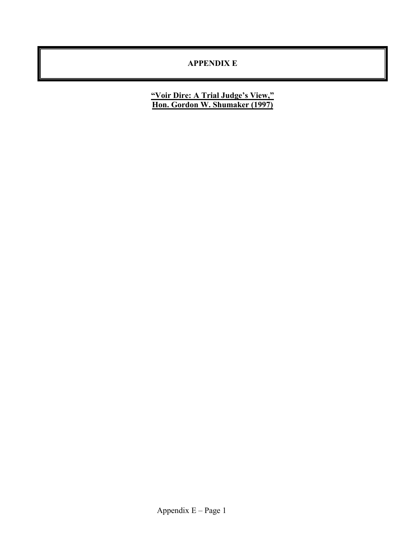#### **APPENDIX E**

**"Voir Dire: A Trial Judge's View," Hon. Gordon W. Shumaker (1997)**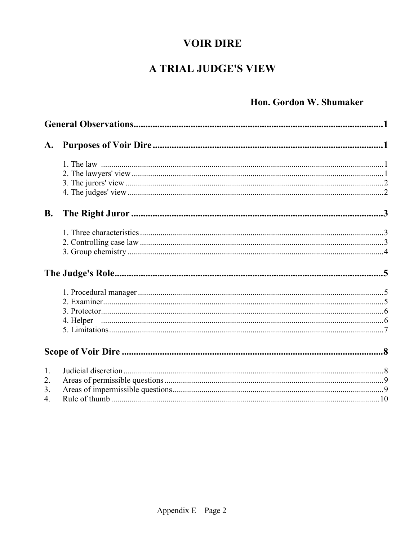# **VOIR DIRE**

# A TRIAL JUDGE'S VIEW

# Hon. Gordon W. Shumaker

| <b>B.</b> |  |  |  |
|-----------|--|--|--|
|           |  |  |  |
|           |  |  |  |
|           |  |  |  |
|           |  |  |  |
|           |  |  |  |
|           |  |  |  |
|           |  |  |  |
|           |  |  |  |
|           |  |  |  |
|           |  |  |  |
| 1.        |  |  |  |
| 2.        |  |  |  |
| 3.        |  |  |  |
| 4.        |  |  |  |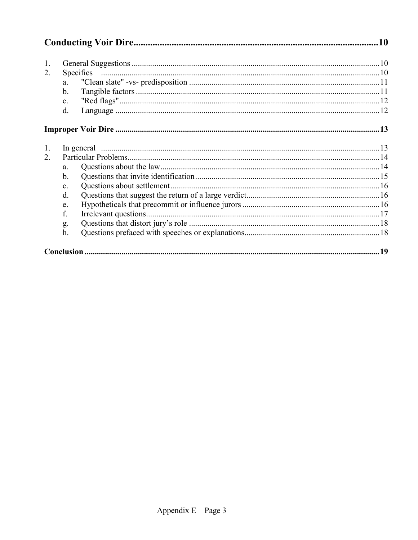| 1.<br>2. | a.<br>$\mathbf{b}$ .<br>$\mathbf{c}$ .<br>$d_{\cdot}$ |  |  |  |
|----------|-------------------------------------------------------|--|--|--|
|          |                                                       |  |  |  |
| 1.       |                                                       |  |  |  |
| 2        |                                                       |  |  |  |
|          | a.                                                    |  |  |  |
|          | b.                                                    |  |  |  |
|          | $\mathbf{c}$ .                                        |  |  |  |
|          | $d$ .                                                 |  |  |  |
|          | e.                                                    |  |  |  |
|          | f.                                                    |  |  |  |
|          | g.                                                    |  |  |  |
|          | h.                                                    |  |  |  |
|          |                                                       |  |  |  |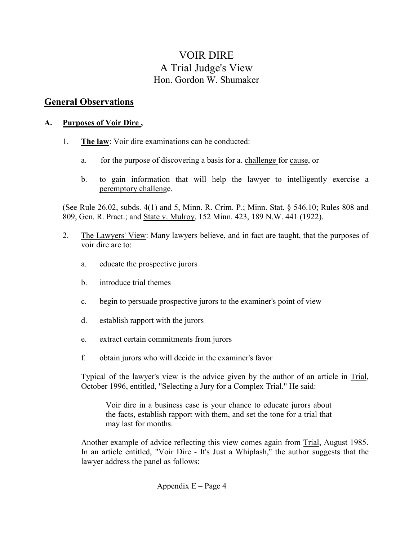# VOIR DIRE A Trial Judge's View Hon. Gordon W. Shumaker

## **General Observations**

#### **A. Purposes of Voir Dire ,**

- 1. **The law**: Voir dire examinations can be conducted:
	- a. for the purpose of discovering a basis for a. challenge for cause, or
	- b. to gain information that will help the lawyer to intelligently exercise a peremptory challenge.

(See Rule 26.02, subds. 4(1) and 5, Minn. R. Crim. P.; Minn. Stat. § 546.10; Rules 808 and 809, Gen. R. Pract.; and State v. Mulroy, 152 Minn. 423, 189 N.W. 441 (1922).

- 2. The Lawyers' View: Many lawyers believe, and in fact are taught, that the purposes of voir dire are to:
	- a. educate the prospective jurors
	- b. introduce trial themes
	- c. begin to persuade prospective jurors to the examiner's point of view
	- d. establish rapport with the jurors
	- e. extract certain commitments from jurors
	- f. obtain jurors who will decide in the examiner's favor

Typical of the lawyer's view is the advice given by the author of an article in Trial, October 1996, entitled, "Selecting a Jury for a Complex Trial." He said:

Voir dire in a business case is your chance to educate jurors about the facts, establish rapport with them, and set the tone for a trial that may last for months.

Another example of advice reflecting this view comes again from Trial, August 1985. In an article entitled, "Voir Dire - It's Just a Whiplash," the author suggests that the lawyer address the panel as follows: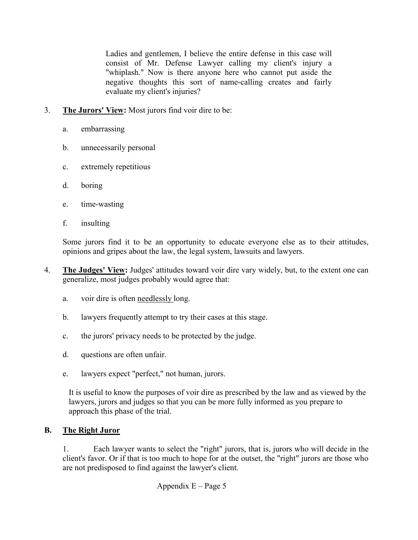Ladies and gentlemen, I believe the entire defense in this case will consist of Mr. Defense Lawyer calling my client's injury a "whiplash." Now is there anyone here who cannot put aside the negative thoughts this sort of name-calling creates and fairly evaluate my client's injuries?

- 3. **The Jurors' View:** Most jurors find voir dire to be:
	- a. embarrassing
	- b. unnecessarily personal
	- c. extremely repetitious
	- d. boring
	- e. time-wasting
	- f. insulting

Some jurors find it to be an opportunity to educate everyone else as to their attitudes, opinions and gripes about the law, the legal system, lawsuits and lawyers.

- 4. **The Judges' View:** Judges' attitudes toward voir dire vary widely, but, to the extent one can generalize, most judges probably would agree that:
	- a. voir dire is often needlessly long.
	- b. lawyers frequently attempt to try their cases at this stage.
	- c. the jurors' privacy needs to be protected by the judge.
	- d. questions are often unfair.
	- e. lawyers expect "perfect," not human, jurors.

It is useful to know the purposes of voir dire as prescribed by the law and as viewed by the lawyers, jurors and judges so that you can be more fully informed as you prepare to approach this phase of the trial.

# **B. The Right Juror**

1. Each lawyer wants to select the "right" jurors, that is, jurors who will decide in the client's favor. Or if that is too much to hope for at the outset, the "right" jurors are those who are not predisposed to find against the lawyer's client.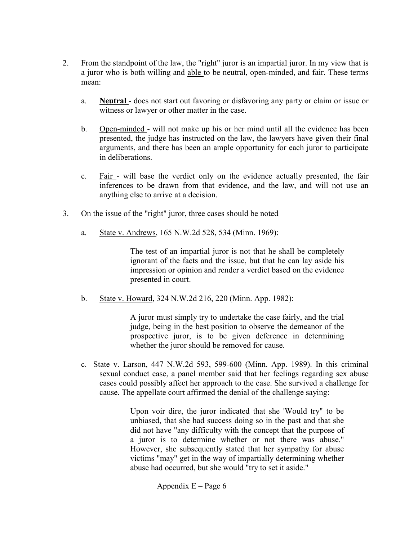- 2. From the standpoint of the law, the "right" juror is an impartial juror. In my view that is a juror who is both willing and able to be neutral, open-minded, and fair. These terms mean:
	- a. **Neutral**  does not start out favoring or disfavoring any party or claim or issue or witness or lawyer or other matter in the case.
	- b. Open-minded will not make up his or her mind until all the evidence has been presented, the judge has instructed on the law, the lawyers have given their final arguments, and there has been an ample opportunity for each juror to participate in deliberations.
	- c. Fair will base the verdict only on the evidence actually presented, the fair inferences to be drawn from that evidence, and the law, and will not use an anything else to arrive at a decision.
- 3. On the issue of the "right" juror, three cases should be noted
	- a. State v. Andrews, 165 N.W.2d 528, 534 (Minn. 1969):

The test of an impartial juror is not that he shall be completely ignorant of the facts and the issue, but that he can lay aside his impression or opinion and render a verdict based on the evidence presented in court.

b. State v. Howard, 324 N.W.2d 216, 220 (Minn. App. 1982):

A juror must simply try to undertake the case fairly, and the trial judge, being in the best position to observe the demeanor of the prospective juror, is to be given deference in determining whether the juror should be removed for cause.

c. State v. Larson, 447 N.W.2d 593, 599-600 (Minn. App. 1989). In this criminal sexual conduct case, a panel member said that her feelings regarding sex abuse cases could possibly affect her approach to the case. She survived a challenge for cause. The appellate court affirmed the denial of the challenge saying:

> Upon voir dire, the juror indicated that she 'Would try" to be unbiased, that she had success doing so in the past and that she did not have "any difficulty with the concept that the purpose of a juror is to determine whether or not there was abuse." However, she subsequently stated that her sympathy for abuse victims "may" get in the way of impartially determining whether abuse had occurred, but she would "try to set it aside."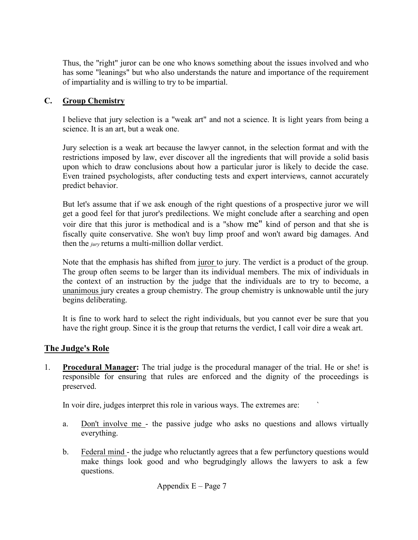Thus, the "right" juror can be one who knows something about the issues involved and who has some "leanings" but who also understands the nature and importance of the requirement of impartiality and is willing to try to be impartial.

## **C. Group Chemistry**

I believe that jury selection is a "weak art" and not a science. It is light years from being a science. It is an art, but a weak one.

Jury selection is a weak art because the lawyer cannot, in the selection format and with the restrictions imposed by law, ever discover all the ingredients that will provide a solid basis upon which to draw conclusions about how a particular juror is likely to decide the case. Even trained psychologists, after conducting tests and expert interviews, cannot accurately predict behavior.

But let's assume that if we ask enough of the right questions of a prospective juror we will get a good feel for that juror's predilections. We might conclude after a searching and open voir dire that this juror is methodical and is a "show me" kind of person and that she is fiscally quite conservative. She won't buy limp proof and won't award big damages. And then the *jury* returns a multi-million dollar verdict.

Note that the emphasis has shifted from juror to jury. The verdict is a product of the group. The group often seems to be larger than its individual members. The mix of individuals in the context of an instruction by the judge that the individuals are to try to become, a unanimous jury creates a group chemistry. The group chemistry is unknowable until the jury begins deliberating.

It is fine to work hard to select the right individuals, but you cannot ever be sure that you have the right group. Since it is the group that returns the verdict, I call voir dire a weak art.

## **The Judge's Role**

1. **Procedural Manager:** The trial judge is the procedural manager of the trial. He or she! is responsible for ensuring that rules are enforced and the dignity of the proceedings is preserved.

In voir dire, judges interpret this role in various ways. The extremes are:

- a. Don't involve me the passive judge who asks no questions and allows virtually everything.
- b. Federal mind the judge who reluctantly agrees that a few perfunctory questions would make things look good and who begrudgingly allows the lawyers to ask a few questions.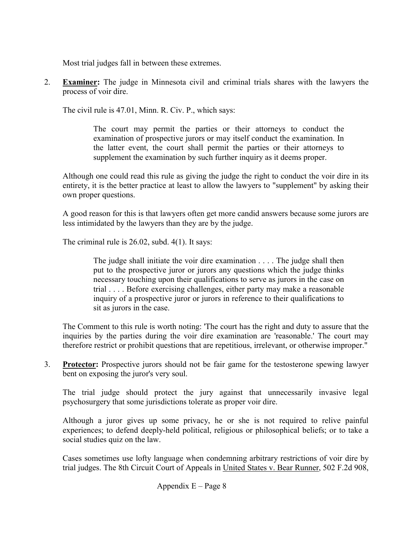Most trial judges fall in between these extremes.

2. **Examiner:** The judge in Minnesota civil and criminal trials shares with the lawyers the process of voir dire.

The civil rule is 47.01, Minn. R. Civ. P., which says:

The court may permit the parties or their attorneys to conduct the examination of prospective jurors or may itself conduct the examination. In the latter event, the court shall permit the parties or their attorneys to supplement the examination by such further inquiry as it deems proper.

Although one could read this rule as giving the judge the right to conduct the voir dire in its entirety, it is the better practice at least to allow the lawyers to "supplement" by asking their own proper questions.

A good reason for this is that lawyers often get more candid answers because some jurors are less intimidated by the lawyers than they are by the judge.

The criminal rule is 26.02, subd. 4(1). It says:

The judge shall initiate the voir dire examination . . . . The judge shall then put to the prospective juror or jurors any questions which the judge thinks necessary touching upon their qualifications to serve as jurors in the case on trial . . . . Before exercising challenges, either party may make a reasonable inquiry of a prospective juror or jurors in reference to their qualifications to sit as jurors in the case.

The Comment to this rule is worth noting: 'The court has the right and duty to assure that the inquiries by the parties during the voir dire examination are 'reasonable.' The court may therefore restrict or prohibit questions that are repetitious, irrelevant, or otherwise improper."

3. **Protector:** Prospective jurors should not be fair game for the testosterone spewing lawyer bent on exposing the juror's very soul.

 The trial judge should protect the jury against that unnecessarily invasive legal psychosurgery that some jurisdictions tolerate as proper voir dire.

 Although a juror gives up some privacy, he or she is not required to relive painful experiences; to defend deeply-held political, religious or philosophical beliefs; or to take a social studies quiz on the law.

 Cases sometimes use lofty language when condemning arbitrary restrictions of voir dire by trial judges. The 8th Circuit Court of Appeals in United States v. Bear Runner, 502 F.2d 908,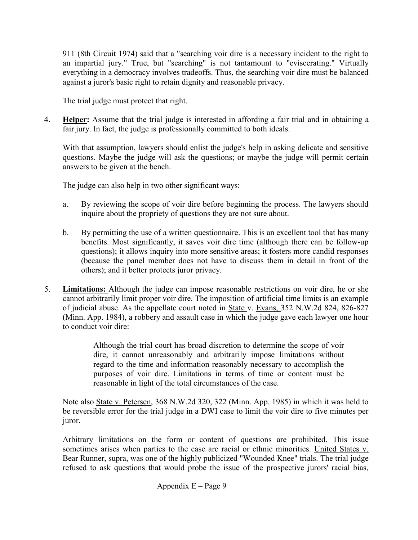911 (8th Circuit 1974) said that a "searching voir dire is a necessary incident to the right to an impartial jury." True, but "searching" is not tantamount to "eviscerating." Virtually everything in a democracy involves tradeoffs. Thus, the searching voir dire must be balanced against a juror's basic right to retain dignity and reasonable privacy.

The trial judge must protect that right.

4. **Helper:** Assume that the trial judge is interested in affording a fair trial and in obtaining a fair jury. In fact, the judge is professionally committed to both ideals.

With that assumption, lawyers should enlist the judge's help in asking delicate and sensitive questions. Maybe the judge will ask the questions; or maybe the judge will permit certain answers to be given at the bench.

The judge can also help in two other significant ways:

- a. By reviewing the scope of voir dire before beginning the process. The lawyers should inquire about the propriety of questions they are not sure about.
- b. By permitting the use of a written questionnaire. This is an excellent tool that has many benefits. Most significantly, it saves voir dire time (although there can be follow-up questions); it allows inquiry into more sensitive areas; it fosters more candid responses (because the panel member does not have to discuss them in detail in front of the others); and it better protects juror privacy.
- 5. **Limitations:** Although the judge can impose reasonable restrictions on voir dire, he or she cannot arbitrarily limit proper voir dire. The imposition of artificial time limits is an example of judicial abuse. As the appellate court noted in State v. Evans, 352 N.W.2d 824, 826-827 (Minn. App. 1984), a robbery and assault case in which the judge gave each lawyer one hour to conduct voir dire:

Although the trial court has broad discretion to determine the scope of voir dire, it cannot unreasonably and arbitrarily impose limitations without regard to the time and information reasonably necessary to accomplish the purposes of voir dire. Limitations in terms of time or content must be reasonable in light of the total circumstances of the case.

Note also State v. Petersen, 368 N.W.2d 320, 322 (Minn. App. 1985) in which it was held to be reversible error for the trial judge in a DWI case to limit the voir dire to five minutes per juror.

Arbitrary limitations on the form or content of questions are prohibited. This issue sometimes arises when parties to the case are racial or ethnic minorities. United States v. Bear Runner, supra, was one of the highly publicized "Wounded Knee" trials. The trial judge refused to ask questions that would probe the issue of the prospective jurors' racial bias,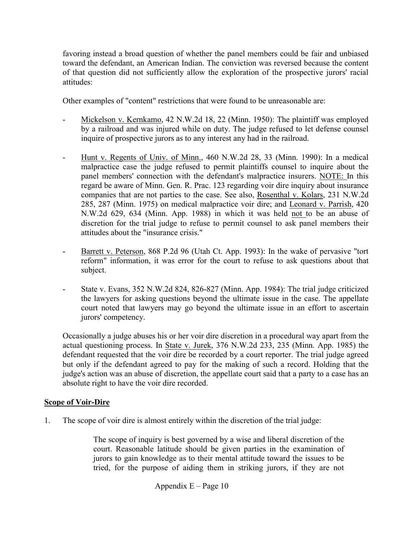favoring instead a broad question of whether the panel members could be fair and unbiased toward the defendant, an American Indian. The conviction was reversed because the content of that question did not sufficiently allow the exploration of the prospective jurors' racial attitudes:

Other examples of "content" restrictions that were found to be unreasonable are:

- Mickelson v. Kernkamo, 42 N.W.2d 18, 22 (Minn. 1950): The plaintiff was employed by a railroad and was injured while on duty. The judge refused to let defense counsel inquire of prospective jurors as to any interest any had in the railroad.
- Hunt v. Regents of Univ. of Minn., 460 N.W.2d 28, 33 (Minn. 1990): In a medical malpractice case the judge refused to permit plaintiffs counsel to inquire about the panel members' connection with the defendant's malpractice insurers. NOTE: In this regard be aware of Minn. Gen. R. Prac. 123 regarding voir dire inquiry about insurance companies that are not parties to the case. See also, Rosenthal v. Kolars, 231 N.W.2d 285, 287 (Minn. 1975) on medical malpractice voir dire; and Leonard v. Parrish, 420 N.W.2d 629, 634 (Minn. App. 1988) in which it was held not to be an abuse of discretion for the trial judge to refuse to permit counsel to ask panel members their attitudes about the "insurance crisis."
- Barrett v. Peterson, 868 P.2d 96 (Utah Ct. App. 1993): In the wake of pervasive "tort reform" information, it was error for the court to refuse to ask questions about that subject.
- State v. Evans, 352 N.W.2d 824, 826-827 (Minn. App. 1984): The trial judge criticized the lawyers for asking questions beyond the ultimate issue in the case. The appellate court noted that lawyers may go beyond the ultimate issue in an effort to ascertain jurors' competency.

Occasionally a judge abuses his or her voir dire discretion in a procedural way apart from the actual questioning process. In State v. Jurek, 376 N.W.2d 233, 235 (Minn. App. 1985) the defendant requested that the voir dire be recorded by a court reporter. The trial judge agreed but only if the defendant agreed to pay for the making of such a record. Holding that the judge's action was an abuse of discretion, the appellate court said that a party to a case has an absolute right to have the voir dire recorded.

## **Scope of Voir-Dire**

1. The scope of voir dire is almost entirely within the discretion of the trial judge:

The scope of inquiry is best governed by a wise and liberal discretion of the court. Reasonable latitude should be given parties in the examination of jurors to gain knowledge as to their mental attitude toward the issues to be tried, for the purpose of aiding them in striking jurors, if they are not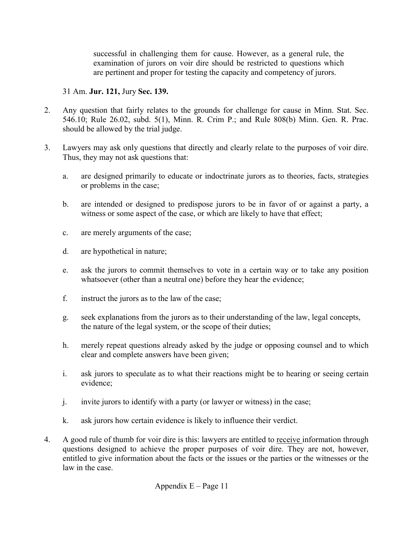successful in challenging them for cause. However, as a general rule, the examination of jurors on voir dire should be restricted to questions which are pertinent and proper for testing the capacity and competency of jurors.

## 31 Am. **Jur. 121,** Jury **Sec. 139.**

- 2. Any question that fairly relates to the grounds for challenge for cause in Minn. Stat. Sec. 546.10; Rule 26.02, subd. 5(1), Minn. R. Crim P.; and Rule 808(b) Minn. Gen. R. Prac. should be allowed by the trial judge.
- 3. Lawyers may ask only questions that directly and clearly relate to the purposes of voir dire. Thus, they may not ask questions that:
	- a. are designed primarily to educate or indoctrinate jurors as to theories, facts, strategies or problems in the case;
	- b. are intended or designed to predispose jurors to be in favor of or against a party, a witness or some aspect of the case, or which are likely to have that effect;
	- c. are merely arguments of the case;
	- d. are hypothetical in nature;
	- e. ask the jurors to commit themselves to vote in a certain way or to take any position whatsoever (other than a neutral one) before they hear the evidence;
	- f. instruct the jurors as to the law of the case;
	- g. seek explanations from the jurors as to their understanding of the law, legal concepts, the nature of the legal system, or the scope of their duties;
	- h. merely repeat questions already asked by the judge or opposing counsel and to which clear and complete answers have been given;
	- i. ask jurors to speculate as to what their reactions might be to hearing or seeing certain evidence;
	- j. invite jurors to identify with a party (or lawyer or witness) in the case;
	- k. ask jurors how certain evidence is likely to influence their verdict.
- 4. A good rule of thumb for voir dire is this: lawyers are entitled to receive information through questions designed to achieve the proper purposes of voir dire. They are not, however, entitled to give information about the facts or the issues or the parties or the witnesses or the law in the case.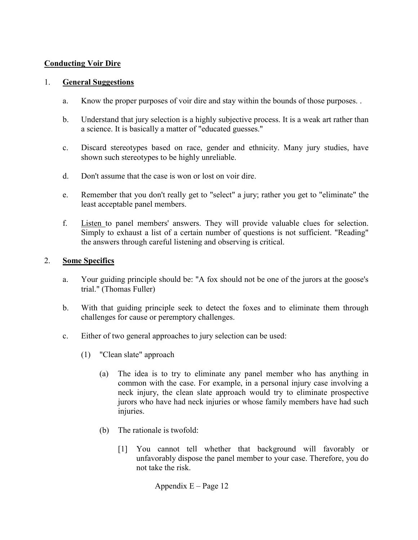## **Conducting Voir Dire**

### 1. **General Suggestions**

- a. Know the proper purposes of voir dire and stay within the bounds of those purposes. .
- b. Understand that jury selection is a highly subjective process. It is a weak art rather than a science. It is basically a matter of "educated guesses."
- c. Discard stereotypes based on race, gender and ethnicity. Many jury studies, have shown such stereotypes to be highly unreliable.
- d. Don't assume that the case is won or lost on voir dire.
- e. Remember that you don't really get to "select" a jury; rather you get to "eliminate" the least acceptable panel members.
- f. Listen to panel members' answers. They will provide valuable clues for selection. Simply to exhaust a list of a certain number of questions is not sufficient. "Reading" the answers through careful listening and observing is critical.

## 2. **Some Specifics**

- a. Your guiding principle should be: "A fox should not be one of the jurors at the goose's trial." (Thomas Fuller)
- b. With that guiding principle seek to detect the foxes and to eliminate them through challenges for cause or peremptory challenges.
- c. Either of two general approaches to jury selection can be used:
	- (1) "Clean slate" approach
		- (a) The idea is to try to eliminate any panel member who has anything in common with the case. For example, in a personal injury case involving a neck injury, the clean slate approach would try to eliminate prospective jurors who have had neck injuries or whose family members have had such injuries.
		- (b) The rationale is twofold:
			- [1] You cannot tell whether that background will favorably or unfavorably dispose the panel member to your case. Therefore, you do not take the risk.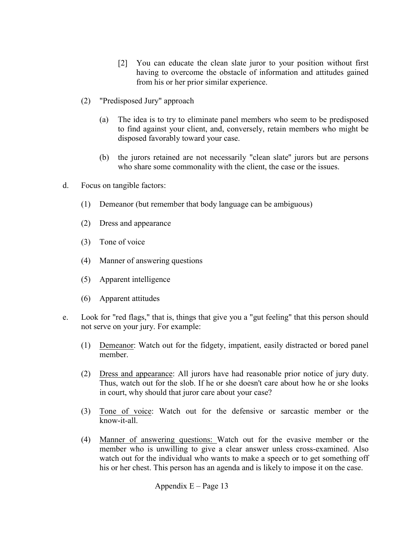- [2] You can educate the clean slate juror to your position without first having to overcome the obstacle of information and attitudes gained from his or her prior similar experience.
- (2) "Predisposed Jury" approach
	- (a) The idea is to try to eliminate panel members who seem to be predisposed to find against your client, and, conversely, retain members who might be disposed favorably toward your case.
	- (b) the jurors retained are not necessarily "clean slate'' jurors but are persons who share some commonality with the client, the case or the issues.
- d. Focus on tangible factors:
	- (1) Demeanor (but remember that body language can be ambiguous)
	- (2) Dress and appearance
	- (3) Tone of voice
	- (4) Manner of answering questions
	- (5) Apparent intelligence
	- (6) Apparent attitudes
- e. Look for "red flags," that is, things that give you a "gut feeling" that this person should not serve on your jury. For example:
	- (1) Demeanor: Watch out for the fidgety, impatient, easily distracted or bored panel member.
	- (2) Dress and appearance: All jurors have had reasonable prior notice of jury duty. Thus, watch out for the slob. If he or she doesn't care about how he or she looks in court, why should that juror care about your case?
	- (3) Tone of voice: Watch out for the defensive or sarcastic member or the know-it-all.
	- (4) Manner of answering questions: Watch out for the evasive member or the member who is unwilling to give a clear answer unless cross-examined. Also watch out for the individual who wants to make a speech or to get something off his or her chest. This person has an agenda and is likely to impose it on the case.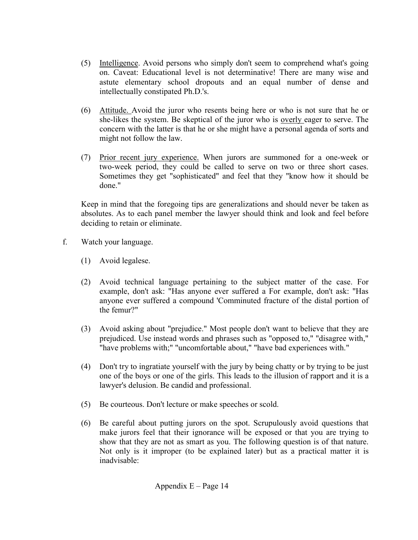- (5) Intelligence. Avoid persons who simply don't seem to comprehend what's going on. Caveat: Educational level is not determinative! There are many wise and astute elementary school dropouts and an equal number of dense and intellectually constipated Ph.D.'s.
- (6) Attitude. Avoid the juror who resents being here or who is not sure that he or she-likes the system. Be skeptical of the juror who is overly eager to serve. The concern with the latter is that he or she might have a personal agenda of sorts and might not follow the law.
- (7) Prior recent jury experience. When jurors are summoned for a one-week or two-week period, they could be called to serve on two or three short cases. Sometimes they get "sophisticated" and feel that they "know how it should be done"

Keep in mind that the foregoing tips are generalizations and should never be taken as absolutes. As to each panel member the lawyer should think and look and feel before deciding to retain or eliminate.

- f. Watch your language.
	- (1) Avoid legalese.
	- (2) Avoid technical language pertaining to the subject matter of the case. For example, don't ask: "Has anyone ever suffered a For example, don't ask: "Has anyone ever suffered a compound 'Comminuted fracture of the distal portion of the femur?"
	- (3) Avoid asking about "prejudice." Most people don't want to believe that they are prejudiced. Use instead words and phrases such as "opposed to," "disagree with," "have problems with;" "uncomfortable about," "have bad experiences with."
	- (4) Don't try to ingratiate yourself with the jury by being chatty or by trying to be just one of the boys or one of the girls. This leads to the illusion of rapport and it is a lawyer's delusion. Be candid and professional.
	- (5) Be courteous. Don't lecture or make speeches or scold.
	- (6) Be careful about putting jurors on the spot. Scrupulously avoid questions that make jurors feel that their ignorance will be exposed or that you are trying to show that they are not as smart as you. The following question is of that nature. Not only is it improper (to be explained later) but as a practical matter it is inadvisable: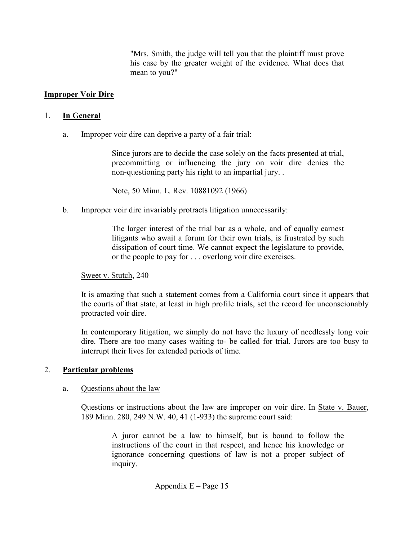"Mrs. Smith, the judge will tell you that the plaintiff must prove his case by the greater weight of the evidence. What does that mean to you?"

## **Improper Voir Dire**

### 1. **In General**

a. Improper voir dire can deprive a party of a fair trial:

Since jurors are to decide the case solely on the facts presented at trial, precommitting or influencing the jury on voir dire denies the non-questioning party his right to an impartial jury. .

Note, 50 Minn. L. Rev. 10881092 (1966)

b. Improper voir dire invariably protracts litigation unnecessarily:

The larger interest of the trial bar as a whole, and of equally earnest litigants who await a forum for their own trials, is frustrated by such dissipation of court time. We cannot expect the legislature to provide, or the people to pay for . . . overlong voir dire exercises.

### Sweet v. Stutch, 240

It is amazing that such a statement comes from a California court since it appears that the courts of that state, at least in high profile trials, set the record for unconscionably protracted voir dire.

In contemporary litigation, we simply do not have the luxury of needlessly long voir dire. There are too many cases waiting to- be called for trial. Jurors are too busy to interrupt their lives for extended periods of time.

## 2. **Particular problems**

### a. Questions about the law

Questions or instructions about the law are improper on voir dire. In State v. Bauer, 189 Minn. 280, 249 N.W. 40, 41 (1-933) the supreme court said:

> A juror cannot be a law to himself, but is bound to follow the instructions of the court in that respect, and hence his knowledge or ignorance concerning questions of law is not a proper subject of inquiry.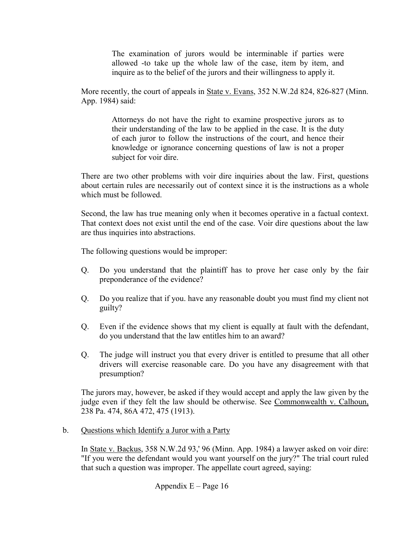The examination of jurors would be interminable if parties were allowed -to take up the whole law of the case, item by item, and inquire as to the belief of the jurors and their willingness to apply it.

More recently, the court of appeals in State v. Evans, 352 N.W.2d 824, 826-827 (Minn. App. 1984) said:

> Attorneys do not have the right to examine prospective jurors as to their understanding of the law to be applied in the case. It is the duty of each juror to follow the instructions of the court, and hence their knowledge or ignorance concerning questions of law is not a proper subject for voir dire.

There are two other problems with voir dire inquiries about the law. First, questions about certain rules are necessarily out of context since it is the instructions as a whole which must be followed.

Second, the law has true meaning only when it becomes operative in a factual context. That context does not exist until the end of the case. Voir dire questions about the law are thus inquiries into abstractions.

The following questions would be improper:

- Q. Do you understand that the plaintiff has to prove her case only by the fair preponderance of the evidence?
- Q. Do you realize that if you. have any reasonable doubt you must find my client not guilty?
- Q. Even if the evidence shows that my client is equally at fault with the defendant, do you understand that the law entitles him to an award?
- Q. The judge will instruct you that every driver is entitled to presume that all other drivers will exercise reasonable care. Do you have any disagreement with that presumption?

The jurors may, however, be asked if they would accept and apply the law given by the judge even if they felt the law should be otherwise. See Commonwealth v. Calhoun, 238 Pa. 474, 86A 472, 475 (1913).

## b. Questions which Identify a Juror with a Party

In State v. Backus, 358 N.W.2d 93,' 96 (Minn. App. 1984) a lawyer asked on voir dire: "If you were the defendant would you want yourself on the jury?" The trial court ruled that such a question was improper. The appellate court agreed, saying: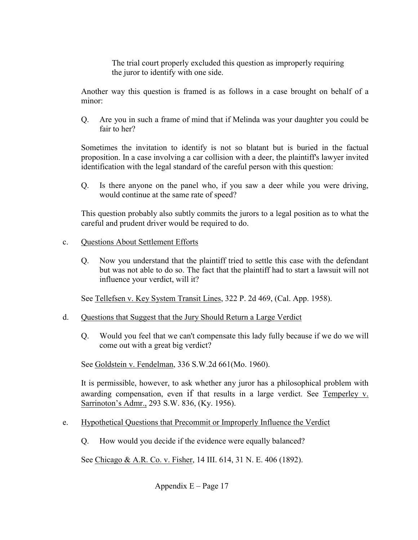The trial court properly excluded this question as improperly requiring the juror to identify with one side.

Another way this question is framed is as follows in a case brought on behalf of a minor:

Q. Are you in such a frame of mind that if Melinda was your daughter you could be fair to her?

Sometimes the invitation to identify is not so blatant but is buried in the factual proposition. In a case involving a car collision with a deer, the plaintiff's lawyer invited identification with the legal standard of the careful person with this question:

Q. Is there anyone on the panel who, if you saw a deer while you were driving, would continue at the same rate of speed?

This question probably also subtly commits the jurors to a legal position as to what the careful and prudent driver would be required to do.

## c. Questions About Settlement Efforts

Q. Now you understand that the plaintiff tried to settle this case with the defendant but was not able to do so. The fact that the plaintiff had to start a lawsuit will not influence your verdict, will it?

See Tellefsen v. Key System Transit Lines, 322 P. 2d 469, (Cal. App. 1958).

## d. Questions that Suggest that the Jury Should Return a Large Verdict

Q. Would you feel that we can't compensate this lady fully because if we do we will come out with a great big verdict?

See Goldstein v. Fendelman, 336 S.W.2d 661(Mo. 1960).

It is permissible, however, to ask whether any juror has a philosophical problem with awarding compensation, even if that results in a large verdict. See Temperley v. Sarrinoton's Admr., 293 S.W. 836, (Ky. 1956).

- e. Hypothetical Questions that Precommit or Improperly Influence the Verdict
	- Q. How would you decide if the evidence were equally balanced?

See Chicago & A.R. Co. v. Fisher, 14 III. 614, 31 N. E. 406 (1892).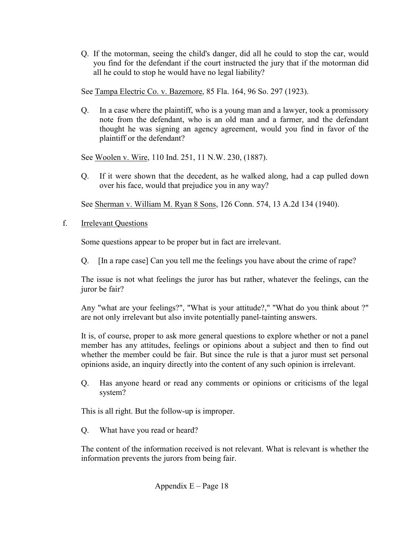Q. If the motorman, seeing the child's danger, did all he could to stop the car, would you find for the defendant if the court instructed the jury that if the motorman did all he could to stop he would have no legal liability?

See Tampa Electric Co. v. Bazemore, 85 Fla. 164, 96 So. 297 (1923).

Q. In a case where the plaintiff, who is a young man and a lawyer, took a promissory note from the defendant, who is an old man and a farmer, and the defendant thought he was signing an agency agreement, would you find in favor of the plaintiff or the defendant?

See Woolen v. Wire, 110 Ind. 251, 11 N.W. 230, (1887).

Q. If it were shown that the decedent, as he walked along, had a cap pulled down over his face, would that prejudice you in any way?

See Sherman v. William M. Ryan 8 Sons, 126 Conn. 574, 13 A.2d 134 (1940).

# f. Irrelevant Questions

Some questions appear to be proper but in fact are irrelevant.

Q. [In a rape case] Can you tell me the feelings you have about the crime of rape?

The issue is not what feelings the juror has but rather, whatever the feelings, can the juror be fair?

Any "what are your feelings?", "What is your attitude?," "What do you think about ?" are not only irrelevant but also invite potentially panel-tainting answers.

It is, of course, proper to ask more general questions to explore whether or not a panel member has any attitudes, feelings or opinions about a subject and then to find out whether the member could be fair. But since the rule is that a juror must set personal opinions aside, an inquiry directly into the content of any such opinion is irrelevant.

 Q. Has anyone heard or read any comments or opinions or criticisms of the legal system?

This is all right. But the follow-up is improper.

Q. What have you read or heard?

The content of the information received is not relevant. What is relevant is whether the information prevents the jurors from being fair.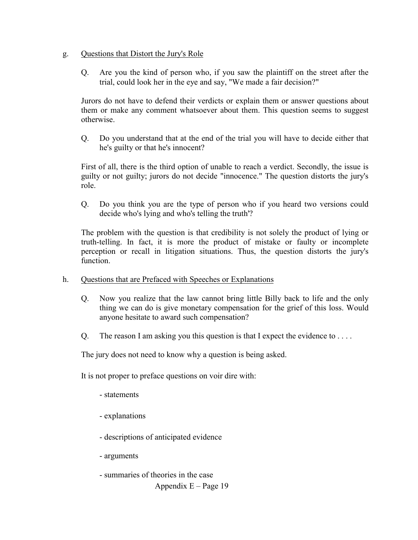### g. Questions that Distort the Jury's Role

 Q. Are you the kind of person who, if you saw the plaintiff on the street after the trial, could look her in the eye and say, "We made a fair decision?"

Jurors do not have to defend their verdicts or explain them or answer questions about them or make any comment whatsoever about them. This question seems to suggest otherwise.

Q. Do you understand that at the end of the trial you will have to decide either that he's guilty or that he's innocent?

First of all, there is the third option of unable to reach a verdict. Secondly, the issue is guilty or not guilty; jurors do not decide "innocence." The question distorts the jury's role.

Q. Do you think you are the type of person who if you heard two versions could decide who's lying and who's telling the truth'?

The problem with the question is that credibility is not solely the product of lying or truth-telling. In fact, it is more the product of mistake or faulty or incomplete perception or recall in litigation situations. Thus, the question distorts the jury's function.

- h. Questions that are Prefaced with Speeches or Explanations
	- Q. Now you realize that the law cannot bring little Billy back to life and the only thing we can do is give monetary compensation for the grief of this loss. Would anyone hesitate to award such compensation?
	- Q. The reason I am asking you this question is that I expect the evidence to  $\dots$ .

The jury does not need to know why a question is being asked.

It is not proper to preface questions on voir dire with:

- statements
- explanations
- descriptions of anticipated evidence
- arguments
- Appendix  $E Page 19$ - summaries of theories in the case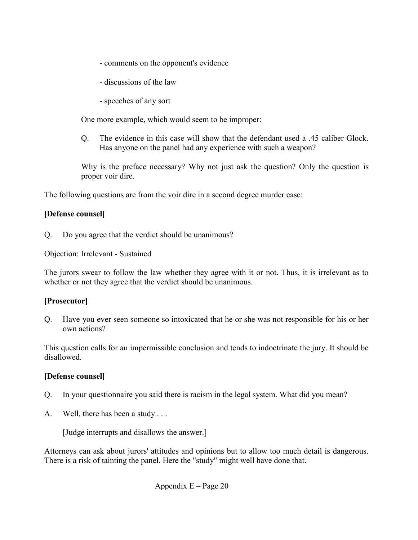- comments on the opponent's evidence
- discussions of the law
- speeches of any sort

One more example, which would seem to be improper:

 Q. The evidence in this case will show that the defendant used a .45 caliber Glock. Has anyone on the panel had any experience with such a weapon?

Why is the preface necessary? Why not just ask the question? Only the question is proper voir dire.

The following questions are from the voir dire in a second degree murder case:

## **[Defense counsel]**

Q. Do you agree that the verdict should be unanimous?

Objection: Irrelevant - Sustained

The jurors swear to follow the law whether they agree with it or not. Thus, it is irrelevant as to whether or not they agree that the verdict should be unanimous.

## **[Prosecutor]**

Q. Have you ever seen someone so intoxicated that he or she was not responsible for his or her own actions?

This question calls for an impermissible conclusion and tends to indoctrinate the jury. It should be disallowed.

### **[Defense counsel]**

- Q. In your questionnaire you said there is racism in the legal system. What did you mean?
- A. Well, there has been a study . . .

[Judge interrupts and disallows the answer.]

Attorneys can ask about jurors' attitudes and opinions but to allow too much detail is dangerous. There is a risk of tainting the panel. Here the "study" might well have done that.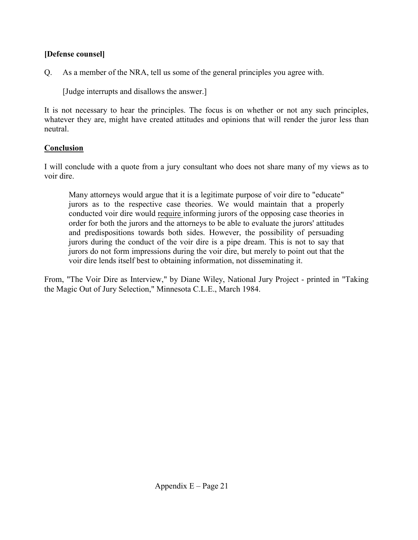# **[Defense counsel]**

Q. As a member of the NRA, tell us some of the general principles you agree with.

[Judge interrupts and disallows the answer.]

It is not necessary to hear the principles. The focus is on whether or not any such principles, whatever they are, might have created attitudes and opinions that will render the juror less than neutral.

# **Conclusion**

I will conclude with a quote from a jury consultant who does not share many of my views as to voir dire.

Many attorneys would argue that it is a legitimate purpose of voir dire to "educate" jurors as to the respective case theories. We would maintain that a properly conducted voir dire would require informing jurors of the opposing case theories in order for both the jurors and the attorneys to be able to evaluate the jurors' attitudes and predispositions towards both sides. However, the possibility of persuading jurors during the conduct of the voir dire is a pipe dream. This is not to say that jurors do not form impressions during the voir dire, but merely to point out that the voir dire lends itself best to obtaining information, not disseminating it.

From, "The Voir Dire as Interview," by Diane Wiley, National Jury Project - printed in "Taking the Magic Out of Jury Selection," Minnesota C.L.E., March 1984.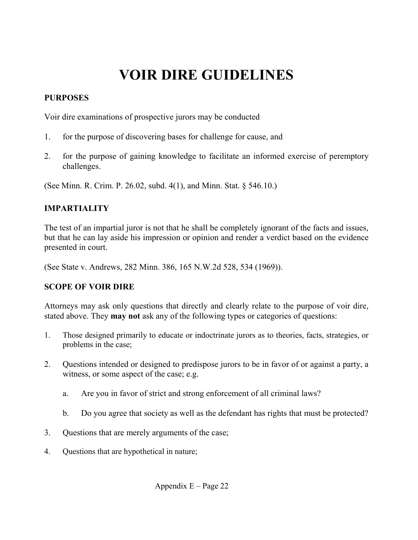# **VOIR DIRE GUIDELINES**

# **PURPOSES**

Voir dire examinations of prospective jurors may be conducted

- 1. for the purpose of discovering bases for challenge for cause, and
- 2. for the purpose of gaining knowledge to facilitate an informed exercise of peremptory challenges.

(See Minn. R. Crim. P. 26.02, subd. 4(1), and Minn. Stat. § 546.10.)

# **IMPARTIALITY**

The test of an impartial juror is not that he shall be completely ignorant of the facts and issues, but that he can lay aside his impression or opinion and render a verdict based on the evidence presented in court.

(See State v. Andrews, 282 Minn. 386, 165 N.W.2d 528, 534 (1969)).

# **SCOPE OF VOIR DIRE**

Attorneys may ask only questions that directly and clearly relate to the purpose of voir dire, stated above. They **may not** ask any of the following types or categories of questions:

- 1. Those designed primarily to educate or indoctrinate jurors as to theories, facts, strategies, or problems in the case;
- 2. Questions intended or designed to predispose jurors to be in favor of or against a party, a witness, or some aspect of the case; e.g.
	- a. Are you in favor of strict and strong enforcement of all criminal laws?
	- b. Do you agree that society as well as the defendant has rights that must be protected?
- 3. Questions that are merely arguments of the case;
- 4. Questions that are hypothetical in nature;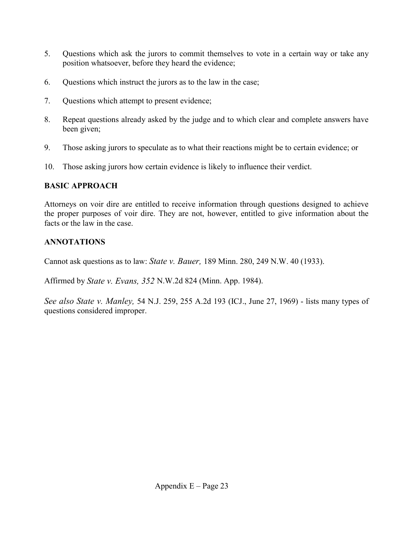- 5. Questions which ask the jurors to commit themselves to vote in a certain way or take any position whatsoever, before they heard the evidence;
- 6. Questions which instruct the jurors as to the law in the case;
- 7. Questions which attempt to present evidence;
- 8. Repeat questions already asked by the judge and to which clear and complete answers have been given;
- 9. Those asking jurors to speculate as to what their reactions might be to certain evidence; or
- 10. Those asking jurors how certain evidence is likely to influence their verdict.

# **BASIC APPROACH**

Attorneys on voir dire are entitled to receive information through questions designed to achieve the proper purposes of voir dire. They are not, however, entitled to give information about the facts or the law in the case.

# **ANNOTATIONS**

Cannot ask questions as to law: *State v. Bauer,* 189 Minn. 280, 249 N.W. 40 (1933).

Affirmed by *State v. Evans, 352* N.W.2d 824 (Minn. App. 1984).

*See also State v. Manley,* 54 N.J. 259, 255 A.2d 193 (ICJ., June 27, 1969) - lists many types of questions considered improper.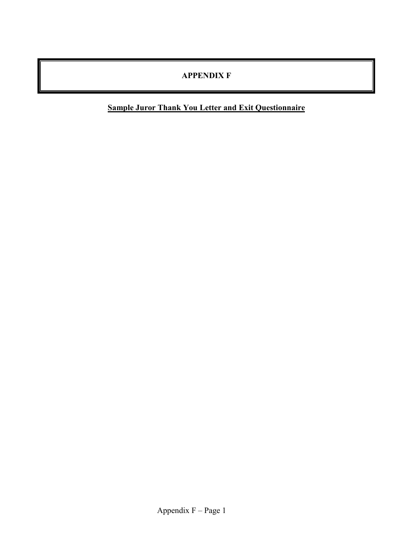# **APPENDIX F**

**Sample Juror Thank You Letter and Exit Questionnaire**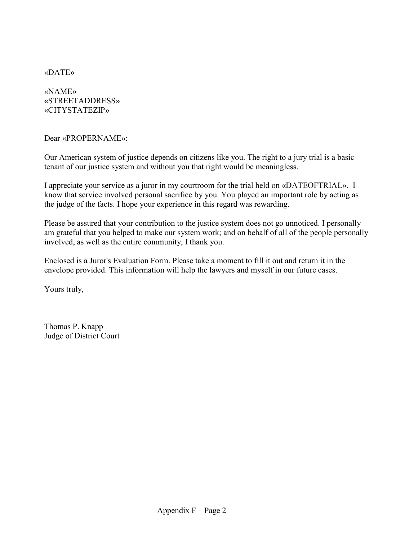«DATE»

«NAME» «STREETADDRESS» «CITYSTATEZIP»

Dear «PROPERNAME»:

Our American system of justice depends on citizens like you. The right to a jury trial is a basic tenant of our justice system and without you that right would be meaningless.

I appreciate your service as a juror in my courtroom for the trial held on «DATEOFTRIAL». I know that service involved personal sacrifice by you. You played an important role by acting as the judge of the facts. I hope your experience in this regard was rewarding.

Please be assured that your contribution to the justice system does not go unnoticed. I personally am grateful that you helped to make our system work; and on behalf of all of the people personally involved, as well as the entire community, I thank you.

Enclosed is a Juror's Evaluation Form. Please take a moment to fill it out and return it in the envelope provided. This information will help the lawyers and myself in our future cases.

Yours truly,

Thomas P. Knapp Judge of District Court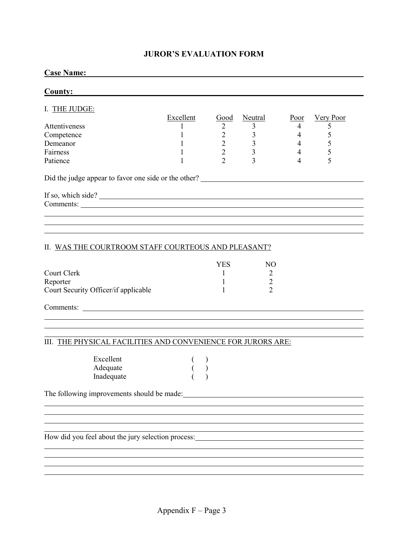### **JUROR'S EVALUATION FORM**

### **Case Name:**

| <b>County:</b>                                       |           |                |         |                |           |  |  |
|------------------------------------------------------|-----------|----------------|---------|----------------|-----------|--|--|
| I. THE JUDGE:                                        |           |                |         |                |           |  |  |
|                                                      |           |                |         |                |           |  |  |
|                                                      | Excellent | Good           | Neutral | Poor           | Very Poor |  |  |
| Attentiveness                                        |           | 2              | 3       | 4              |           |  |  |
| Competence                                           |           | 2              | 3       | 4              |           |  |  |
| Demeanor                                             |           | $\overline{2}$ |         | 4              |           |  |  |
| Fairness                                             |           | $\overline{2}$ | 3       | $\overline{4}$ |           |  |  |
| Patience                                             |           | $\overline{2}$ | 3       | 4              | 5         |  |  |
| Did the judge appear to favor one side or the other? |           |                |         |                |           |  |  |
|                                                      |           |                |         |                |           |  |  |
| If so, which side?                                   |           |                |         |                |           |  |  |
|                                                      |           |                |         |                |           |  |  |
|                                                      |           |                |         |                |           |  |  |
|                                                      |           |                |         |                |           |  |  |
|                                                      |           |                |         |                |           |  |  |

### II. WAS THE COURTROOM STAFF COURTEOUS AND PLEASANT?

|                                      | YES |  |
|--------------------------------------|-----|--|
| Court Clerk                          |     |  |
| Reporter                             |     |  |
| Court Security Officer/if applicable |     |  |

Comments:

 $\overline{a}$ 

 $\overline{a}$ 

### III. THE PHYSICAL FACILITIES AND CONVENIENCE FOR JURORS ARE:

| Excellent  |  |
|------------|--|
| Adequate   |  |
| Inadequate |  |

The following improvements should be made:

How did you feel about the jury selection process:

<u> 1989 - Johann Stoff, amerikansk politiker (d. 1989)</u>

<u> 1980 - Johann Stoff, deutscher Stoffen und der Stoffen und der Stoffen und der Stoffen und der Stoffen und de</u>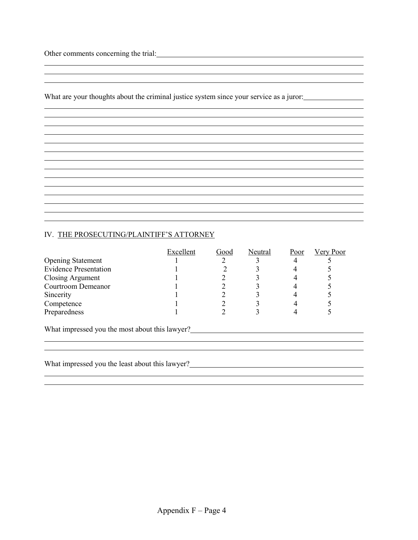Other comments concerning the trial: University of the trial:

 $\overline{a}$ 

What are your thoughts about the criminal justice system since your service as a juror:

<u> 1989 - Johann Stoff, amerikansk politiker (\* 1908)</u>

### IV. THE PROSECUTING/PLAINTIFF'S ATTORNEY

|                                                | Excellent | Good | Neutral | Poor | Very Poor |  |
|------------------------------------------------|-----------|------|---------|------|-----------|--|
| <b>Opening Statement</b>                       |           |      |         |      |           |  |
| <b>Evidence Presentation</b>                   |           |      |         |      |           |  |
| <b>Closing Argument</b>                        |           |      |         |      |           |  |
| Courtroom Demeanor                             |           |      |         |      |           |  |
| Sincerity                                      |           |      |         |      |           |  |
| Competence                                     |           |      |         |      |           |  |
| Preparedness                                   |           |      |         |      |           |  |
| What impressed you the most about this lawyer? |           |      |         |      |           |  |
|                                                |           |      |         |      |           |  |
|                                                |           |      |         |      |           |  |

What impressed you the least about this lawyer?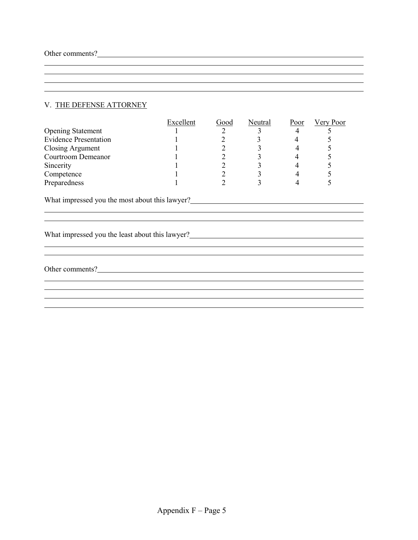$\overline{a}$ 

### V. THE DEFENSE ATTORNEY

|                                                 | Excellent | Good           | Neutral | Poor | <b>Very Poor</b> |  |  |
|-------------------------------------------------|-----------|----------------|---------|------|------------------|--|--|
| <b>Opening Statement</b>                        |           | $\overline{2}$ | 3       | 4    |                  |  |  |
| <b>Evidence Presentation</b>                    |           |                |         |      |                  |  |  |
| <b>Closing Argument</b>                         |           |                |         |      |                  |  |  |
| Courtroom Demeanor                              |           | 2              |         | 4    |                  |  |  |
| Sincerity                                       |           | 2              | 3       | 4    |                  |  |  |
| Competence                                      |           | 2              | 3       | 4    | 5                |  |  |
| Preparedness                                    |           | C              | 3       | 4    |                  |  |  |
| What impressed you the most about this lawyer?  |           |                |         |      |                  |  |  |
|                                                 |           |                |         |      |                  |  |  |
| What impressed you the least about this lawyer? |           |                |         |      |                  |  |  |
|                                                 |           |                |         |      |                  |  |  |
|                                                 |           |                |         |      |                  |  |  |
| Other comments?                                 |           |                |         |      |                  |  |  |
|                                                 |           |                |         |      |                  |  |  |
|                                                 |           |                |         |      |                  |  |  |
|                                                 |           |                |         |      |                  |  |  |
|                                                 |           |                |         |      |                  |  |  |

<u> 1989 - Johann Stoff, amerikansk politiker (d. 1989)</u>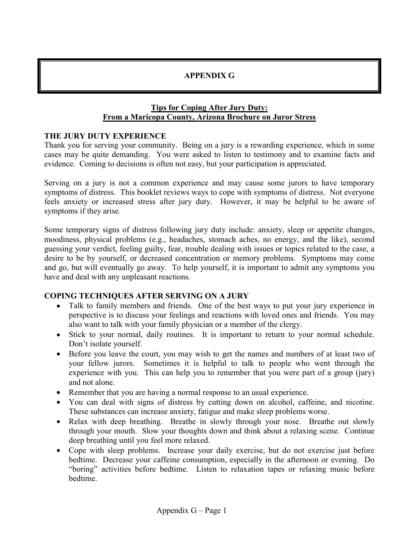# **APPENDIX G**

### **Tips for Coping After Jury Duty: From a Maricopa County, Arizona Brochure on Juror Stress**

## **THE JURY DUTY EXPERIENCE**

Thank you for serving your community. Being on a jury is a rewarding experience, which in some cases may be quite demanding. You were asked to listen to testimony and to examine facts and evidence. Coming to decisions is often not easy, but your participation is appreciated.

Serving on a jury is not a common experience and may cause some jurors to have temporary symptoms of distress. This booklet reviews ways to cope with symptoms of distress. Not everyone feels anxiety or increased stress after jury duty. However, it may be helpful to be aware of symptoms if they arise.

Some temporary signs of distress following jury duty include: anxiety, sleep or appetite changes, moodiness, physical problems (e.g., headaches, stomach aches, no energy, and the like), second guessing your verdict, feeling guilty, fear, trouble dealing with issues or topics related to the case, a desire to be by yourself, or decreased concentration or memory problems. Symptoms may come and go, but will eventually go away. To help yourself, it is important to admit any symptoms you have and deal with any unpleasant reactions.

## **COPING TECHNIQUES AFTER SERVING ON A JURY**

- Talk to family members and friends. One of the best ways to put your jury experience in perspective is to discuss your feelings and reactions with loved ones and friends. You may also want to talk with your family physician or a member of the clergy.
- Stick to your normal, daily routines. It is important to return to your normal schedule. Don't isolate yourself.
- Before you leave the court, you may wish to get the names and numbers of at least two of your fellow jurors. Sometimes it is helpful to talk to people who went through the experience with you. This can help you to remember that you were part of a group (jury) and not alone.
- Remember that you are having a normal response to an usual experience.
- You can deal with signs of distress by cutting down on alcohol, caffeine, and nicotine. These substances can increase anxiety, fatigue and make sleep problems worse.
- Relax with deep breathing. Breathe in slowly through your nose. Breathe out slowly through your mouth. Slow your thoughts down and think about a relaxing scene. Continue deep breathing until you feel more relaxed.
- Cope with sleep problems. Increase your daily exercise, but do not exercise just before bedtime. Decrease your caffeine consumption, especially in the afternoon or evening. Do "boring" activities before bedtime. Listen to relaxation tapes or relaxing music before bedtime.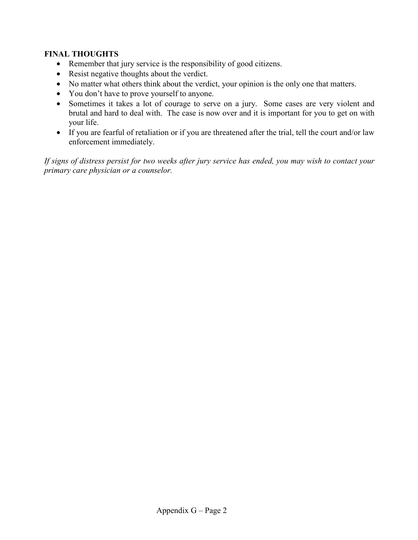## **FINAL THOUGHTS**

- Remember that jury service is the responsibility of good citizens.
- Resist negative thoughts about the verdict.
- No matter what others think about the verdict, your opinion is the only one that matters.
- You don't have to prove yourself to anyone.
- Sometimes it takes a lot of courage to serve on a jury. Some cases are very violent and brutal and hard to deal with. The case is now over and it is important for you to get on with your life.
- If you are fearful of retaliation or if you are threatened after the trial, tell the court and/or law enforcement immediately.

*If signs of distress persist for two weeks after jury service has ended, you may wish to contact your primary care physician or a counselor.*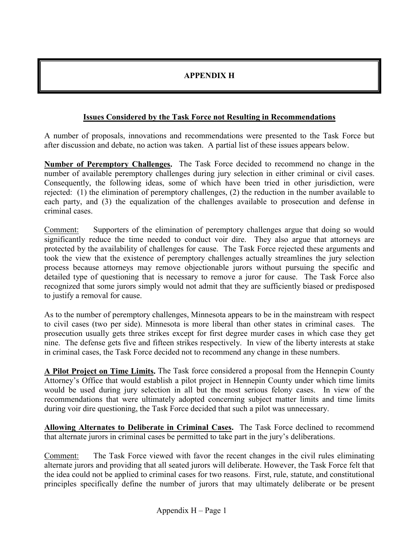# **APPENDIX H**

## **Issues Considered by the Task Force not Resulting in Recommendations**

A number of proposals, innovations and recommendations were presented to the Task Force but after discussion and debate, no action was taken. A partial list of these issues appears below.

**Number of Peremptory Challenges.** The Task Force decided to recommend no change in the number of available peremptory challenges during jury selection in either criminal or civil cases. Consequently, the following ideas, some of which have been tried in other jurisdiction, were rejected: (1) the elimination of peremptory challenges, (2) the reduction in the number available to each party, and (3) the equalization of the challenges available to prosecution and defense in criminal cases.

Comment: Supporters of the elimination of peremptory challenges argue that doing so would significantly reduce the time needed to conduct voir dire. They also argue that attorneys are protected by the availability of challenges for cause. The Task Force rejected these arguments and took the view that the existence of peremptory challenges actually streamlines the jury selection process because attorneys may remove objectionable jurors without pursuing the specific and detailed type of questioning that is necessary to remove a juror for cause. The Task Force also recognized that some jurors simply would not admit that they are sufficiently biased or predisposed to justify a removal for cause.

As to the number of peremptory challenges, Minnesota appears to be in the mainstream with respect to civil cases (two per side). Minnesota is more liberal than other states in criminal cases. The prosecution usually gets three strikes except for first degree murder cases in which case they get nine. The defense gets five and fifteen strikes respectively. In view of the liberty interests at stake in criminal cases, the Task Force decided not to recommend any change in these numbers.

**A Pilot Project on Time Limits.** The Task force considered a proposal from the Hennepin County Attorney's Office that would establish a pilot project in Hennepin County under which time limits would be used during jury selection in all but the most serious felony cases. In view of the recommendations that were ultimately adopted concerning subject matter limits and time limits during voir dire questioning, the Task Force decided that such a pilot was unnecessary.

**Allowing Alternates to Deliberate in Criminal Cases.** The Task Force declined to recommend that alternate jurors in criminal cases be permitted to take part in the jury's deliberations.

Comment: The Task Force viewed with favor the recent changes in the civil rules eliminating alternate jurors and providing that all seated jurors will deliberate. However, the Task Force felt that the idea could not be applied to criminal cases for two reasons. First, rule, statute, and constitutional principles specifically define the number of jurors that may ultimately deliberate or be present